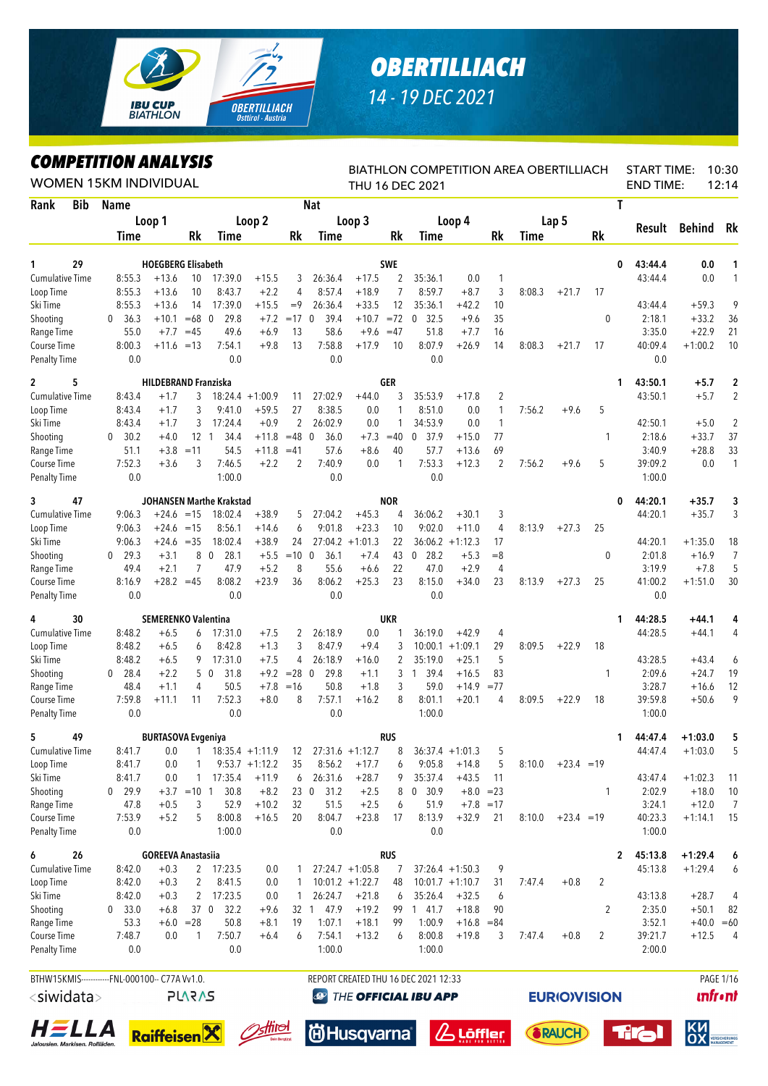## *OBERTILLIACH 14 - 19 DEC 2021*

*COMPETITION ANALYSIS*

**IBU CUP<br>BIATHLON** 

**OBERTILLIACH** 

|                                    |            | WOMEN 15KM INDIVIDUAL                                                                                                                                                                                                                        |                                      |                   |                     |                    |                |                      |                    |                        | BIATHLON COMPETITION AREA OBERTILLIACH<br>THU 16 DEC 2021 |                        |                  |         |                    |                |                | <b>START TIME:</b><br><b>END TIME:</b> |                        | 10:30<br>12:14 |
|------------------------------------|------------|----------------------------------------------------------------------------------------------------------------------------------------------------------------------------------------------------------------------------------------------|--------------------------------------|-------------------|---------------------|--------------------|----------------|----------------------|--------------------|------------------------|-----------------------------------------------------------|------------------------|------------------|---------|--------------------|----------------|----------------|----------------------------------------|------------------------|----------------|
| Rank                               | <b>Bib</b> | <b>Name</b>                                                                                                                                                                                                                                  |                                      |                   |                     |                    |                | <b>Nat</b>           |                    |                        |                                                           |                        |                  |         |                    |                | Τ              |                                        |                        |                |
|                                    |            | Loop 1                                                                                                                                                                                                                                       |                                      | Loop <sub>2</sub> |                     |                    | Loop 3         |                      |                    | Loop 4                 |                                                           |                        | Lap <sub>5</sub> |         |                    | Result         | <b>Behind</b>  | Rk                                     |                        |                |
|                                    |            | <b>Time</b>                                                                                                                                                                                                                                  |                                      | Rk                | Time                |                    | Rk             | Time                 |                    | Rk                     | Time                                                      |                        | Rk               | Time    |                    | Rk             |                |                                        |                        |                |
|                                    | 29         |                                                                                                                                                                                                                                              |                                      |                   |                     |                    |                |                      |                    | SWE                    |                                                           |                        |                  |         |                    |                |                |                                        |                        |                |
| 1<br><b>Cumulative Time</b>        |            | 8:55.3                                                                                                                                                                                                                                       | <b>HOEGBERG Elisabeth</b><br>$+13.6$ | 10                | 17:39.0             | $+15.5$            | 3              | 26:36.4              | $+17.5$            | 2                      | 35:36.1                                                   | 0.0                    | $\mathbf{1}$     |         |                    |                | 0              | 43:44.4<br>43:44.4                     | 0.0<br>0.0             | 1<br>1         |
| Loop Time                          |            | 8:55.3                                                                                                                                                                                                                                       | $+13.6$                              | 8:43.7            | $+2.2$              | 4                  | 8:57.4         | $+18.9$              | $\overline{7}$     | 8:59.7                 | $+8.7$                                                    | 3                      | 8:08.3           | $+21.7$ | 17                 |                |                |                                        |                        |                |
| Ski Time                           |            | 8:55.3                                                                                                                                                                                                                                       | $+13.6$                              | 17:39.0           | $+15.5$             | $=9$               | 26:36.4        | $+33.5$              | 12                 | 35:36.1                | $+42.2$                                                   | 10                     |                  |         |                    |                | 43:44.4        | $+59.3$                                | 9                      |                |
| Shooting                           |            | 36.3<br>0                                                                                                                                                                                                                                    | $+10.1$                              | $=68$ 0<br>29.8   | $+7.2$              | $=17$ 0            | 39.4           | $+10.7$              | $= 72$             | $\overline{0}$<br>32.5 | $+9.6$                                                    | 35                     |                  |         | 0                  |                | 2:18.1         | $+33.2$                                | 36                     |                |
| Range Time                         |            | 55.0                                                                                                                                                                                                                                         | $+7.7$                               | 49.6              | $+6.9$              | 13                 | 58.6           | $+9.6$               | $=47$              | 51.8                   | $+7.7$                                                    | 16                     |                  |         |                    |                | 3:35.0         | $+22.9$                                | 21                     |                |
| Course Time                        |            | 8:00.3                                                                                                                                                                                                                                       | $+11.6 = 13$                         | 7:54.1<br>0.0     | $+9.8$              | 13                 | 7:58.8<br>0.0  | $+17.9$              | 10                 | 8:07.9<br>0.0          | $+26.9$                                                   | 14                     | 8:08.3           | $+21.7$ | 17                 |                | 40:09.4<br>0.0 | $+1:00.2$                              | 10                     |                |
| <b>Penalty Time</b>                |            |                                                                                                                                                                                                                                              |                                      |                   |                     |                    |                |                      |                    |                        |                                                           |                        |                  |         |                    |                |                |                                        |                        |                |
| 2                                  | 5          |                                                                                                                                                                                                                                              |                                      |                   |                     |                    |                |                      |                    | GER                    |                                                           |                        |                  |         |                    |                | 1              | 43:50.1                                | $+5.7$                 | $\mathbf 2$    |
| <b>Cumulative Time</b>             |            |                                                                                                                                                                                                                                              | $+1.7$                               |                   |                     | $18:24.4 +1:00.9$  | 11             | 27:02.9              | $+44.0$            | 3                      | 35:53.9                                                   | $+17.8$                | $\overline{2}$   |         |                    |                |                | 43:50.1                                | $+5.7$                 | 2              |
| Loop Time<br>Ski Time              |            |                                                                                                                                                                                                                                              | 9:41.0<br>17:24.4                    | $+59.5$<br>$+0.9$ | 27<br>2             | 8:38.5<br>26:02.9  | 0.0<br>0.0     | 1<br>1               | 8:51.0<br>34:53.9  | 0.0<br>0.0             | $\mathbf{1}$<br>$\mathbf{1}$                              | 7:56.2                 | $+9.6$           | 5       |                    | 42:50.1        | $+5.0$         | $\overline{c}$                         |                        |                |
| Shooting                           |            | 8:43.4<br>3<br>3<br>8:43.4<br>$+1.7$<br>3<br>8:43.4<br>$+1.7$<br>30.2<br>$+4.0$<br>$\mathbf{0}$<br>51.1<br>$+3.8$<br>$=11$<br>7:52.3<br>$+3.6$<br>3<br>0.0<br>9:06.3<br>$+24.6 = 15$<br>9:06.3<br>$+24.6$<br>$=15$<br>9:06.3<br>$+24.6 = 35$ |                                      |                   | 34.4                | $+11.8$            | $=48$ 0        | 36.0                 | $+7.3$             | $=40$                  | $\mathbf 0$<br>37.9                                       | $+15.0$                | 77               |         |                    | 1              |                | 2:18.6                                 | $+33.7$                | 37             |
| Range Time                         |            | 29.3<br>$+3.1$<br>8<br>$\Omega$                                                                                                                                                                                                              |                                      |                   | 54.5                | $+11.8$            | $=41$          | 57.6                 | $+8.6$             | 40                     | 57.7                                                      | $+13.6$                | 69               |         |                    |                |                | 3:40.9                                 | $+28.8$                | 33             |
| Course Time                        |            | 0.0<br><b>HILDEBRAND Franziska</b><br>12 <sub>1</sub><br><b>JOHANSEN Marthe Krakstad</b><br>7<br>49.4<br>$+2.1$<br>$+28.2 = 45$<br>8:16.9<br>0.0                                                                                             |                                      |                   | 7:46.5              | $+2.2$             | $\overline{2}$ | 7:40.9               | 0.0                | 1                      | 7:53.3                                                    | $+12.3$                | $\overline{2}$   | 7:56.2  | $+9.6$             | 5              |                | 39:09.2                                | 0.0                    | $\mathbf{1}$   |
| <b>Penalty Time</b>                |            |                                                                                                                                                                                                                                              |                                      |                   | 1:00.0              |                    |                | 0.0                  |                    |                        | 0.0                                                       |                        |                  |         |                    |                |                | 1:00.0                                 |                        |                |
| 3                                  | 47         |                                                                                                                                                                                                                                              |                                      |                   |                     |                    |                |                      |                    | <b>NOR</b>             |                                                           |                        |                  |         |                    |                | 0              | 44:20.1                                | $+35.7$                | 3              |
| <b>Cumulative Time</b>             |            |                                                                                                                                                                                                                                              |                                      |                   | 18:02.4             | $+38.9$            | 5              | 27:04.2              | $+45.3$            | 4                      | 36:06.2                                                   | $+30.1$                | 3                |         |                    |                |                | 44:20.1                                | $+35.7$                | 3              |
| Loop Time                          |            |                                                                                                                                                                                                                                              |                                      |                   | 8:56.1              | $+14.6$            | 6              | 9:01.8               | $+23.3$            | 10                     | 9:02.0                                                    | $+11.0$                | 4                | 8:13.9  | $+27.3$            | 25             |                |                                        |                        |                |
| Ski Time                           |            |                                                                                                                                                                                                                                              |                                      |                   | 18:02.4             | $+38.9$            | 24             | 27:04.2              | $+1:01.3$          | 22                     | 36:06.2                                                   | $+1:12.3$              | 17               |         |                    |                |                | 44:20.1                                | $+1:35.0$              | 18             |
| Shooting                           |            |                                                                                                                                                                                                                                              |                                      |                   | $\mathbf 0$<br>28.1 | $+5.5$             | $=10$          | 36.1<br>$\mathbf{0}$ | $+7.4$             | 43                     | $0$ 28.2                                                  | $+5.3$                 | $=8$             |         |                    | 0              |                | 2:01.8                                 | $+16.9$                | $\overline{7}$ |
| Range Time                         |            |                                                                                                                                                                                                                                              |                                      |                   | 47.9                | $+5.2$             | 8              | 55.6                 | $+6.6$             | 22                     | 47.0                                                      | $+2.9$                 | 4                |         |                    |                |                | 3:19.9                                 | $+7.8$                 | 5              |
| Course Time<br><b>Penalty Time</b> |            |                                                                                                                                                                                                                                              |                                      |                   | 8:08.2<br>0.0       | $+23.9$            | 36             | 8:06.2<br>0.0        | $+25.3$            | 23                     | 8:15.0<br>0.0                                             | $+34.0$                | 23               | 8:13.9  | $+27.3$            | 25             |                | 41:00.2<br>0.0                         | $+1:51.0$              | 30             |
|                                    |            |                                                                                                                                                                                                                                              |                                      |                   |                     |                    |                |                      |                    |                        |                                                           |                        |                  |         |                    |                |                |                                        |                        |                |
| 4                                  | 30         |                                                                                                                                                                                                                                              | <b>SEMERENKO Valentina</b>           |                   |                     |                    |                |                      |                    | UKR                    |                                                           |                        |                  |         |                    |                | 1              | 44:28.5                                | $+44.1$                | 4              |
| <b>Cumulative Time</b>             |            | 8:48.2                                                                                                                                                                                                                                       | $+6.5$                               | 6                 | 17:31.0             | $+7.5$             | 2              | 26:18.9              | 0.0                |                        | 36:19.0                                                   | $+42.9$                | 4                |         |                    |                |                | 44:28.5                                | $+44.1$                | 4              |
| Loop Time<br>Ski Time              |            | 8:48.2<br>8:48.2                                                                                                                                                                                                                             | $+6.5$<br>$+6.5$                     | 6<br>9            | 8:42.8<br>17:31.0   | $+1.3$<br>$+7.5$   | 3<br>4         | 8:47.9<br>26:18.9    | $+9.4$<br>$+16.0$  | 3<br>2                 | 10:00.1<br>35:19.0                                        | $+1:09.1$<br>$+25.1$   | 29<br>5          | 8:09.5  | $+22.9$            | 18             |                | 43:28.5                                | $+43.4$                | 6              |
| Shooting                           |            | 28.4<br>0                                                                                                                                                                                                                                    | $+2.2$                               |                   | 31.8<br>5 0         | $+9.2$             | $= 28$ 0       | 29.8                 | $+1.1$             | 3                      | 1 39.4                                                    | $+16.5$                | 83               |         |                    | 1              |                | 2:09.6                                 | $+24.7$                | 19             |
| Range Time                         |            | 48.4                                                                                                                                                                                                                                         | $+1.1$                               | 4                 | 50.5                | $+7.8$             | $=16$          | 50.8                 | $+1.8$             | 3                      | 59.0                                                      | $+14.9$                | $= 77$           |         |                    |                |                | 3:28.7                                 | $+16.6$                | 12             |
| Course Time                        |            | 7:59.8                                                                                                                                                                                                                                       | $+11.1$                              | 11                | 7:52.3              | $+8.0$             | 8              | 7:57.1               | $+16.2$            | 8                      | 8:01.1                                                    | $+20.1$                | 4                | 8:09.5  | $+22.9$            | 18             |                | 39:59.8                                | $+50.6$                | 9              |
| <b>Penalty Time</b>                |            | 0.0                                                                                                                                                                                                                                          |                                      |                   | 0.0                 |                    |                | 0.0                  |                    |                        | 1:00.0                                                    |                        |                  |         |                    |                |                | 1:00.0                                 |                        |                |
| 5                                  | 49         |                                                                                                                                                                                                                                              | <b>BURTASOVA Evgeniya</b>            |                   |                     |                    |                |                      |                    | RUS                    |                                                           |                        |                  |         |                    |                | 1.             | 44:47.4                                | $+1:03.0$              | 5              |
| Cumulative Time                    |            | 8:41.7                                                                                                                                                                                                                                       | 0.0                                  | 1                 |                     | $18:35.4 +1:11.9$  | 12             |                      | $27:31.6 + 1:12.7$ | 8                      |                                                           | $36:37.4 +1:01.3$      | 5                |         |                    |                |                | 44:47.4                                | $+1:03.0$              | 5              |
| Loop Time                          |            | 8:41.7                                                                                                                                                                                                                                       | $0.0\,$                              | 1                 |                     | $9:53.7 +1:12.2$   | 35             | 8:56.2               | $+17.7$            | 6                      | 9:05.8                                                    | $+14.8$                | 5                | 8:10.0  | $+23.4 = 19$       |                |                |                                        |                        |                |
| Ski Time                           |            | 8:41.7                                                                                                                                                                                                                                       | 0.0                                  | 1                 | 17:35.4             | $+11.9$            | 6              | 26:31.6              | $+28.7$            | 9                      | 35:37.4                                                   | $+43.5$                | 11               |         |                    |                |                | 43:47.4                                | $+1:02.3$              | 11             |
| Shooting                           |            | 29.9<br>$\mathbf 0$                                                                                                                                                                                                                          |                                      | $+3.7$ = 10 1     | 30.8                | $+8.2$             | 230            | 31.2                 | $+2.5$             | 8                      | 0<br>30.9                                                 | $+8.0 = 23$            |                  |         |                    | 1              |                | 2:02.9                                 | $+18.0$                | 10             |
| Range Time<br>Course Time          |            | 47.8<br>7:53.9                                                                                                                                                                                                                               | $+0.5$<br>$+5.2$                     | 3<br>5            | 52.9<br>8:00.8      | $+10.2$<br>$+16.5$ | 32<br>20       | 51.5<br>8:04.7       | $+2.5$<br>$+23.8$  | 6<br>17                | 51.9<br>8:13.9                                            | $+7.8 = 17$<br>$+32.9$ | 21               | 8:10.0  | $+23.4 = 19$       |                |                | 3:24.1<br>40:23.3                      | $+12.0$<br>$+1:14.1$   | 7<br>15        |
| <b>Penalty Time</b>                |            | $0.0\,$                                                                                                                                                                                                                                      |                                      |                   | 1:00.0              |                    |                | 0.0                  |                    |                        | 0.0                                                       |                        |                  |         |                    |                |                | 1:00.0                                 |                        |                |
|                                    |            |                                                                                                                                                                                                                                              |                                      |                   |                     |                    |                |                      |                    |                        |                                                           |                        |                  |         |                    |                |                |                                        |                        |                |
| 6<br><b>Cumulative Time</b>        | 26         | 8:42.0                                                                                                                                                                                                                                       | <b>GOREEVA Anastasiia</b><br>$+0.3$  | $\mathbf{2}$      | 17:23.5             | 0.0                | 1              |                      | $27:24.7 +1:05.8$  | RUS<br>7               |                                                           | $37:26.4 +1:50.3$      | 9                |         |                    |                | 2              | 45:13.8<br>45:13.8                     | $+1:29.4$<br>$+1:29.4$ | 6<br>6         |
| Loop Time                          |            | 8:42.0                                                                                                                                                                                                                                       | $+0.3$                               | 2                 | 8:41.5              | 0.0                | 1              |                      | $10:01.2 + 1:22.7$ | 48                     |                                                           | $10:01.7 +1:10.7$      | 31               | 7:47.4  | $+0.8$             | 2              |                |                                        |                        |                |
| Ski Time                           |            | 8:42.0                                                                                                                                                                                                                                       | $+0.3$                               | 2                 | 17:23.5             | 0.0                | 1              | 26:24.7              | $+21.8$            | 6                      | 35:26.4                                                   | $+32.5$                | 6                |         |                    |                |                | 43:13.8                                | $+28.7$                | 4              |
| Shooting                           |            | 0 33.0                                                                                                                                                                                                                                       | $+6.8$                               |                   | 37 0<br>32.2        | $+9.6$             | 32 1           | 47.9                 | $+19.2$            | 99                     | 141.7                                                     | $+18.8$                | 90               |         |                    | 2              |                | 2:35.0                                 | $+50.1$                | 82             |
| Range Time                         |            | 53.3                                                                                                                                                                                                                                         |                                      | $+6.0 = 28$       | 50.8                | $+8.1$             | 19             | 1:07.1               | $+18.1$            | 99                     | 1:00.9                                                    | $+16.8 = 84$           |                  |         |                    |                |                | 3:52.1                                 | $+40.0 = 60$           |                |
| Course Time                        |            | 7:48.7                                                                                                                                                                                                                                       | 0.0                                  | $\mathbf{1}$      | 7:50.7              | $+6.4$             | 6              | 7:54.1               | $+13.2$            | 6                      | 8:00.8                                                    | $+19.8$                | 3                | 7:47.4  | $+0.8$             | $\overline{2}$ |                | 39:21.7                                | $+12.5$                | 4              |
| <b>Penalty Time</b>                |            | 0.0                                                                                                                                                                                                                                          |                                      |                   | 0.0                 |                    |                | 1:00.0               |                    |                        | 1:00.0                                                    |                        |                  |         |                    |                |                | 2:00.0                                 |                        |                |
|                                    |            |                                                                                                                                                                                                                                              |                                      |                   |                     |                    |                |                      |                    |                        | REPORT CREATED THU 16 DEC 2021 12:33                      |                        |                  |         |                    |                |                |                                        |                        | PAGE 1/16      |
| $\langle$ siwidata $\rangle$       |            | BTHW15KMIS------------FNL-000100-- C77A Vv1.0.<br>P11215                                                                                                                                                                                     |                                      |                   |                     |                    |                |                      |                    |                        | <b>@ THE OFFICIAL IBU APP</b>                             |                        |                  |         | <b>FURIOWISION</b> |                |                |                                        | <b>infr</b> •nt        |                |













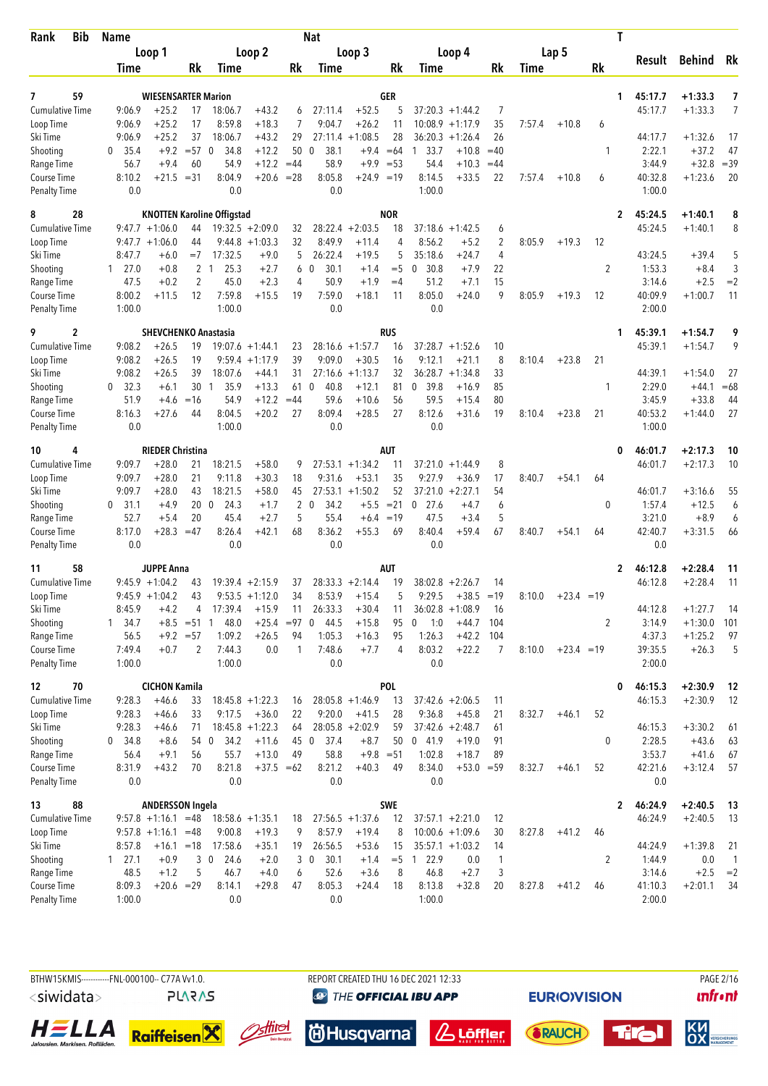| <b>Bib</b><br>Rank     | <b>Name</b>      |                                       |               |                                   |                    |         | <b>Nat</b>             |                      |               |                    |                        |                |        |              |                | T  |         |           |              |
|------------------------|------------------|---------------------------------------|---------------|-----------------------------------|--------------------|---------|------------------------|----------------------|---------------|--------------------|------------------------|----------------|--------|--------------|----------------|----|---------|-----------|--------------|
|                        |                  | Loop 1                                |               |                                   | Loop 2             |         |                        | Loop 3               |               |                    | Loop 4                 |                |        | Lap 5        |                |    |         |           |              |
|                        | Time             |                                       | Rk            | Time                              |                    | Rk      | Time                   |                      | Rk            | Time               |                        | Rk             | Time   |              | Rk             |    | Result  | Behind    | Rk           |
|                        |                  |                                       |               |                                   |                    |         |                        |                      |               |                    |                        |                |        |              |                |    |         |           |              |
| 59<br>7                |                  | <b>WIESENSARTER Marion</b>            |               |                                   |                    |         |                        |                      | GER           |                    |                        |                |        |              |                | 1. | 45:17.7 | $+1:33.3$ | 7            |
| <b>Cumulative Time</b> | 9:06.9           | $+25.2$                               | 17            | 18:06.7<br>8:59.8                 | $+43.2$            | 6       | 27:11.4                | $+52.5$              | 5             |                    | $37:20.3 +1:44.2$      | 7              |        |              |                |    | 45:17.7 | $+1:33.3$ | 7            |
| Loop Time<br>Ski Time  | 9:06.9<br>9:06.9 | $+25.2$<br>$+25.2$                    | 17<br>37      | 18:06.7                           | $+18.3$<br>$+43.2$ | 7<br>29 | 9:04.7<br>27:11.4      | $+26.2$<br>$+1:08.5$ | 11<br>28      | 10:08.9<br>36:20.3 | $+1:17.9$<br>$+1:26.4$ | 35<br>26       | 7:57.4 | $+10.8$      | 6              |    | 44:17.7 | $+1:32.6$ | 17           |
| Shooting               | 35.4<br>0        | $+9.2$                                | $= 570$       | 34.8                              | $+12.2$            | 50      | 38.1<br>$\mathbf{0}$   | $+9.4$               | $=64$         | 33.7<br>-1         | $+10.8$                | $=40$          |        |              | $\mathbf{1}$   |    | 2:22.1  | $+37.2$   | 47           |
| Range Time             | 56.7             | $+9.4$                                | 60            | 54.9                              | $+12.2$            | $=44$   | 58.9                   | $+9.9$               | $= 53$        | 54.4               | $+10.3$                | $=44$          |        |              |                |    | 3:44.9  | $+32.8$   | $=39$        |
| <b>Course Time</b>     | 8:10.2           |                                       | $+21.5 = 31$  | 8:04.9                            | $+20.6$            | $= 28$  | 8:05.8                 | $+24.9$              | $=19$         | 8:14.5             | $+33.5$                | 22             | 7:57.4 | $+10.8$      | 6              |    | 40:32.8 | $+1:23.6$ | 20           |
| <b>Penalty Time</b>    | 0.0              |                                       |               | 0.0                               |                    |         | 0.0                    |                      |               | 1:00.0             |                        |                |        |              |                |    | 1:00.0  |           |              |
| 8<br>28                |                  |                                       |               | <b>KNOTTEN Karoline Offigstad</b> |                    |         |                        |                      | <b>NOR</b>    |                    |                        |                |        |              |                | 2  | 45:24.5 | $+1:40.1$ | 8            |
| <b>Cumulative Time</b> |                  | $9:47.7 + 1:06.0$                     | 44            |                                   | $19:32.5 + 2:09.0$ | 32      |                        | $28:22.4 +2:03.5$    | 18            |                    | $37:18.6 + 1:42.5$     | 6              |        |              |                |    | 45:24.5 | $+1:40.1$ | 8            |
| Loop Time              |                  | $9:47.7 + 1:06.0$                     | 44            |                                   | $9:44.8 + 1:03.3$  | 32      | 8:49.9                 | $+11.4$              | 4             | 8:56.2             | $+5.2$                 | $\overline{c}$ | 8:05.9 | $+19.3$      | 12             |    |         |           |              |
| Ski Time               | 8:47.7           | $+6.0$                                | $=7$          | 17:32.5                           | $+9.0$             | 5       | 26:22.4                | $+19.5$              | 5             | 35:18.6            | $+24.7$                | 4              |        |              |                |    | 43:24.5 | $+39.4$   | 5            |
| Shooting               | 127.0            | $+0.8$                                |               | 2 <sub>1</sub><br>25.3            | $+2.7$             | 6       | 30.1<br>$\mathbf 0$    | $+1.4$               | $=$ 5         | 30.8<br>0          | $+7.9$                 | 22             |        |              | 2              |    | 1:53.3  | $+8.4$    | $\sqrt{3}$   |
| Range Time             | 47.5             | $+0.2$                                | 2             | 45.0                              | $+2.3$             | 4       | 50.9                   | $+1.9$               | $=4$          | 51.2               | $+7.1$                 | 15             |        |              |                |    | 3:14.6  | $+2.5$    | $=2$         |
| Course Time            | 8:00.2           | $+11.5$                               | 12            | 7:59.8                            | $+15.5$            | 19      | 7:59.0                 | $+18.1$              | 11            | 8:05.0             | $+24.0$                | 9              | 8:05.9 | $+19.3$      | 12             |    | 40:09.9 | $+1:00.7$ | 11           |
| <b>Penalty Time</b>    | 1:00.0           |                                       |               | 1:00.0                            |                    |         | 0.0                    |                      |               | 0.0                |                        |                |        |              |                |    | 2:00.0  |           |              |
| 9<br>2                 |                  | <b>SHEVCHENKO Anastasia</b>           |               |                                   |                    |         |                        |                      | <b>RUS</b>    |                    |                        |                |        |              |                | 1. | 45:39.1 | $+1:54.7$ | 9            |
| <b>Cumulative Time</b> | 9:08.2           | $+26.5$                               | 19            |                                   | $19:07.6 + 1:44.1$ | 23      |                        | $28:16.6 + 1:57.7$   | 16            |                    | $37:28.7 + 1:52.6$     | 10             |        |              |                |    | 45:39.1 | $+1:54.7$ | 9            |
| Loop Time              | 9:08.2           | $+26.5$                               | 19            |                                   | $9:59.4 +1:17.9$   | 39      | 9:09.0                 | $+30.5$              | 16            | 9:12.1             | $+21.1$                | 8              | 8:10.4 | $+23.8$      | 21             |    |         |           |              |
| Ski Time               | 9:08.2           | $+26.5$                               | 39            | 18:07.6                           | $+44.1$            | 31      | 27:16.6                | $+1:13.7$            | 32            |                    | $36:28.7 +1:34.8$      | 33             |        |              |                |    | 44:39.1 | $+1:54.0$ | 27           |
| Shooting               | 0, 32.3          | $+6.1$                                | 30            | 35.9<br>-1                        | $+13.3$            | 61      | 40.8<br>$\mathbf 0$    | $+12.1$              | 81            | 39.8<br>0          | $+16.9$                | 85             |        |              | 1              |    | 2:29.0  | $+44.1$   | $=68$        |
| Range Time             | 51.9             | $+4.6$                                | $=16$         | 54.9                              | $+12.2$            | $=44$   | 59.6                   | $+10.6$              | 56            | 59.5               | $+15.4$                | 80             |        |              |                |    | 3:45.9  | $+33.8$   | 44           |
| Course Time            | 8:16.3           | $+27.6$                               | 44            | 8:04.5                            | $+20.2$            | 27      | 8:09.4                 | $+28.5$              | 27            | 8:12.6             | $+31.6$                | 19             | 8:10.4 | $+23.8$      | 21             |    | 40:53.2 | $+1:44.0$ | 27           |
| <b>Penalty Time</b>    | 0.0              |                                       |               | 1:00.0                            |                    |         | 0.0                    |                      |               | 0.0                |                        |                |        |              |                |    | 1:00.0  |           |              |
| 4<br>10                |                  | <b>RIEDER Christina</b>               |               |                                   |                    |         |                        |                      | AUT           |                    |                        |                |        |              |                | 0  | 46:01.7 | $+2:17.3$ | 10           |
| <b>Cumulative Time</b> | 9:09.7           | $+28.0$                               | 21            | 18:21.5                           | $+58.0$            | 9       |                        | $27:53.1 + 1:34.2$   | 11            | 37:21.0            | $+1:44.9$              | 8              |        |              |                |    | 46:01.7 | $+2:17.3$ | 10           |
| Loop Time              | 9:09.7           | $+28.0$                               | 21            | 9:11.8                            | $+30.3$            | 18      | 9:31.6                 | $+53.1$              | 35            | 9:27.9             | $+36.9$                | 17             | 8:40.7 | $+54.1$      | 64             |    |         |           |              |
| Ski Time               | 9:09.7           | $+28.0$                               | 43            | 18:21.5                           | $+58.0$            | 45      |                        | $27:53.1 + 1:50.2$   | 52            | 37:21.0            | $+2:27.1$              | 54             |        |              |                |    | 46:01.7 | $+3:16.6$ | 55           |
| Shooting               | 0<br>31.1        | $+4.9$                                | 20            | 24.3<br>$\Omega$                  | $+1.7$             | 2       | $\Omega$<br>34.2       | $+5.5$               | $= 21$        | $0$ 27.6           | $+4.7$                 | 6              |        |              | 0              |    | 1:57.4  | $+12.5$   | 6            |
| Range Time             | 52.7             | $+5.4$                                | 20            | 45.4                              | $+2.7$             | 5       | 55.4                   | $+6.4$               | $=19$         | 47.5               | $+3.4$                 | 5              |        |              |                |    | 3:21.0  | $+8.9$    | 6            |
| <b>Course Time</b>     | 8:17.0           | $+28.3$                               | $=47$         | 8:26.4                            | $+42.1$            | 68      | 8:36.2                 | $+55.3$              | 69            | 8:40.4             | $+59.4$                | 67             | 8:40.7 | $+54.1$      | 64             |    | 42:40.7 | $+3:31.5$ | 66           |
| Penalty Time           | 0.0              |                                       |               | 0.0                               |                    |         | 0.0                    |                      |               | 0.0                |                        |                |        |              |                |    | 0.0     |           |              |
| 58<br>11               |                  | <b>JUPPE Anna</b>                     |               |                                   |                    |         |                        |                      | AUT           |                    |                        |                |        |              |                | 2  | 46:12.8 | $+2:28.4$ | 11           |
| <b>Cumulative Time</b> |                  | $9:45.9 +1:04.2$                      | 43            |                                   | $19:39.4 +2:15.9$  | 37      |                        | $28:33.3 + 2:14.4$   | 19            |                    | $38:02.8 + 2:26.7$     | 14             |        |              |                |    | 46:12.8 | $+2:28.4$ | 11           |
| Loop Time              |                  | $9:45.9 +1:04.2$                      | 43            |                                   | $9:53.5 +1:12.0$   | 34      | 8:53.9                 | $+15.4$              | 5             | 9:29.5             | $+38.5 = 19$           |                | 8:10.0 | $+23.4 = 19$ |                |    |         |           |              |
| Ski Time               | 8:45.9           | $+4.2$                                | 4             | 17:39.4                           | $+15.9$            | 11      | 26:33.3                | $+30.4$              | 11            |                    | $36:02.8 +1:08.9$      | 16             |        |              |                |    | 44:12.8 | $+1:27.7$ | 14           |
| Shooting               | 1, 34.7          |                                       | $+8.5 = 51$ 1 | 48.0                              | $+25.4 = 97$       |         | $\mathbf 0$<br>44.5    | $+15.8$              | 95            | 0<br>1:0           | $+44.7$                | 104            |        |              | $\overline{2}$ |    | 3:14.9  | $+1:30.0$ | 101          |
| Range Time             | 56.5             |                                       | $+9.2 = 57$   | 1:09.2                            | $+26.5$            | 94      | 1:05.3                 | $+16.3$              | 95            | 1:26.3             | $+42.2$                | 104            |        |              |                |    | 4:37.3  | $+1:25.2$ | 97           |
| Course Time            | 7:49.4           | $+0.7$                                | 2             | 7:44.3                            | 0.0                | 1       | 7:48.6                 | $+7.7$               | 4             | 8:03.2             | $+22.2$                | 7              | 8:10.0 | $+23.4 = 19$ |                |    | 39:35.5 | $+26.3$   | 5            |
| <b>Penalty Time</b>    | 1:00.0           |                                       |               | 1:00.0                            |                    |         | 0.0                    |                      |               | 0.0                |                        |                |        |              |                |    | 2:00.0  |           |              |
| 12<br>70               |                  | <b>CICHON Kamila</b>                  |               |                                   |                    |         |                        |                      | <b>POL</b>    |                    |                        |                |        |              |                | 0  | 46:15.3 | $+2:30.9$ | 12           |
| <b>Cumulative Time</b> | 9:28.3           | $+46.6$                               | 33            |                                   | $18:45.8 + 1:22.3$ | 16      |                        | $28:05.8 +1:46.9$    | 13            |                    | $37:42.6 + 2:06.5$     | 11             |        |              |                |    | 46:15.3 | $+2:30.9$ | 12           |
| Loop Time              | 9:28.3           | $+46.6$                               | 33            | 9:17.5                            | $+36.0$            | 22      | 9:20.0                 | $+41.5$              | 28            | 9:36.8             | $+45.8$                | 21             | 8:32.7 | $+46.1$      | 52             |    |         |           |              |
| Ski Time               | 9:28.3           | $+46.6$                               | 71            |                                   | $18:45.8 + 1:22.3$ | 64      |                        | $28:05.8 + 2:02.9$   | 59            |                    | $37:42.6 + 2:48.7$     | 61             |        |              |                |    | 46:15.3 | $+3:30.2$ | 61           |
| Shooting               | 0, 34.8          | $+8.6$                                |               | 54 0<br>34.2                      | $+11.6$            |         | 45 0 37.4              | $+8.7$               | 50            | 041.9              | $+19.0$                | 91             |        |              | $\pmb{0}$      |    | 2:28.5  | $+43.6$   | 63           |
| Range Time             | 56.4             | $+9.1$                                | 56            | 55.7                              | $+13.0$            | 49      | 58.8                   | $+9.8 = 51$          |               | 1:02.8             | $+18.7$                | 89             |        |              |                |    | 3:53.7  | $+41.6$   | 67           |
| Course Time            | 8:31.9           | $+43.2$                               | 70            | 8:21.8                            | $+37.5 = 62$       |         | 8:21.2                 | $+40.3$              | 49            | 8:34.0             | $+53.0 = 59$           |                | 8:32.7 | $+46.1$      | 52             |    | 42:21.6 | $+3:12.4$ | 57           |
| <b>Penalty Time</b>    | 0.0              |                                       |               | 0.0                               |                    |         | $0.0\,$                |                      |               | 0.0                |                        |                |        |              |                |    | 0.0     |           |              |
| 88<br>13               |                  | <b>ANDERSSON Ingela</b>               |               |                                   |                    |         |                        |                      | <b>SWE</b>    |                    |                        |                |        |              |                | 2  | 46:24.9 | $+2:40.5$ | 13           |
| <b>Cumulative Time</b> |                  | $9:57.8 +1:16.1 = 48$ 18:58.6 +1:35.1 |               |                                   |                    | 18      |                        | $27:56.5 +1:37.6$    | 12            |                    | $37:57.1 +2:21.0$      | 12             |        |              |                |    | 46:24.9 | $+2:40.5$ | 13           |
| Loop Time              |                  | $9:57.8 +1:16.1 = 48$                 |               | 9:00.8                            | $+19.3$            | 9       | 8:57.9                 | $+19.4$              | 8             |                    | $10:00.6 + 1:09.6$     | 30             | 8:27.8 | $+41.2$      | 46             |    |         |           |              |
| Ski Time               | 8:57.8           |                                       |               | $+16.1$ = 18 17:58.6              | $+35.1$            | 19      | 26:56.5                | $+53.6$              | 15            |                    | $35:57.1 + 1:03.2$     | 14             |        |              |                |    | 44:24.9 | $+1:39.8$ | 21           |
| Shooting               | $1 \quad 27.1$   | $+0.9$                                |               | 3 0<br>24.6                       | $+2.0$             |         | 3 <sub>0</sub><br>30.1 | $+1.4$               | $= 5 \quad 1$ | 22.9               | 0.0                    | 1              |        |              | $\overline{2}$ |    | 1:44.9  | 0.0       | $\mathbf{1}$ |
| Range Time             | 48.5             | $+1.2$                                | 5             | 46.7                              | $+4.0$             | 6       | 52.6                   | $+3.6$               | 8             | 46.8               | $+2.7$                 | 3              |        |              |                |    | 3:14.6  | $+2.5$    | $=2$         |
| Course Time            | 8:09.3           |                                       | $+20.6 = 29$  | 8:14.1                            | $+29.8$            | 47      | 8:05.3                 | $+24.4$              | 18            | 8:13.8             | $+32.8$                | 20             | 8:27.8 | $+41.2$      | 46             |    | 41:10.3 | $+2:01.1$ | 34           |
| <b>Penalty Time</b>    | 1:00.0           |                                       |               | 0.0                               |                    |         | 0.0                    |                      |               | 1:00.0             |                        |                |        |              |                |    | 2:00.0  |           |              |















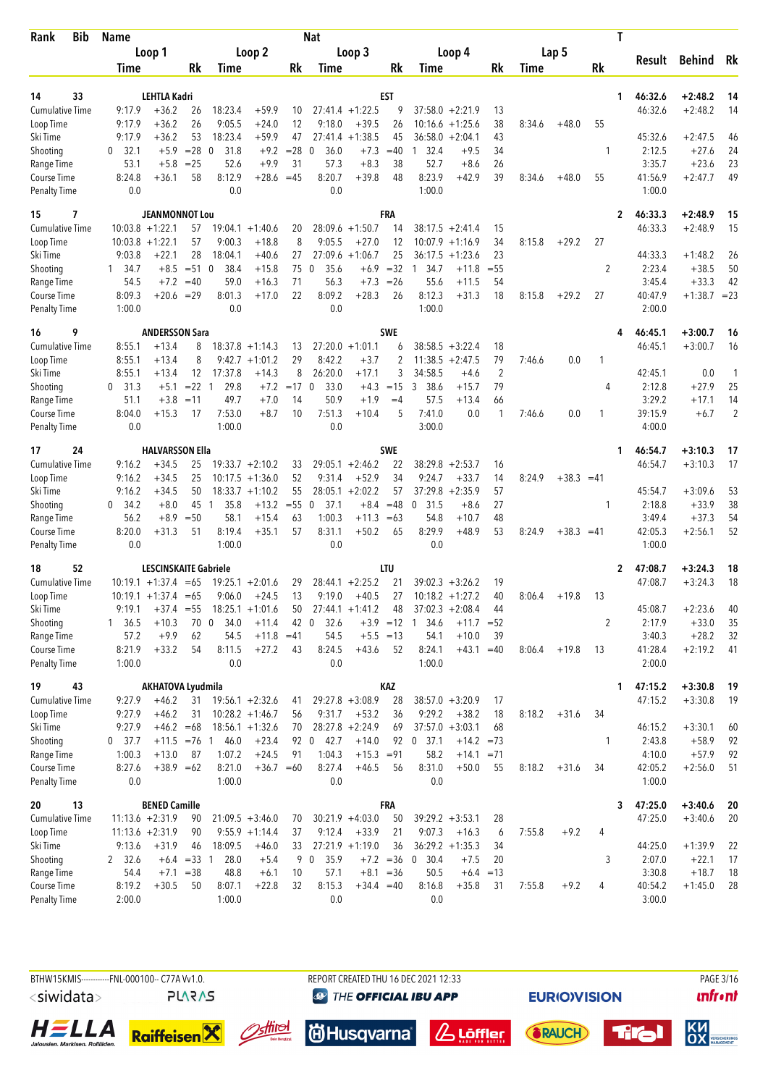| <b>Bib</b><br>Rank                        | <b>Name</b>       |                              |                  |                             |                    |              | Nat                 |                    |             |                        |                  |          |        |              |              | T  |                   |                    |                |
|-------------------------------------------|-------------------|------------------------------|------------------|-----------------------------|--------------------|--------------|---------------------|--------------------|-------------|------------------------|------------------|----------|--------|--------------|--------------|----|-------------------|--------------------|----------------|
|                                           |                   | Loop 1                       |                  |                             | Loop 2             |              |                     | Loop 3             |             |                        | Loop 4           |          |        | Lap 5        |              |    |                   |                    |                |
|                                           | Time              |                              | Rk               | Time                        |                    | Rk           | Time                |                    | Rk          | Time                   |                  | Rk       | Time   |              | Rk           |    | Result            | Behind             | Rk             |
|                                           |                   |                              |                  |                             |                    |              |                     |                    |             |                        |                  |          |        |              |              |    |                   |                    |                |
| 33<br>14                                  |                   | <b>LEHTLA Kadri</b>          |                  |                             |                    |              |                     |                    | EST         |                        |                  |          |        |              |              | 1. | 46:32.6           | $+2:48.2$          | 14             |
| Cumulative Time                           | 9:17.9            | $+36.2$                      | 26               | 18:23.4                     | $+59.9$            | 10           |                     | $27:41.4 +1:22.5$  | 9           | $37:58.0 + 2:21.9$     |                  | 13       |        |              |              |    | 46:32.6           | $+2:48.2$          | 14             |
| Loop Time                                 | 9:17.9            | $+36.2$                      | 26               | 9:05.5                      | $+24.0$            | 12           | 9:18.0              | $+39.5$            | 26          | 10:16.6                | $+1:25.6$        | 38       | 8:34.6 | $+48.0$      | 55           |    |                   |                    |                |
| Ski Time                                  | 9:17.9            | $+36.2$                      | 53               | 18:23.4                     | $+59.9$            | 47           |                     | $27:41.4 +1:38.5$  | 45          | 36:58.0                | $+2:04.1$        | 43       |        |              |              |    | 45:32.6           | $+2:47.5$          | 46             |
| Shooting<br>Range Time                    | 32.1<br>0<br>53.1 | $+5.9$<br>$+5.8$             | $= 28$<br>$= 25$ | 31.8<br>$\mathbf 0$<br>52.6 | $+9.2$<br>$+9.9$   | $= 28$<br>31 | 36.0<br>0<br>57.3   | $+7.3$<br>$+8.3$   | $=40$<br>38 | 32.4<br>1<br>52.7      | $+9.5$<br>$+8.6$ | 34<br>26 |        |              | 1            |    | 2:12.5<br>3:35.7  | $+27.6$<br>$+23.6$ | 24<br>23       |
| Course Time                               | 8:24.8            | $+36.1$                      | 58               | 8:12.9                      | $+28.6$            | $=45$        | 8:20.7              | $+39.8$            | 48          | 8:23.9                 | $+42.9$          | 39       | 8:34.6 | $+48.0$      | 55           |    | 41:56.9           | $+2:47.7$          | 49             |
| <b>Penalty Time</b>                       | 0.0               |                              |                  | 0.0                         |                    |              | 0.0                 |                    |             | 1:00.0                 |                  |          |        |              |              |    | 1:00.0            |                    |                |
| 7<br>15                                   |                   | <b>JEANMONNOT Lou</b>        |                  |                             |                    |              |                     |                    | FRA         |                        |                  |          |        |              |              | 2  | 46:33.3           | $+2:48.9$          | 15             |
| <b>Cumulative Time</b>                    |                   | $10:03.8 + 1:22.1$           | 57               |                             | $19:04.1 + 1:40.6$ | 20           |                     | $28:09.6 +1:50.7$  | 14          | $38:17.5 + 2:41.4$     |                  | 15       |        |              |              |    | 46:33.3           | $+2:48.9$          | 15             |
| Loop Time                                 |                   | $10:03.8 + 1:22.1$           | 57               | 9:00.3                      | $+18.8$            | 8            | 9:05.5              | $+27.0$            | 12          | $10:07.9 + 1:16.9$     |                  | 34       | 8:15.8 | $+29.2$      | 27           |    |                   |                    |                |
| Ski Time                                  | 9:03.8            | $+22.1$                      | 28               | 18:04.1                     | $+40.6$            | 27           | 27:09.6             | $+1:06.7$          | 25          | 36:17.5                | $+1:23.6$        | 23       |        |              |              |    | 44:33.3           | $+1:48.2$          | 26             |
| Shooting                                  | 34.7<br>1         | $+8.5$                       | $= 510$          | 38.4                        | $+15.8$            | 75           | 35.6<br>0           | $+6.9$             | $=32$       | 34.7<br>$\overline{1}$ | $+11.8$          | $= 55$   |        |              | 2            |    | 2:23.4            | $+38.5$            | 50             |
| Range Time                                | 54.5              | $+7.2$                       | $=40$            | 59.0                        | $+16.3$            | 71           | 56.3                | $+7.3$             | $=26$       | 55.6                   | $+11.5$          | 54       |        |              |              |    | 3:45.4            | $+33.3$            | 42             |
| <b>Course Time</b>                        | 8:09.3            | $+20.6 = 29$                 |                  | 8:01.3                      | $+17.0$            | 22           | 8:09.2              | $+28.3$            | 26          | 8:12.3                 | $+31.3$          | 18       | 8:15.8 | $+29.2$      | 27           |    | 40:47.9           | $+1:38.7 = 23$     |                |
| <b>Penalty Time</b>                       | 1:00.0            |                              |                  | 0.0                         |                    |              | 0.0                 |                    |             | 1:00.0                 |                  |          |        |              |              |    | 2:00.0            |                    |                |
| 16<br>9                                   |                   | <b>ANDERSSON Sara</b>        |                  |                             |                    |              |                     |                    | <b>SWE</b>  |                        |                  |          |        |              |              | 4  | 46:45.1           | $+3:00.7$          | 16             |
| <b>Cumulative Time</b>                    | 8:55.1            | $+13.4$                      | 8                |                             | $18:37.8 + 1:14.3$ | 13           |                     | $27:20.0 +1:01.1$  | 6           | $38:58.5 + 3:22.4$     |                  | 18       |        |              |              |    | 46:45.1           | $+3:00.7$          | 16             |
| Loop Time                                 | 8:55.1            | $+13.4$                      | 8                | 9:42.7                      | $+1:01.2$          | 29           | 8:42.2              | $+3.7$             | 2           | 11:38.5                | $+2:47.5$        | 79       | 7:46.6 | 0.0          | 1            |    |                   |                    |                |
| Ski Time                                  | 8:55.1            | $+13.4$                      | 12               | 17:37.8                     | $+14.3$            | 8            | 26:20.0             | $+17.1$            | 3           | 34:58.5                | $+4.6$           | 2        |        |              |              |    | 42:45.1           | 0.0                | 1              |
| Shooting                                  | 31.3<br>0         | $+5.1$                       | $= 22 \quad 1$   | 29.8                        | $+7.2$             | $=17$        | 33.0<br>$\mathbf 0$ | $+4.3$             | $=15$       | 3<br>38.6              | $+15.7$          | 79       |        |              | 4            |    | 2:12.8            | $+27.9$            | 25             |
| Range Time                                | 51.1              | $+3.8$                       | $=11$            | 49.7                        | $+7.0$             | 14           | 50.9                | $+1.9$             | $=4$        | 57.5                   | $+13.4$          | 66       |        |              |              |    | 3:29.2            | $+17.1$            | 14             |
| Course Time                               | 8:04.0            | $+15.3$                      | 17               | 7:53.0                      | $+8.7$             | 10           | 7:51.3              | $+10.4$            | 5           | 7:41.0                 | 0.0              | 1        | 7:46.6 | 0.0          | 1            |    | 39:15.9           | $+6.7$             | $\overline{2}$ |
| <b>Penalty Time</b>                       | 0.0               |                              |                  | 1:00.0                      |                    |              | 0.0                 |                    |             | 3:00.0                 |                  |          |        |              |              |    | 4:00.0            |                    |                |
| 24<br>17                                  |                   | <b>HALVARSSON Ella</b>       |                  |                             |                    |              |                     |                    | <b>SWE</b>  |                        |                  |          |        |              |              | 1  | 46:54.7           | $+3:10.3$          | 17             |
| <b>Cumulative Time</b>                    | 9:16.2            | $+34.5$                      | 25               |                             | $19:33.7 + 2:10.2$ | 33           |                     | $29:05.1 + 2:46.2$ | 22          | 38:29.8                | $+2:53.7$        | 16       |        |              |              |    | 46:54.7           | $+3:10.3$          | 17             |
| Loop Time                                 | 9:16.2            | $+34.5$                      | 25               | 10:17.5                     | $+1:36.0$          | 52           | 9:31.4              | $+52.9$            | 34          | 9:24.7                 | $+33.7$          | 14       | 8:24.9 | $+38.3 = 41$ |              |    |                   |                    |                |
| Ski Time                                  | 9:16.2            | $+34.5$                      | 50               | 18:33.7                     | $+1:10.2$          | 55           | 28:05.1             | $+2:02.2$          | 57          | 37:29.8                | $+2:35.9$        | 57       |        |              |              |    | 45:54.7           | $+3:09.6$          | 53             |
| Shooting                                  | 34.2<br>0         | $+8.0$                       | 45               | 35.8<br>$\overline{1}$      | $+13.2$            | $= 55$       | 37.1<br>0           | $+8.4$             | $=48$       | 31.5<br>0              | $+8.6$           | 27       |        |              | 1            |    | 2:18.8            | $+33.9$            | 38<br>54       |
| Range Time                                | 56.2              | $+8.9$                       | $=50$            | 58.1                        | $+15.4$            | 63           | 1:00.3              | $+11.3 = 63$       |             | 54.8<br>8:29.9         | $+10.7$          | 48       |        |              |              |    | 3:49.4            | $+37.3$            | 52             |
| <b>Course Time</b><br><b>Penalty Time</b> | 8:20.0<br>0.0     | $+31.3$                      | 51               | 8:19.4<br>1:00.0            | $+35.1$            | 57           | 8:31.1<br>0.0       | $+50.2$            | 65          | 0.0                    | $+48.9$          | 53       | 8:24.9 | $+38.3 = 41$ |              |    | 42:05.3<br>1:00.0 | $+2:56.1$          |                |
| 52<br>18                                  |                   | <b>LESCINSKAITE Gabriele</b> |                  |                             |                    |              |                     |                    | LTU         |                        |                  |          |        |              |              | 2  | 47:08.7           | $+3:24.3$          | 18             |
| <b>Cumulative Time</b>                    |                   | $10:19.1 + 1:37.4 = 65$      |                  |                             | $19:25.1 + 2:01.6$ | 29           |                     | $28:44.1 + 2:25.2$ | 21          | $39:02.3 + 3:26.2$     |                  | 19       |        |              |              |    | 47:08.7           | $+3:24.3$          | 18             |
| Loop Time                                 |                   | $10:19.1 + 1:37.4$           | $=65$            | 9:06.0                      | $+24.5$            | 13           | 9:19.0              | $+40.5$            | 27          | $10:18.2 + 1:27.2$     |                  | 40       | 8:06.4 | $+19.8$      | 13           |    |                   |                    |                |
| Ski Time                                  | 9:19.1            | $+37.4 = 55$                 |                  |                             | $18:25.1 + 1:01.6$ | 50           |                     | $27:44.1 + 1:41.2$ | 48          | $37:02.3 + 2:08.4$     |                  | 44       |        |              |              |    | 45:08.7           | $+2:23.6$          | 40             |
| Shooting                                  | 1, 36.5           | $+10.3$                      | 70               | $\mathbf 0$<br>34.0         | $+11.4$            | 42 0         | 32.6                |                    | $+3.9 = 12$ | 34.6<br>1              | $+11.7$          | $= 52$   |        |              | 2            |    | 2:17.9            | $+33.0$            | 35             |
| Range Time                                | 57.2              | $+9.9$                       | 62               | 54.5                        | $+11.8 = 41$       |              | 54.5                | $+5.5 = 13$        |             | 54.1                   | $+10.0$          | 39       |        |              |              |    | 3:40.3            | $+28.2$            | 32             |
| Course Time                               | 8:21.9            | $+33.2$                      | 54               | 8:11.5                      | $+27.2$            | 43           | 8:24.5              | $+43.6$            | 52          | 8:24.1                 | $+43.1 = 40$     |          | 8:06.4 | $+19.8$      | 13           |    | 41:28.4           | $+2:19.2$          | 41             |
| <b>Penalty Time</b>                       | 1:00.0            |                              |                  | 0.0                         |                    |              | 0.0                 |                    |             | 1:00.0                 |                  |          |        |              |              |    | 2:00.0            |                    |                |
| 19<br>43                                  |                   | AKHATOVA Lyudmila            |                  |                             |                    |              |                     |                    | KAZ         |                        |                  |          |        |              |              | 1  | 47:15.2           | $+3:30.8$          | 19             |
| <b>Cumulative Time</b>                    | 9:27.9            | $+46.2$                      | 31               |                             | $19:56.1 + 2:32.6$ | 41           |                     | $29:27.8 + 3:08.9$ | 28          | $38:57.0 + 3:20.9$     |                  | 17       |        |              |              |    | 47:15.2           | $+3:30.8$          | 19             |
| Loop Time                                 | 9:27.9            | $+46.2$                      | 31               |                             | $10:28.2 + 1:46.7$ | 56           | 9:31.7              | $+53.2$            | 36          | 9:29.2                 | $+38.2$          | 18       | 8:18.2 | $+31.6$      | 34           |    |                   |                    |                |
| Ski Time                                  | 9:27.9            | $+46.2 = 68$                 |                  |                             | $18:56.1 + 1:32.6$ | 70           |                     | $28:27.8 + 2:24.9$ | 69          | $37:57.0 + 3:03.1$     |                  | 68       |        |              |              |    | 46:15.2           | $+3:30.1$          | 60             |
| Shooting                                  | $0$ 37.7          | $+11.5 = 76$ 1               |                  | 46.0                        | $+23.4$            |              | 92 0<br>42.7        | $+14.0$            |             | 92 0 37.1              | $+14.2 = 73$     |          |        |              | $\mathbf{1}$ |    | 2:43.8            | $+58.9$            | 92             |
| Range Time                                | 1:00.3            | $+13.0$                      | 87               | 1:07.2                      | $+24.5$            | 91           | 1:04.3              | $+15.3 = 91$       |             | 58.2                   | $+14.1$          | $= 71$   |        |              |              |    | 4:10.0            | $+57.9$            | 92             |
| Course Time                               | 8:27.6            | $+38.9 = 62$                 |                  | 8:21.0                      | $+36.7 = 60$       |              | 8:27.4              | $+46.5$            | 56          | 8:31.0                 | $+50.0$          | 55       | 8:18.2 | $+31.6$      | 34           |    | 42:05.2           | $+2:56.0$          | 51             |
| <b>Penalty Time</b>                       | 0.0               |                              |                  | 1:00.0                      |                    |              | 0.0                 |                    |             | 0.0                    |                  |          |        |              |              |    | 1:00.0            |                    |                |
| 13<br>20                                  |                   | <b>BENED Camille</b>         |                  |                             |                    |              |                     |                    | FRA         |                        |                  |          |        |              |              | 3  | 47:25.0           | $+3:40.6$          | 20             |
| <b>Cumulative Time</b>                    |                   | $11:13.6 + 2:31.9$           | 90               |                             | $21:09.5 + 3:46.0$ | 70           |                     | $30:21.9 +4:03.0$  | 50          | $39:29.2 + 3:53.1$     |                  | 28       |        |              |              |    | 47:25.0           | $+3:40.6$          | 20             |
| Loop Time                                 |                   | $11:13.6 + 2:31.9$           | 90               |                             | $9:55.9 +1:14.4$   | 37           | 9:12.4              | $+33.9$            | 21          | 9:07.3                 | $+16.3$          | 6        | 7:55.8 | $+9.2$       | 4            |    |                   |                    |                |
| Ski Time                                  | 9:13.6            | $+31.9$                      | 46               | 18:09.5                     | $+46.0$            | 33           |                     | $27:21.9 +1:19.0$  | 36          | $36:29.2 + 1:35.3$     |                  | 34       |        |              |              |    | 44:25.0           | $+1:39.9$          | 22             |
| Shooting                                  | 2, 32.6           |                              | $+6.4 = 33$ 1    | 28.0                        | $+5.4$             |              | 9 0<br>35.9         |                    | $+7.2 = 36$ | 0, 30.4                | $+7.5$           | 20       |        |              | 3            |    | 2:07.0            | $+22.1$            | 17             |
| Range Time                                | 54.4              |                              | $+7.1 = 38$      | 48.8                        | $+6.1$             | 10           | 57.1                | $+8.1 = 36$        |             | 50.5                   | $+6.4 = 13$      |          |        |              |              |    | 3:30.8            | $+18.7$            | 18             |
| Course Time<br><b>Penalty Time</b>        | 8:19.2<br>2:00.0  | $+30.5$                      | 50               | 8:07.1<br>1:00.0            | $+22.8$            | 32           | 8:15.3<br>0.0       | $+34.4 = 40$       |             | 8:16.8<br>0.0          | $+35.8$          | 31       | 7:55.8 | $+9.2$       | 4            |    | 40:54.2<br>3:00.0 | $+1:45.0$          | 28             |
|                                           |                   |                              |                  |                             |                    |              |                     |                    |             |                        |                  |          |        |              |              |    |                   |                    |                |



**EURIOVISION** 















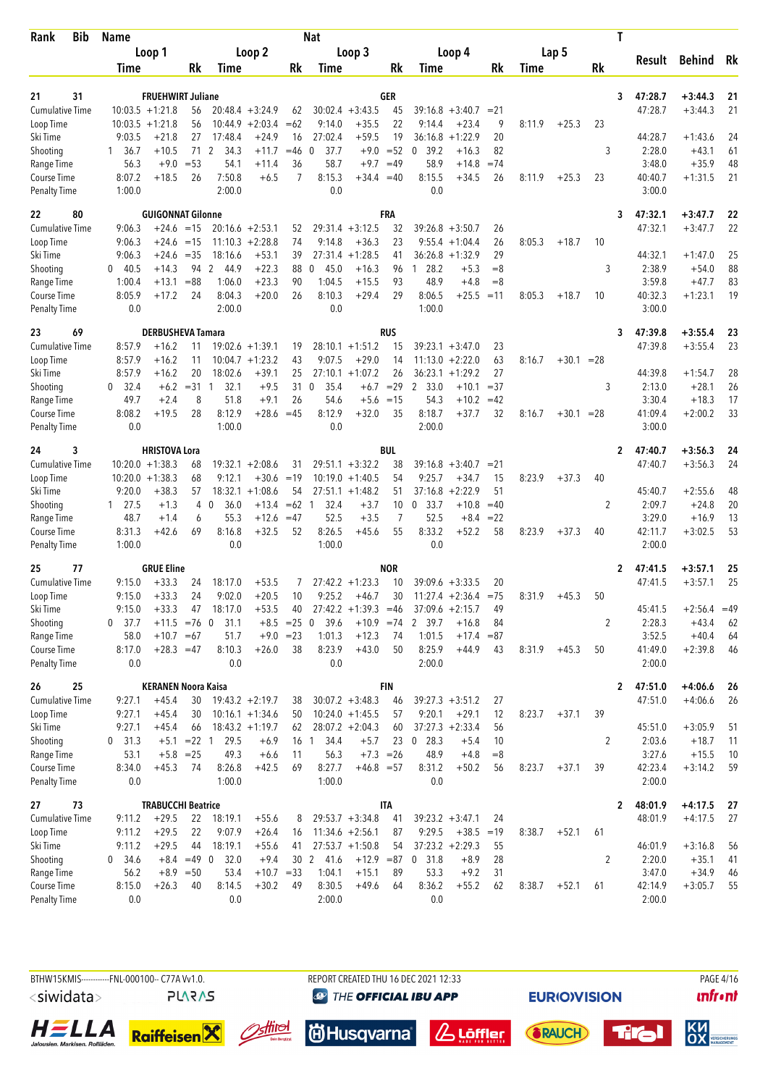| <b>Bib</b><br>Rank     | <b>Name</b>            |                            |               |                             |                    |                  | <b>Nat</b>           |                                         |             |                             |                      |                |        |              |           | T |                   |                      |          |
|------------------------|------------------------|----------------------------|---------------|-----------------------------|--------------------|------------------|----------------------|-----------------------------------------|-------------|-----------------------------|----------------------|----------------|--------|--------------|-----------|---|-------------------|----------------------|----------|
|                        |                        | Loop 1                     |               |                             | Loop 2             |                  |                      | Loop 3                                  |             |                             | Loop 4               |                |        | Lap 5        |           |   |                   |                      |          |
|                        | Time                   |                            | Rk            | Time                        |                    | Rk               | Time                 |                                         | Rk          | Time                        |                      | Rk             | Time   |              | <b>Rk</b> |   | Result            | <b>Behind</b>        | Rk       |
|                        |                        |                            |               |                             |                    |                  |                      |                                         |             |                             |                      |                |        |              |           |   |                   |                      |          |
| 31<br>21               |                        | <b>FRUEHWIRT Juliane</b>   |               |                             |                    |                  |                      |                                         | GER         |                             |                      |                |        |              |           | 3 | 47:28.7           | $+3:44.3$            | 21       |
| <b>Cumulative Time</b> |                        | $10:03.5 +1:21.8$          | 56            |                             | $20:48.4 + 3:24.9$ | 62               |                      | $30:02.4 + 3:43.5$                      | 45          | $39:16.8 + 3:40.7$          |                      | $= 21$         |        |              |           |   | 47:28.7           | $+3:44.3$            | 21       |
| Loop Time              |                        | $10:03.5 +1:21.8$          | 56            | 10:44.9                     | $+2:03.4$          | $=62$            | 9:14.0               | $+35.5$                                 | 22<br>19    | 9:14.4                      | $+23.4$              | 9<br>20        | 8:11.9 | $+25.3$      | 23        |   |                   |                      |          |
| Ski Time               | 9:03.5<br>36.7         | $+21.8$<br>$+10.5$         | 27<br>71      | 17:48.4<br>2<br>34.3        | $+24.9$<br>$+11.7$ | 16<br>$=46$      | 27:02.4<br>37.7<br>0 | $+59.5$<br>$+9.0$                       | $= 52$      | 36:16.8<br>0<br>39.2        | $+1:22.9$<br>$+16.3$ | 82             |        |              | 3         |   | 44:28.7<br>2:28.0 | $+1:43.6$<br>$+43.1$ | 24<br>61 |
| Shooting<br>Range Time | 1<br>56.3              | $+9.0$                     | $= 53$        | 54.1                        | $+11.4$            | 36               | 58.7                 | $+9.7$                                  | $=49$       | 58.9                        | $+14.8$              | $=74$          |        |              |           |   | 3:48.0            | $+35.9$              | 48       |
| Course Time            | 8:07.2                 | $+18.5$                    | 26            | 7:50.8                      | $+6.5$             | 7                | 8:15.3               | $+34.4 = 40$                            |             | 8:15.5                      | $+34.5$              | 26             | 8:11.9 | $+25.3$      | 23        |   | 40:40.7           | $+1:31.5$            | 21       |
| <b>Penalty Time</b>    | 1:00.0                 |                            |               | 2:00.0                      |                    |                  | 0.0                  |                                         |             | 0.0                         |                      |                |        |              |           |   | 3:00.0            |                      |          |
| 22<br>80               |                        | <b>GUIGONNAT Gilonne</b>   |               |                             |                    |                  |                      |                                         | FRA         |                             |                      |                |        |              |           | 3 | 47:32.1           | $+3:47.7$            | 22       |
| <b>Cumulative Time</b> | 9:06.3                 | $+24.6 = 15$               |               |                             | $20:16.6 + 2:53.1$ | 52               |                      | $29:31.4 + 3:12.5$                      | 32          | $39:26.8 + 3:50.7$          |                      | 26             |        |              |           |   | 47:32.1           | $+3:47.7$            | 22       |
| Loop Time              | 9:06.3                 | +24.6                      | $=15$         |                             | $11:10.3 + 2:28.8$ | 74               | 9:14.8               | $+36.3$                                 | 23          | 9:55.4                      | $+1:04.4$            | 26             | 8:05.3 | $+18.7$      | 10        |   |                   |                      |          |
| Ski Time               | 9:06.3                 | $+24.6$                    | $=35$         | 18:16.6                     | $+53.1$            | 39               | 27:31.4              | $+1:28.5$                               | 41          | 36:26.8                     | $+1:32.9$            | 29             |        |              |           |   | 44:32.1           | $+1:47.0$            | 25       |
| Shooting               | 40.5<br>0              | $+14.3$                    | 94            | 2<br>44.9                   | $+22.3$            | 88               | 0<br>45.0            | $+16.3$                                 | 96          | 28.2<br>-1                  | $+5.3$               | $=8$           |        |              | 3         |   | 2:38.9            | $+54.0$              | 88       |
| Range Time             | 1:00.4                 | $+13.1$                    | $= 88$        | 1:06.0                      | $+23.3$            | 90               | 1:04.5               | $+15.5$                                 | 93          | 48.9                        | $+4.8$               | $= 8$          |        |              |           |   | 3:59.8            | $+47.7$              | 83       |
| <b>Course Time</b>     | 8:05.9                 | $+17.2$                    | 24            | 8:04.3                      | $+20.0$            | 26               | 8:10.3               | $+29.4$                                 | 29          | 8:06.5                      | $+25.5$              | $=11$          | 8:05.3 | $+18.7$      | 10        |   | 40:32.3           | $+1:23.1$            | 19       |
| <b>Penalty Time</b>    | 0.0                    |                            |               | 2:00.0                      |                    |                  | 0.0                  |                                         |             | 1:00.0                      |                      |                |        |              |           |   | 3:00.0            |                      |          |
| 69<br>23               |                        | <b>DERBUSHEVA Tamara</b>   |               |                             |                    |                  |                      |                                         | <b>RUS</b>  |                             |                      |                |        |              |           | 3 | 47:39.8           | $+3:55.4$            | 23       |
| <b>Cumulative Time</b> | 8:57.9                 | $+16.2$                    | 11            |                             | $19:02.6 + 1:39.1$ | 19               |                      | $28:10.1 + 1:51.2$                      | 15          | $39:23.1 + 3:47.0$          |                      | 23             |        |              |           |   | 47:39.8           | $+3:55.4$            | 23       |
| Loop Time              | 8:57.9                 | $+16.2$                    | 11            |                             | $10:04.7 + 1:23.2$ | 43               | 9:07.5               | $+29.0$                                 | 14          | 11:13.0                     | $+2:22.0$            | 63             | 8:16.7 | $+30.1 = 28$ |           |   |                   |                      |          |
| Ski Time               | 8:57.9                 | $+16.2$                    | 20            | 18:02.6                     | $+39.1$            | 25               |                      | $27:10.1 + 1:07.2$                      | 26          | 36:23.1                     | $+1:29.2$            | 27             |        |              |           |   | 44:39.8           | $+1:54.7$            | 28       |
| Shooting               | 32.4<br>0              | $+6.2$                     | $= 31$        | 32.1<br>-1                  | $+9.5$             | 31               | $\mathbf 0$<br>35.4  | $+6.7$                                  | $=29$       | 2<br>33.0                   | $+10.1$              | $=37$          |        |              | 3         |   | 2:13.0            | $+28.1$              | 26       |
| Range Time             | 49.7                   | $+2.4$                     | 8             | 51.8                        | $+9.1$             | 26               | 54.6                 |                                         | $+5.6 = 15$ | 54.3                        | $+10.2$              | $=42$          |        |              |           |   | 3:30.4            | $+18.3$              | 17       |
| Course Time            | 8:08.2                 | $+19.5$                    | 28            | 8:12.9                      | $+28.6$            | $=45$            | 8:12.9               | $+32.0$                                 | 35          | 8:18.7                      | $+37.7$              | 32             | 8:16.7 | $+30.1$      | $= 28$    |   | 41:09.4           | $+2:00.2$            | 33       |
| <b>Penalty Time</b>    | 0.0                    |                            |               | 1:00.0                      |                    |                  | 0.0                  |                                         |             | 2:00.0                      |                      |                |        |              |           |   | 3:00.0            |                      |          |
| 3<br>24                |                        | <b>HRISTOVA Lora</b>       |               |                             |                    |                  |                      |                                         | BUL         |                             |                      |                |        |              |           | 2 | 47:40.7           | $+3:56.3$            | 24       |
| <b>Cumulative Time</b> |                        | $10:20.0 + 1:38.3$         | 68            |                             | $19:32.1 + 2:08.6$ | 31               |                      | $29:51.1 + 3:32.2$                      | 38          | 39:16.8                     | $+3:40.7$            | $= 21$         |        |              |           |   | 47:40.7           | $+3:56.3$            | 24       |
| Loop Time              |                        | $10:20.0 + 1:38.3$         | 68            | 9:12.1                      | $+30.6$            | $=19$            |                      | $10:19.0 + 1:40.5$                      | 54          | 9:25.7                      | $+34.7$              | 15             | 8:23.9 | $+37.3$      | 40        |   |                   |                      |          |
| Ski Time               | 9:20.0                 | $+38.3$                    | 57            | 18:32.1                     | $+1:08.6$          | 54               | 27:51.1              | $+1:48.2$                               | 51          | 37:16.8                     | $+2:22.9$            | 51             |        |              |           |   | 45:40.7           | $+2:55.6$            | 48       |
| Shooting<br>Range Time | $1 \quad 27.5$<br>48.7 | $+1.3$<br>$+1.4$           | 4<br>6        | 36.0<br>$\mathbf 0$<br>55.3 | $+13.4$<br>$+12.6$ | $=62$ 1<br>$=47$ | 32.4<br>52.5         | $+3.7$<br>$+3.5$                        | 10<br>7     | $\mathbf 0$<br>33.7<br>52.5 | $+10.8$<br>$+8.4$    | $=40$<br>$=22$ |        |              | 2         |   | 2:09.7<br>3:29.0  | $+24.8$<br>$+16.9$   | 20<br>13 |
| Course Time            | 8:31.3                 | $+42.6$                    | 69            | 8:16.8                      | $+32.5$            | 52               | 8:26.5               | $+45.6$                                 | 55          | 8:33.2                      | $+52.2$              | 58             | 8:23.9 | $+37.3$      | 40        |   | 42:11.7           | $+3:02.5$            | 53       |
| <b>Penalty Time</b>    | 1:00.0                 |                            |               | 0.0                         |                    |                  | 1:00.0               |                                         |             | 0.0                         |                      |                |        |              |           |   | 2:00.0            |                      |          |
| 77<br>25               |                        | <b>GRUE Eline</b>          |               |                             |                    |                  |                      |                                         | <b>NOR</b>  |                             |                      |                |        |              |           | 2 | 47:41.5           | $+3:57.1$            | 25       |
| <b>Cumulative Time</b> | 9:15.0                 | $+33.3$                    | 24            | 18:17.0                     | $+53.5$            | 7                |                      | $27:42.2 +1:23.3$                       | 10          | $39:09.6 + 3:33.5$          |                      | 20             |        |              |           |   | 47:41.5           | $+3:57.1$            | 25       |
| Loop Time              | 9:15.0                 | $+33.3$                    | 24            | 9:02.0                      | $+20.5$            | 10               | 9:25.2               | $+46.7$                                 | 30          | $11:27.4 +2:36.4$           |                      | $= 75$         | 8:31.9 | $+45.3$      | 50        |   |                   |                      |          |
| Ski Time               | 9:15.0                 | $+33.3$                    | 47            | 18:17.0                     | $+53.5$            | 40               |                      | $27:42.2 +1:39.3 = 46$                  |             | $37:09.6 + 2:15.7$          |                      | 49             |        |              |           |   | 45:41.5           | $+2:56.4$            | $=49$    |
| Shooting               | 37.7<br>0              | $+11.5 = 76$               |               | 31.1<br>$\mathbf 0$         |                    | $+8.5 = 25$      | 39.6<br>$\mathbf 0$  | $+10.9 = 74$                            |             | 2 39.7                      | $+16.8$              | 84             |        |              | 2         |   | 2:28.3            | $+43.4$              | 62       |
| Range Time             | 58.0                   | $+10.7 = 67$               |               | 51.7                        |                    | $+9.0 = 23$      | 1:01.3               | $+12.3$                                 | 74          | 1:01.5                      | $+17.4$              | $= 87$         |        |              |           |   | 3:52.5            | $+40.4$              | 64       |
| Course Time            | 8:17.0                 | $+28.3 = 47$               |               | 8:10.3                      | $+26.0$            | 38               | 8:23.9               | $+43.0$                                 | 50          | 8:25.9                      | $+44.9$              | 43             | 8:31.9 | $+45.3$      | 50        |   | 41:49.0           | $+2:39.8$            | 46       |
| <b>Penalty Time</b>    | 0.0                    |                            |               | 0.0                         |                    |                  | 0.0                  |                                         |             | 2:00.0                      |                      |                |        |              |           |   | 2:00.0            |                      |          |
| 26<br>25               |                        | <b>KERANEN Noora Kaisa</b> |               |                             |                    |                  |                      |                                         | <b>FIN</b>  |                             |                      |                |        |              |           | 2 | 47:51.0           | $+4:06.6$            | 26       |
| <b>Cumulative Time</b> | 9:27.1                 | $+45.4$                    | 30            |                             | $19:43.2 + 2:19.7$ | 38               |                      | $30:07.2 +3:48.3$                       | 46          | $39:27.3 + 3:51.2$          |                      | 27             |        |              |           |   | 47:51.0           | $+4:06.6$            | 26       |
| Loop Time              | 9:27.1                 | $+45.4$                    | 30            |                             | $10:16.1 + 1:34.6$ | 50               |                      | $10:24.0 +1:45.5$                       | 57          | 9:20.1                      | $+29.1$              | 12             | 8:23.7 | $+37.1$      | 39        |   |                   |                      |          |
| Ski Time               | 9:27.1                 | $+45.4$                    | 66            |                             | $18:43.2 + 1:19.7$ | 62               |                      | $28:07.2 +2:04.3$                       | 60          | $37:27.3 + 2:33.4$          |                      | 56             |        |              |           |   | 45:51.0           | $+3:05.9$            | 51       |
| Shooting               | $0$ 31.3               |                            | $+5.1$ = 22 1 | 29.5                        | $+6.9$             |                  | 34.4<br>16 1         | $+5.7$                                  | 23          | 28.3<br>$\overline{0}$      | $+5.4$               | 10             |        |              | 2         |   | 2:03.6            | $+18.7$              | 11       |
| Range Time             | 53.1                   | $+5.8$ = 25                |               | 49.3                        | $+6.6$             | 11               | 56.3                 |                                         | $+7.3 = 26$ | 48.9                        | $+4.8$               | $=8$           |        |              |           |   | 3:27.6            | $+15.5$              | 10       |
| Course Time            | 8:34.0                 | $+45.3$                    | 74            | 8:26.8                      | $+42.5$            | 69               | 8:27.7               | $+46.8 = 57$                            |             | 8:31.2                      | $+50.2$              | 56             | 8:23.7 | $+37.1$      | 39        |   | 42:23.4           | $+3:14.2$            | 59       |
| <b>Penalty Time</b>    | 0.0                    |                            |               | 1:00.0                      |                    |                  | 1:00.0               |                                         |             | 0.0                         |                      |                |        |              |           |   | 2:00.0            |                      |          |
| 73<br>27               |                        | <b>TRABUCCHI Beatrice</b>  |               |                             |                    |                  |                      |                                         | ITA         |                             |                      |                |        |              |           | 2 | 48:01.9           | $+4:17.5$            | 27       |
| <b>Cumulative Time</b> | 9:11.2                 | $+29.5$                    | 22            | 18:19.1                     | $+55.6$            | 8                |                      | $29:53.7 + 3:34.8$                      | 41          | $39:23.2 + 3:47.1$          |                      | 24             |        |              |           |   | 48:01.9           | $+4:17.5$            | 27       |
| Loop Time<br>Ski Time  | 9:11.2<br>9:11.2       | $+29.5$<br>$+29.5$         | 22<br>44      | 9:07.9<br>18:19.1           | $+26.4$<br>$+55.6$ | 16<br>41         |                      | $11:34.6 + 2:56.1$<br>$27:53.7 +1:50.8$ | 87<br>54    | 9:29.5<br>$37:23.2 +2:29.3$ | $+38.5$              | $=19$<br>55    | 8:38.7 | $+52.1$      | 61        |   | 46:01.9           | $+3:16.8$            | 56       |
| Shooting               | 0, 34.6                |                            | $+8.4 = 49$ 0 | 32.0                        | $+9.4$             |                  | 30 2 41.6            | $+12.9 = 87$                            |             | 0, 31.8                     | $+8.9$               | 28             |        |              | 2         |   | 2:20.0            | $+35.1$              | 41       |
| Range Time             | 56.2                   | $+8.9$                     | $=50$         | 53.4                        | $+10.7 = 33$       |                  | 1:04.1               | $+15.1$                                 | 89          | 53.3                        | $+9.2$               | 31             |        |              |           |   | 3:47.0            | $+34.9$              | 46       |
| Course Time            | 8:15.0                 | $+26.3$                    | 40            | 8:14.5                      | $+30.2$            | 49               | 8:30.5               | $+49.6$                                 | 64          | 8:36.2                      | $+55.2$              | 62             | 8:38.7 | $+52.1$      | 61        |   | 42:14.9           | $+3:05.7$            | 55       |
| <b>Penalty Time</b>    | 0.0                    |                            |               | 0.0                         |                    |                  | 2:00.0               |                                         |             | 0.0                         |                      |                |        |              |           |   | 2:00.0            |                      |          |















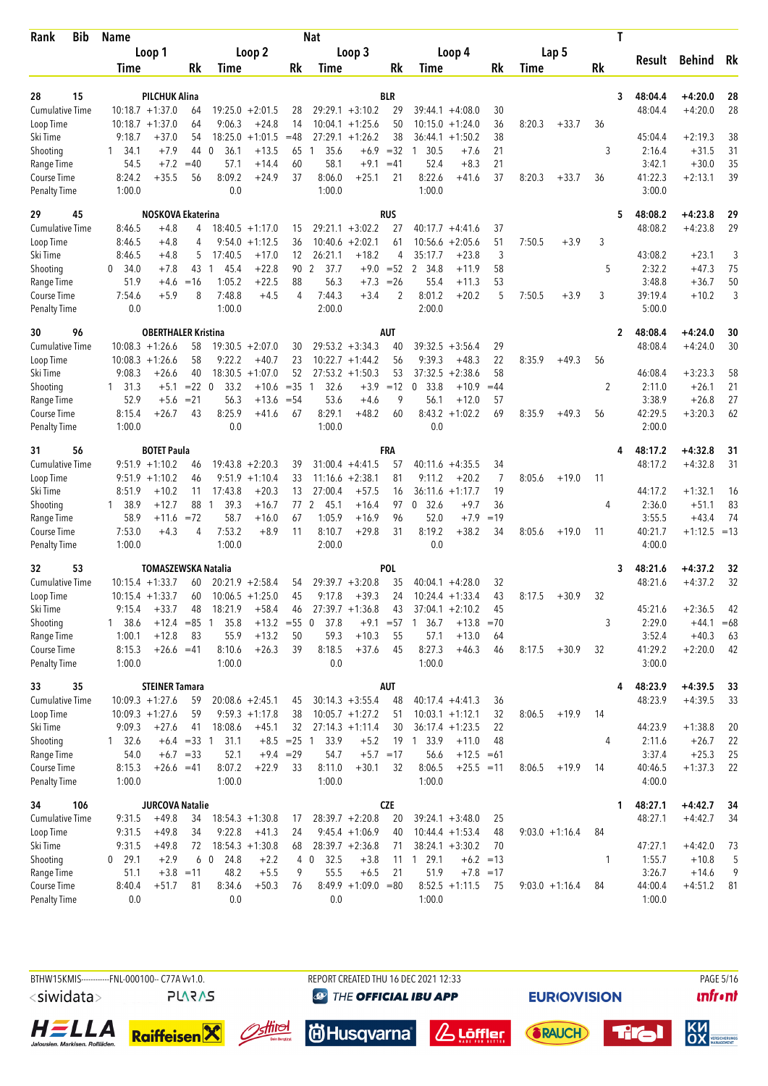| Bib<br>Rank                        | <b>Name</b>      |                               |               |                      |                      |               | <b>Nat</b>             |                                          |             |                        |                            |          |        |                  |           | T            |                   |                      |        |
|------------------------------------|------------------|-------------------------------|---------------|----------------------|----------------------|---------------|------------------------|------------------------------------------|-------------|------------------------|----------------------------|----------|--------|------------------|-----------|--------------|-------------------|----------------------|--------|
|                                    |                  | Loop 1                        |               |                      | Loop 2               |               |                        | Loop 3                                   |             |                        | Loop 4                     |          |        | Lap 5            |           |              |                   |                      |        |
|                                    | Time             |                               | Rk            | Time                 |                      | Rk            | Time                   |                                          | Rk          | Time                   |                            | Rk       | Time   |                  | <b>Rk</b> |              | Result            | Behind               | Rk     |
|                                    |                  |                               |               |                      |                      |               |                        |                                          |             |                        |                            |          |        |                  |           |              |                   |                      |        |
| 15<br>28                           |                  | <b>PILCHUK Alina</b>          |               |                      |                      |               |                        |                                          | <b>BLR</b>  |                        |                            |          |        |                  |           | 3            | 48:04.4           | $+4:20.0$            | 28     |
| <b>Cumulative Time</b>             |                  | $10:18.7 + 1:37.0$            | 64            |                      | $19:25.0 + 2:01.5$   | 28            |                        | $29:29.1 + 3:10.2$                       | 29          | $39:44.1 + 4:08.0$     |                            | 30       |        |                  |           |              | 48:04.4           | $+4:20.0$            | 28     |
| Loop Time                          | 9:18.7           | $10:18.7 + 1:37.0$<br>$+37.0$ | 64<br>54      | 9:06.3<br>18:25.0    | $+24.8$<br>$+1:01.5$ | 14<br>$=48$   |                        | $10:04.1 + 1:25.6$<br>$27:29.1 + 1:26.2$ | 50<br>38    | 10:15.0<br>36:44.1     | $+1:24.0$<br>$+1:50.2$     | 36<br>38 | 8:20.3 | $+33.7$          | 36        |              | 45:04.4           | $+2:19.3$            | 38     |
| Ski Time<br>Shooting               | $1 \quad 34.1$   | $+7.9$                        | 44            | 36.1<br>- 0          | $+13.5$              | 65            | 35.6<br>1              | $+6.9$                                   | $=32$       | 30.5<br>1              | $+7.6$                     | 21       |        |                  | 3         |              | 2:16.4            | $+31.5$              | 31     |
| Range Time                         | 54.5             | $+7.2$                        | $=40$         | 57.1                 | $+14.4$              | 60            | 58.1                   | $+9.1$                                   | $=41$       | 52.4                   | $+8.3$                     | 21       |        |                  |           |              | 3:42.1            | $+30.0$              | 35     |
| Course Time                        | 8:24.2           | $+35.5$                       | 56            | 8:09.2               | $+24.9$              | 37            | 8:06.0                 | $+25.1$                                  | 21          | 8:22.6                 | $+41.6$                    | 37       | 8:20.3 | $+33.7$          | 36        |              | 41:22.3           | $+2:13.1$            | 39     |
| Penalty Time                       | 1:00.0           |                               |               | 0.0                  |                      |               | 1:00.0                 |                                          |             | 1:00.0                 |                            |          |        |                  |           |              | 3:00.0            |                      |        |
| 29<br>45                           |                  | NOSKOVA Ekaterina             |               |                      |                      |               |                        |                                          | <b>RUS</b>  |                        |                            |          |        |                  |           | 5            | 48:08.2           | $+4:23.8$            | 29     |
| <b>Cumulative Time</b>             | 8:46.5           | +4.8                          | 4             |                      | $18:40.5 + 1:17.0$   | 15            |                        | $29:21.1 + 3:02.2$                       | 27          | $40:17.7 + 4:41.6$     |                            | 37       |        |                  |           |              | 48:08.2           | $+4:23.8$            | 29     |
| Loop Time                          | 8:46.5           | +4.8                          | 4             | 9:54.0               | $+1:12.5$            | 36            |                        | $10:40.6 + 2:02.1$                       | 61          | 10:56.6                | $+2:05.6$                  | 51       | 7:50.5 | $+3.9$           | 3         |              |                   |                      |        |
| Ski Time                           | 8:46.5           | $+4.8$                        | 5             | 17:40.5              | $+17.0$              | 12            | 26:21.1                | $+18.2$                                  | 4           | 35:17.7                | $+23.8$                    | 3        |        |                  |           |              | 43:08.2           | $+23.1$              | 3      |
| Shooting                           | 0<br>34.0        | $+7.8$                        | 43            | 45.4<br>-1           | $+22.8$              | 90            | $\overline{2}$<br>37.7 |                                          | $+9.0 = 52$ | $\overline{2}$<br>34.8 | $+11.9$                    | 58       |        |                  | 5         |              | 2:32.2            | $+47.3$              | 75     |
| Range Time                         | 51.9             | $+4.6$                        | $=16$         | 1:05.2               | $+22.5$              | 88            | 56.3                   | $+7.3$                                   | $=26$       | 55.4                   | $+11.3$                    | 53       |        |                  |           |              | 3:48.8            | $+36.7$              | 50     |
| Course Time                        | 7:54.6           | $+5.9$                        | 8             | 7:48.8               | $+4.5$               | 4             | 7:44.3                 | $+3.4$                                   | 2           | 8:01.2                 | $+20.2$                    | 5        | 7:50.5 | $+3.9$           | 3         |              | 39:19.4           | $+10.2$              | 3      |
| <b>Penalty Time</b>                | 0.0              |                               |               | 1:00.0               |                      |               | 2:00.0                 |                                          |             | 2:00.0                 |                            |          |        |                  |           |              | 5:00.0            |                      |        |
| 96<br>30                           |                  | <b>OBERTHALER Kristina</b>    |               |                      |                      |               |                        |                                          | AUT         |                        |                            |          |        |                  |           | $\mathbf{2}$ | 48:08.4           | $+4:24.0$            | 30     |
| <b>Cumulative Time</b>             |                  | $10:08.3 + 1:26.6$            | 58            |                      | $19:30.5 + 2:07.0$   | 30            |                        | $29:53.2 +3:34.3$                        | 40          | 39:32.5                | $+3:56.4$                  | 29       |        |                  |           |              | 48:08.4           | $+4:24.0$            | 30     |
| Loop Time                          |                  | $10:08.3 + 1:26.6$            | 58            | 9:22.2               | $+40.7$              | 23            |                        | $10:22.7 +1:44.2$                        | 56          | 9:39.3                 | $+48.3$                    | 22       | 8:35.9 | $+49.3$          | 56        |              |                   |                      |        |
| Ski Time                           | 9:08.3           | $+26.6$                       | 40            |                      | $18:30.5 + 1:07.0$   | 52            |                        | $27:53.2 +1:50.3$                        | 53          | 37:32.5                | $+2:38.6$                  | 58       |        |                  |           |              | 46:08.4           | $+3:23.3$            | 58     |
| Shooting                           | $1 \quad 31.3$   | $+5.1$                        | $= 22 \ 0$    | 33.2                 | $+10.6$              | $=35$         | 32.6<br>$\overline{1}$ | $+3.9$                                   | $=12$       | $\mathbf 0$<br>33.8    | $+10.9$                    | $=44$    |        |                  | 2         |              | 2:11.0            | $+26.1$              | 21     |
| Range Time                         | 52.9             | $+5.6$                        | $= 21$        | 56.3                 | $+13.6$              | $= 54$        | 53.6                   | $+4.6$                                   | 9           | 56.1                   | $+12.0$                    | 57       |        |                  |           |              | 3:38.9            | $+26.8$              | 27     |
| Course Time                        | 8:15.4           | $+26.7$                       | 43            | 8:25.9               | +41.6                | 67            | 8:29.1                 | $+48.2$                                  | 60          | 8:43.2                 | $+1:02.2$                  | 69       | 8:35.9 | $+49.3$          | 56        |              | 42:29.5           | $+3:20.3$            | 62     |
| <b>Penalty Time</b>                | 1:00.0           |                               |               | 0.0                  |                      |               | 1:00.0                 |                                          |             | 0.0                    |                            |          |        |                  |           |              | 2:00.0            |                      |        |
| 56<br>31                           |                  | <b>BOTET Paula</b>            |               |                      |                      |               |                        |                                          | FRA         |                        |                            |          |        |                  |           | 4            | 48:17.2           | $+4:32.8$            | 31     |
| <b>Cumulative Time</b>             |                  | $9:51.9 +1:10.2$              | 46            |                      | $19:43.8 + 2:20.3$   | 39            |                        | $31:00.4 +4:41.5$                        | 57          | 40:11.6                | $+4:35.5$                  | 34       |        |                  |           |              | 48:17.2           | $+4:32.8$            | 31     |
| Loop Time                          |                  | $9:51.9 +1:10.2$              | 46            |                      | $9:51.9 +1:10.4$     | 33            |                        | $11:16.6 + 2:38.1$                       | 81          | 9:11.2                 | $+20.2$                    | 7        | 8:05.6 | $+19.0$          | 11        |              |                   |                      |        |
| Ski Time                           | 8:51.9           | $+10.2$                       | 11            | 17:43.8              | $+20.3$              | 13            | 27:00.4                | $+57.5$                                  | 16          | 36:11.6                | $+1:17.7$                  | 19       |        |                  |           |              | 44:17.2           | $+1:32.1$            | 16     |
| Shooting                           | 1 38.9           | $+12.7$                       | 88            | 39.3<br>$\mathbf{1}$ | $+16.7$              | 77            | 2<br>45.1              | $+16.4$                                  | 97          | 0, 32.6                | $+9.7$                     | 36       |        |                  | 4         |              | 2:36.0            | $+51.1$              | 83     |
| Range Time                         | 58.9             | $+11.6$                       | $= 72$        | 58.7                 | $+16.0$              | 67            | 1:05.9                 | $+16.9$                                  | 96          | 52.0                   | $+7.9$                     | $=19$    |        |                  |           |              | 3:55.5            | $+43.4$              | 74     |
| Course Time                        | 7:53.0           | $+4.3$                        | 4             | 7:53.2               | $+8.9$               | 11            | 8:10.7                 | $+29.8$                                  | 31          | 8:19.2                 | $+38.2$                    | 34       | 8:05.6 | $+19.0$          | 11        |              | 40:21.7           | $+1:12.5$            | $=13$  |
| <b>Penalty Time</b>                | 1:00.0           |                               |               | 1:00.0               |                      |               | 2:00.0                 |                                          |             | 0.0                    |                            |          |        |                  |           |              | 4:00.0            |                      |        |
| 53<br>32                           |                  | <b>TOMASZEWSKA Natalia</b>    |               |                      |                      |               |                        |                                          | <b>POL</b>  |                        |                            |          |        |                  |           | 3            | 48:21.6           | +4:37.2              | 32     |
| <b>Cumulative Time</b>             |                  | $10:15.4 + 1:33.7$            | 60            |                      | $20:21.9 + 2:58.4$   | 54            |                        | $29:39.7 + 3:20.8$                       | 35          | $40:04.1 + 4:28.0$     |                            | 32       |        |                  |           |              | 48:21.6           | $+4:37.2$            | 32     |
| Loop Time                          |                  | $10:15.4 + 1:33.7$            | 60            |                      | $10:06.5 + 1:25.0$   | 45            | 9:17.8                 | $+39.3$                                  | 24          | $10:24.4 + 1:33.4$     |                            | 43       | 8:17.5 | $+30.9$          | 32        |              |                   |                      |        |
| Ski Time                           | 9:15.4           | $+33.7$                       | 48            | 18:21.9              | $+58.4$              | 46            |                        | $27:39.7 +1:36.8$                        | 43          | $37:04.1 + 2:10.2$     |                            | 45       |        |                  |           |              | 45:21.6           | $+2:36.5$            | 42     |
| Shooting                           | 138.6            | $+12.4$                       | $= 85$        | 35.8<br>-1           | $+13.2 = 55$         |               | 37.8<br>$\mathbf 0$    | $+9.1$                                   | $= 57$      | 36.7<br>1              | $+13.8$                    | $=70$    |        |                  | 3         |              | 2:29.0            | $+44.1$              | $=68$  |
| Range Time                         | 1:00.1           | $+12.8$                       | 83            | 55.9                 | $+13.2$              | 50            | 59.3                   | $+10.3$                                  | 55          | 57.1                   | $+13.0$                    | 64       |        |                  |           |              | 3:52.4            | $+40.3$              | 63     |
| Course Time                        | 8:15.3           | $+26.6 = 41$                  |               | 8:10.6               | $+26.3$              | 39            | 8:18.5                 | $+37.6$                                  | 45          | 8:27.3                 | $+46.3$                    | 46       | 8:17.5 | $+30.9$          | 32        |              | 41:29.2           | $+2:20.0$            | 42     |
| <b>Penalty Time</b>                | 1:00.0           |                               |               | 1:00.0               |                      |               | 0.0                    |                                          |             | 1:00.0                 |                            |          |        |                  |           |              | 3:00.0            |                      |        |
| 35<br>33                           |                  | <b>STEINER Tamara</b>         |               |                      |                      |               |                        |                                          | AUT         |                        |                            |          |        |                  |           | 4            | 48:23.9           | $+4:39.5$            | 33     |
| <b>Cumulative Time</b>             |                  | $10:09.3 + 1:27.6$            | 59            |                      | $20:08.6 + 2:45.1$   | 45            |                        | $30:14.3 + 3:55.4$                       | 48          | $40:17.4 +4:41.3$      |                            | 36       |        |                  |           |              | 48:23.9           | $+4:39.5$            | 33     |
| Loop Time                          |                  | $10:09.3 + 1:27.6$            | 59            |                      | $9:59.3 +1:17.8$     | 38            |                        | $10:05.7 + 1:27.2$                       | 51          | $10:03.1 + 1:12.1$     |                            | 32       | 8:06.5 | $+19.9$          | 14        |              |                   |                      |        |
| Ski Time                           | 9:09.3           | $+27.6$                       | 41            | 18:08.6              | $+45.1$              | 32            |                        | $27:14.3 +1:11.4$                        | 30          | $36:17.4 + 1:23.5$     |                            | 22       |        |                  |           |              | 44:23.9           | $+1:38.8$            | 20     |
| Shooting                           | 132.6            |                               | $+6.4 = 33$ 1 | 31.1                 |                      | $+8.5 = 25$ 1 | 33.9                   | $+5.2$                                   |             | 19 1 33.9              | $+11.0$                    | 48       |        |                  | 4         |              | 2:11.6            | $+26.7$              | 22     |
| Range Time                         | 54.0             |                               | $+6.7 = 33$   | 52.1                 |                      | $+9.4 = 29$   | 54.7                   |                                          | $+5.7 = 17$ | 56.6                   | $+12.5 = 61$               |          |        |                  |           |              | 3:37.4            | $+25.3$              | 25     |
| Course Time<br><b>Penalty Time</b> | 8:15.3<br>1:00.0 | $+26.6 = 41$                  |               | 8:07.2<br>1:00.0     | $+22.9$              | 33            | 8:11.0<br>1:00.0       | $+30.1$                                  | 32          | 8:06.5<br>1:00.0       | $+25.5 = 11$               |          | 8:06.5 | $+19.9$          | 14        |              | 40:46.5<br>4:00.0 | $+1:37.3$            | 22     |
|                                    |                  |                               |               |                      |                      |               |                        |                                          |             |                        |                            |          |        |                  |           |              |                   |                      |        |
| 106<br>34                          |                  | <b>JURCOVA Natalie</b>        |               |                      |                      |               |                        |                                          | <b>CZE</b>  |                        |                            |          |        |                  |           | 1            | 48:27.1           | $+4:42.7$            | 34     |
| <b>Cumulative Time</b>             | 9:31.5           | $+49.8$                       | 34            |                      | $18:54.3 + 1:30.8$   | 17            |                        | $28:39.7 + 2:20.8$                       | 20          | $39:24.1 + 3:48.0$     |                            | 25       |        |                  |           |              | 48:27.1           | $+4:42.7$            | 34     |
| Loop Time                          | 9:31.5           | $+49.8$                       | 34            | 9:22.8               | $+41.3$              | 24            |                        | $9:45.4 +1:06.9$                         | 40          | $10:44.4 + 1:53.4$     |                            | 48       |        | $9:03.0 +1:16.4$ | 84        |              |                   |                      |        |
| Ski Time                           | 9:31.5           | $+49.8$                       | 72            |                      | $18:54.3 + 1:30.8$   | 68            |                        | $28:39.7 + 2:36.8$                       | 71          | $38:24.1 + 3:30.2$     |                            | 70       |        |                  |           |              | 47:27.1           | $+4:42.0$            | 73     |
| Shooting                           | $0$ 29.1         | $+2.9$                        | $+3.8 = 11$   | 6 0<br>24.8<br>48.2  | $+2.2$<br>$+5.5$     |               | 32.5<br>4 0<br>55.5    | $+3.8$<br>$+6.5$                         | 11<br>21    | $1 \t29.1$<br>51.9     | $+6.2 = 13$<br>$+7.8 = 17$ |          |        |                  | 1         |              | 1:55.7<br>3:26.7  | $+10.8$              | 5<br>9 |
| Range Time<br>Course Time          | 51.1<br>8:40.4   | $+51.7$                       | 81            | 8:34.6               | $+50.3$              | 9<br>76       |                        | $8:49.9 +1:09.0 = 80$                    |             | $8:52.5 +1:11.5$       |                            | 75       |        | $9:03.0 +1:16.4$ | 84        |              | 44:00.4           | $+14.6$<br>$+4:51.2$ | 81     |
| <b>Penalty Time</b>                | 0.0              |                               |               | 0.0                  |                      |               | 0.0                    |                                          |             | 1:00.0                 |                            |          |        |                  |           |              | 1:00.0            |                      |        |
|                                    |                  |                               |               |                      |                      |               |                        |                                          |             |                        |                            |          |        |                  |           |              |                   |                      |        |



**EURIOVISION** 















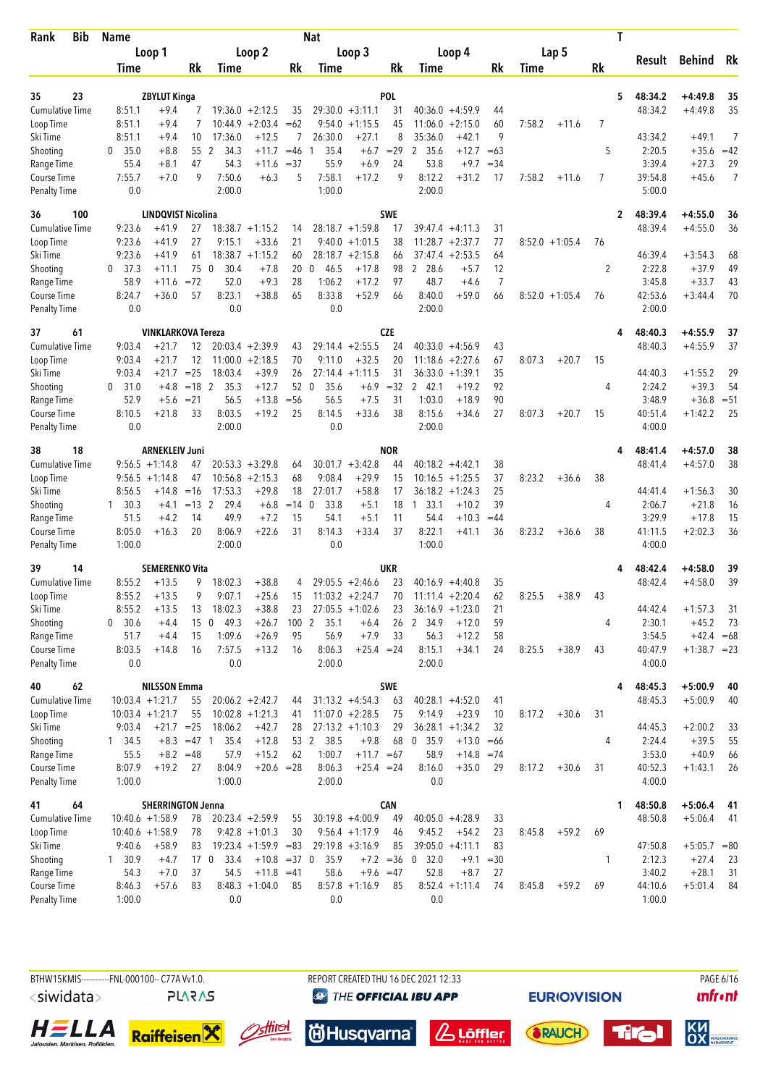| Bib<br>Rank                        | <b>Name</b>          |                           |               |                         |                                      |        | <b>Nat</b>          |                      |             |                      |                      |         |        |                  |           | T            |                    |                |                |
|------------------------------------|----------------------|---------------------------|---------------|-------------------------|--------------------------------------|--------|---------------------|----------------------|-------------|----------------------|----------------------|---------|--------|------------------|-----------|--------------|--------------------|----------------|----------------|
|                                    |                      | Loop 1                    |               |                         | Loop 2                               |        |                     | Loop 3               |             |                      | Loop 4               |         |        | Lap 5            |           |              |                    |                |                |
|                                    | Time                 |                           | Rk            | Time                    |                                      | Rk     | Time                |                      | Rk          | Time                 |                      | Rk      | Time   |                  | <b>Rk</b> |              | Result             | Behind         | Rk             |
|                                    |                      |                           |               |                         |                                      |        |                     |                      |             |                      |                      |         |        |                  |           |              |                    |                |                |
| 23<br>35                           |                      | <b>ZBYLUT Kinga</b>       |               |                         |                                      |        |                     |                      | <b>POL</b>  |                      |                      |         |        |                  |           | 5            | 48:34.2            | $+4:49.8$      | 35             |
| <b>Cumulative Time</b>             | 8:51.1               | $+9.4$                    |               |                         | $19:36.0 + 2:12.5$<br>$+2:03.4 = 62$ | 35     |                     | $29:30.0 + 3:11.1$   | 31          |                      | $40:36.0 + 4:59.9$   | 44      |        |                  |           |              | 48:34.2            | $+4:49.8$      | 35             |
| Loop Time<br>Ski Time              | 8:51.1<br>8:51.1     | $+9.4$<br>$+9.4$          | 10            | 10:44.9<br>17:36.0      | $+12.5$                              | 7      | 9:54.0<br>26:30.0   | $+1:15.5$<br>$+27.1$ | 45<br>8     | 11:06.0<br>35:36.0   | $+2:15.0$<br>$+42.1$ | 60<br>9 | 7:58.2 | $+11.6$          | 7         |              | 43:34.2            | $+49.1$        | $\overline{7}$ |
| Shooting                           | 35.0<br>$\mathbf{0}$ | $+8.8$                    |               | 55 2<br>34.3            | $+11.7$                              | $=46$  | 35.4<br>-1          | $+6.7$               | $=29$       | 2 35.6               | $+12.7$              | $=63$   |        |                  | 5         |              | 2:20.5             | $+35.6$        | $=42$          |
| Range Time                         | 55.4                 | $+8.1$                    | 47            | 54.3                    | +11.6                                | $= 37$ | 55.9                | $+6.9$               | 24          | 53.8                 | $+9.7$               | $=34$   |        |                  |           |              | 3:39.4             | $+27.3$        | 29             |
| Course Time                        | 7:55.7               | $+7.0$                    | 9             | 7:50.6                  | $+6.3$                               | 5      | 7:58.1              | $+17.2$              | 9           | 8:12.2               | $+31.2$              | 17      | 7:58.2 | $+11.6$          | 7         |              | 39:54.8            | $+45.6$        | $\overline{7}$ |
| <b>Penalty Time</b>                | 0.0                  |                           |               | 2:00.0                  |                                      |        | 1:00.0              |                      |             | 2:00.0               |                      |         |        |                  |           |              | 5:00.0             |                |                |
| 36<br>100                          |                      | <b>LINDQVIST Nicolina</b> |               |                         |                                      |        |                     |                      | SWE         |                      |                      |         |        |                  |           | $\mathbf{2}$ | 48:39.4            | $+4:55.0$      | 36             |
| <b>Cumulative Time</b>             | 9:23.6               | $+41.9$                   | 27            |                         | $18:38.7 + 1:15.2$                   | 14     |                     | $28:18.7 + 1:59.8$   | 17          |                      | $39:47.4 + 4:11.3$   | 31      |        |                  |           |              | 48:39.4            | $+4:55.0$      | 36             |
| Loop Time                          | 9:23.6               | $+41.9$                   | 27            | 9:15.1                  | $+33.6$                              | 21     |                     | $9:40.0 +1:01.5$     | 38          |                      | $11:28.7 + 2:37.7$   | 77      |        | $8:52.0 +1:05.4$ | 76        |              |                    |                |                |
| Ski Time                           | 9:23.6               | $+41.9$                   | 61            |                         | $18:38.7 + 1:15.2$                   | 60     |                     | $28:18.7 + 2:15.8$   | 66          |                      | $37:47.4 + 2:53.5$   | 64      |        |                  |           |              | 46:39.4            | $+3:54.3$      | 68             |
| Shooting                           | 37.3<br>0            | $+11.1$                   | 75            | $\overline{0}$<br>30.4  | $+7.8$                               | 20     | 46.5<br>$\mathbf 0$ | $+17.8$              | 98          | 2 28.6               | $+5.7$               | 12      |        |                  | 2         |              | 2:22.8             | $+37.9$        | 49             |
| Range Time                         | 58.9                 | $+11.6$                   | $= 72$        | 52.0                    | $+9.3$                               | 28     | 1:06.2              | $+17.2$              | 97          | 48.7                 | $+4.6$               | 7       |        |                  |           |              | 3:45.8             | $+33.7$        | 43             |
| Course Time                        | 8:24.7               | $+36.0$                   | 57            | 8:23.1                  | $+38.8$                              | 65     | 8:33.8              | $+52.9$              | 66          | 8:40.0               | $+59.0$              | 66      |        | $8:52.0 +1:05.4$ | 76        |              | 42:53.6            | $+3:44.4$      | 70             |
| <b>Penalty Time</b>                | 0.0                  |                           |               | 0.0                     |                                      |        | 0.0                 |                      |             | 2:00.0               |                      |         |        |                  |           |              | 2:00.0             |                |                |
| 37<br>61                           |                      | <b>VINKLARKOVA Tereza</b> |               |                         |                                      |        |                     |                      | <b>CZE</b>  |                      |                      |         |        |                  |           | 4            | 48:40.3            | $+4:55.9$      | 37             |
| <b>Cumulative Time</b>             | 9:03.4               | $+21.7$                   | 12            |                         | $20:03.4 +2:39.9$                    | 43     |                     | $29:14.4 + 2:55.5$   | 24          |                      | $40:33.0 +4:56.9$    | 43      |        |                  |           |              | 48:40.3            | $+4:55.9$      | 37             |
| Loop Time                          | 9:03.4               | $+21.7$                   | 12            |                         | $11:00.0 + 2:18.5$                   | 70     | 9:11.0              | $+32.5$              | 20          | 11:18.6              | $+2:27.6$            | 67      | 8:07.3 | $+20.7$          | 15        |              |                    |                |                |
| Ski Time                           | 9:03.4               | $+21.7$                   | $=25$         | 18:03.4                 | $+39.9$                              | 26     |                     | $27:14.4 + 1:11.5$   | 31          |                      | $36:33.0 + 1:39.1$   | 35      |        |                  |           |              | 44:40.3            | $+1:55.2$      | 29             |
| Shooting                           | $0$ 31.0             | $+4.8$                    | $=18$ 2       | 35.3                    | $+12.7$                              | 52 0   | 35.6                | $+6.9$               | $=32$       | 2 42.1               | $+19.2$              | 92      |        |                  | 4         |              | 2:24.2             | $+39.3$        | 54             |
| Range Time                         | 52.9                 | $+5.6$                    | $= 21$        | 56.5                    | $+13.8$                              | $=$ 56 | 56.5                | $+7.5$               | 31          | 1:03.0               | $+18.9$              | 90      |        |                  |           |              | 3:48.9             | $+36.8$        | $= 51$         |
| Course Time                        | 8:10.5               | $+21.8$                   | 33            | 8:03.5                  | $+19.2$                              | 25     | 8:14.5              | $+33.6$              | 38          | 8:15.6               | $+34.6$              | 27      | 8:07.3 | $+20.7$          | 15        |              | 40:51.4            | $+1:42.2$      | 25             |
| <b>Penalty Time</b>                | 0.0                  |                           |               | 2:00.0                  |                                      |        | 0.0                 |                      |             | 2:00.0               |                      |         |        |                  |           |              | 4:00.0             |                |                |
| 18<br>38                           |                      | <b>ARNEKLEIV Juni</b>     |               |                         |                                      |        |                     |                      | <b>NOR</b>  |                      |                      |         |        |                  |           | 4            | 48:41.4            | $+4:57.0$      | 38             |
| <b>Cumulative Time</b>             |                      | $9:56.5 +1:14.8$          | 47            |                         | $20:53.3 + 3:29.8$                   | 64     |                     | $30:01.7 + 3:42.8$   | 44          |                      | $40:18.2 +4:42.1$    | 38      |        |                  |           |              | 48:41.4            | $+4:57.0$      | 38             |
| Loop Time                          |                      | $9:56.5 +1:14.8$          | 47            |                         | $10:56.8 + 2:15.3$                   | 68     | 9:08.4              | $+29.9$              | 15          | 10:16.5              | $+1:25.5$            | 37      | 8:23.2 | $+36.6$          | 38        |              |                    |                |                |
| Ski Time                           | 8:56.5               | +14.8                     | $=16$         | 17:53.3                 | $+29.8$                              | 18     | 27:01.7             | $+58.8$              | 17          | 36:18.2              | $+1:24.3$            | 25      |        |                  |           |              | 44:41.4            | $+1:56.3$      | 30             |
| Shooting                           | $1 \quad 30.3$       | $+4.1$                    | $= 132$       | 29.4                    | $+6.8$                               | $=14$  | 33.8<br>$\Omega$    | $+5.1$               | 18          | 33.1<br>$\mathbf{1}$ | $+10.2$              | 39      |        |                  | 4         |              | 2:06.7             | $+21.8$        | 16             |
| Range Time                         | 51.5                 | $+4.2$                    | 14            | 49.9                    | $+7.2$                               | 15     | 54.1                | $+5.1$               | 11          | 54.4                 | $+10.3$              | $=44$   |        |                  |           |              | 3:29.9             | $+17.8$        | 15             |
| Course Time<br><b>Penalty Time</b> | 8:05.0<br>1:00.0     | $+16.3$                   | 20            | 8:06.9<br>2:00.0        | $+22.6$                              | 31     | 8:14.3<br>0.0       | $+33.4$              | 37          | 8:22.1<br>1:00.0     | $+41.1$              | 36      | 8:23.2 | $+36.6$          | 38        |              | 41:11.5<br>4:00.0  | $+2:02.3$      | 36             |
| 39                                 |                      | <b>SEMERENKO Vita</b>     |               |                         |                                      |        |                     |                      | UKR         |                      |                      |         |        |                  |           |              |                    | $+4:58.0$      |                |
| 14<br><b>Cumulative Time</b>       | 8:55.2               | $+13.5$                   | 9             | 18:02.3                 | $+38.8$                              | 4      |                     | $29:05.5 + 2:46.6$   | 23          |                      | $40:16.9 + 4:40.8$   | 35      |        |                  |           |              | 48:42.4<br>48:42.4 | $+4:58.0$      | 39<br>39       |
| Loop Time                          | 8:55.2               | $+13.5$                   | 9             | 9:07.1                  | $+25.6$                              | 15     |                     | $11:03.2 +2:24.7$    | 70          |                      | $11:11.4 + 2:20.4$   | 62      | 8:25.5 | $+38.9$          | 43        |              |                    |                |                |
| Ski Time                           | 8:55.2               | $+13.5$                   | 13            | 18:02.3                 | $+38.8$                              | 23     |                     | $27:05.5 +1:02.6$    | 23          |                      | $36:16.9 + 1:23.0$   | 21      |        |                  |           |              | 44:42.4            | $+1:57.3$      | 31             |
| Shooting                           | 30.6<br>$\mathbf{0}$ | $+4.4$                    | 15            | 49.3<br>$\mathbf 0$     | $+26.7$                              | 100 2  | 35.1                | $+6.4$               | 26          | 2 34.9               | $+12.0$              | 59      |        |                  | 4         |              | 2:30.1             | $+45.2$        | 73             |
| Range Time                         | 51.7                 | $+4.4$                    | 15            | 1:09.6                  | $+26.9$                              | 95     | 56.9                | $+7.9$               | 33          | 56.3                 | $+12.2$              | 58      |        |                  |           |              | 3:54.5             | $+42.4 = 68$   |                |
| Course Time                        | 8:03.5               | $+14.8$                   | 16            | 7:57.5                  | $+13.2$                              | 16     | 8:06.3              | $+25.4 = 24$         |             | 8:15.1               | $+34.1$              | 24      | 8:25.5 | $+38.9$          | 43        |              | 40:47.9            | $+1:38.7 = 23$ |                |
| <b>Penalty Time</b>                | 0.0                  |                           |               | 0.0                     |                                      |        | 2:00.0              |                      |             | 2:00.0               |                      |         |        |                  |           |              | 4:00.0             |                |                |
| 62<br>40                           |                      | <b>NILSSON Emma</b>       |               |                         |                                      |        |                     |                      | SWE         |                      |                      |         |        |                  |           | 4            | 48:45.3            | $+5:00.9$      | 40             |
| <b>Cumulative Time</b>             |                      | $10:03.4 +1:21.7$         | 55            |                         | $20:06.2 + 2:42.7$                   | 44     |                     | $31:13.2 +4:54.3$    | 63          |                      | $40:28.1 + 4:52.0$   | 41      |        |                  |           |              | 48:45.3            | $+5:00.9$      | 40             |
| Loop Time                          |                      | $10:03.4 +1:21.7$         | 55            |                         | $10:02.8 + 1:21.3$                   | 41     |                     | $11:07.0 +2:28.5$    | 75          | 9:14.9               | $+23.9$              | 10      | 8:17.2 | $+30.6$          | 31        |              |                    |                |                |
| Ski Time                           | 9:03.4               | $+21.7 = 25$              |               | 18:06.2                 | $+42.7$                              | 28     |                     | $27:13.2 +1:10.3$    | 29          |                      | $36:28.1 + 1:34.2$   | 32      |        |                  |           |              | 44:45.3            | $+2:00.2$      | 33             |
| Shooting                           | 1 34.5               |                           | $+8.3 = 47$ 1 | 35.4                    | $+12.8$                              |        | 53 2<br>38.5        | $+9.8$               | 68          | 0, 35.9              | $+13.0 = 66$         |         |        |                  | 4         |              | 2:24.4             | $+39.5$        | 55             |
| Range Time                         | 55.5                 |                           | $+8.2 = 48$   | 57.9                    | $+15.2$                              | 62     | 1:00.7              | $+11.7 = 67$         |             | 58.9                 | $+14.8 = 74$         |         |        |                  |           |              | 3:53.0             | $+40.9$        | 66             |
| Course Time                        | 8:07.9               | $+19.2$                   | 27            | 8:04.9                  | $+20.6 = 28$                         |        | 8:06.3              | $+25.4 = 24$         |             | 8:16.0               | $+35.0$              | 29      | 8:17.2 | $+30.6$          | 31        |              | 40:52.3            | $+1:43.1$      | 26             |
| <b>Penalty Time</b>                | 1:00.0               |                           |               | 1:00.0                  |                                      |        | 2:00.0              |                      |             | 0.0                  |                      |         |        |                  |           |              | 4:00.0             |                |                |
| 41<br>64                           |                      | <b>SHERRINGTON Jenna</b>  |               |                         |                                      |        |                     |                      | <b>CAN</b>  |                      |                      |         |        |                  |           | 1            | 48:50.8            | $+5:06.4$      | 41             |
| <b>Cumulative Time</b>             |                      | $10:40.6 + 1:58.9$        | 78            |                         | $20:23.4 +2:59.9$                    | 55     |                     | $30:19.8 + 4:00.9$   | 49          |                      | $40:05.0 +4:28.9$    | 33      |        |                  |           |              | 48:50.8            | $+5:06.4$      | 41             |
| Loop Time                          |                      | $10:40.6 + 1:58.9$        | 78            |                         | $9:42.8 +1:01.3$                     | 30     |                     | $9:56.4 +1:17.9$     | 46          | 9:45.2               | $+54.2$              | 23      | 8:45.8 | $+59.2$          | 69        |              |                    |                |                |
| Ski Time                           | 9:40.6               | $+58.9$                   | 83            |                         | $19:23.4 +1:59.9 = 83$               |        |                     | $29:19.8 + 3:16.9$   | 85          |                      | $39:05.0 + 4:11.1$   | 83      |        |                  |           |              | 47:50.8            | $+5:05.7 = 80$ |                |
| Shooting                           | 1, 30.9              | $+4.7$                    |               | 17 <sub>0</sub><br>33.4 | $+10.8 = 37$ 0                       |        | 35.9                |                      | $+7.2 = 36$ | 0, 32.0              | $+9.1$               | $=30$   |        |                  | 1         |              | 2:12.3             | $+27.4$        | 23             |
| Range Time                         | 54.3                 | $+7.0$                    | 37            | 54.5                    | $+11.8 = 41$                         |        | 58.6                | $+9.6 = 47$          |             | 52.8                 | $+8.7$               | 27      |        |                  |           |              | 3:40.2             | $+28.1$        | 31             |
| Course Time                        | 8:46.3               | $+57.6$                   | 83            |                         | $8:48.3 +1:04.0$                     | 85     |                     | $8:57.8 +1:16.9$     | 85          |                      | $8:52.4 +1:11.4$     | 74      | 8:45.8 | $+59.2$          | 69        |              | 44:10.6            | $+5:01.4$      | 84             |
| <b>Penalty Time</b>                | 1:00.0               |                           |               | 0.0                     |                                      |        | 0.0                 |                      |             | 0.0                  |                      |         |        |                  |           |              | 1:00.0             |                |                |



 $\mathbf{u}$ front













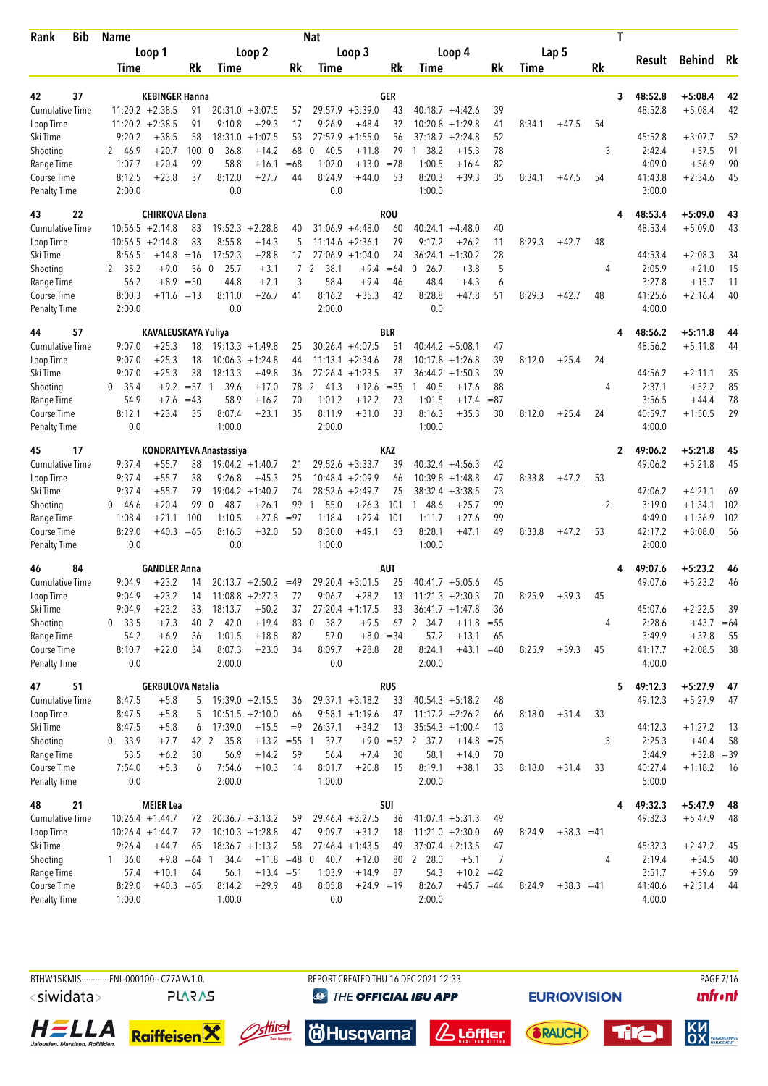| <b>Bib</b><br>Rank                 | <b>Name</b>      |                              |             |                         |                           |                | <b>Nat</b>           |                      |             |                                              |              |              |        |              |           | T |                   |              |           |
|------------------------------------|------------------|------------------------------|-------------|-------------------------|---------------------------|----------------|----------------------|----------------------|-------------|----------------------------------------------|--------------|--------------|--------|--------------|-----------|---|-------------------|--------------|-----------|
|                                    |                  | Loop 1                       |             |                         | Loop 2                    |                |                      | Loop 3               |             | Loop 4                                       |              |              |        | Lap 5        |           |   |                   |              |           |
|                                    | Time             |                              | Rk          | Time                    |                           | Rk             | Time                 |                      | Rk          | Time                                         |              | <b>Rk</b>    | Time   |              | <b>Rk</b> |   | Result            | Behind       | Rk        |
|                                    |                  |                              |             |                         |                           |                |                      |                      |             |                                              |              |              |        |              |           |   |                   |              |           |
| 37<br>42                           |                  | <b>KEBINGER Hanna</b>        |             |                         |                           |                |                      |                      | GER         |                                              |              |              |        |              |           | 3 | 48:52.8           | $+5:08.4$    | 42        |
| <b>Cumulative Time</b>             |                  | $11:20.2 +2:38.5$            | 91          |                         | $20:31.0 + 3:07.5$        | 57             | 9:26.9               | $29:57.9 + 3:39.0$   | 43          | $40:18.7 + 4:42.6$                           |              | 39           |        |              |           |   | 48:52.8           | $+5:08.4$    | 42        |
| Loop Time<br>Ski Time              | 9:20.2           | $11:20.2 +2:38.5$<br>$+38.5$ | 91<br>58    | 9:10.8<br>18:31.0       | $+29.3$<br>$+1:07.5$      | 17<br>53       | 27:57.9              | $+48.4$<br>$+1:55.0$ | 32<br>56    | 10:20.8<br>$+1:29.8$<br>37:18.7<br>$+2:24.8$ |              | 41<br>52     | 8:34.1 | $+47.5$      | 54        |   | 45:52.8           | $+3:07.7$    | 52        |
| Shooting                           | 2 46.9           | $+20.7$                      | 100         | 36.8<br>- 0             | $+14.2$                   | 68             | 40.5<br>0            | $+11.8$              | 79          | 38.2<br>1                                    | $+15.3$      | 78           |        |              | 3         |   | 2:42.4            | $+57.5$      | 91        |
| Range Time                         | 1:07.7           | $+20.4$                      | 99          | 58.8                    | $+16.1$                   | $=68$          | 1:02.0               | $+13.0$              | $=78$       | 1:00.5                                       | $+16.4$      | 82           |        |              |           |   | 4:09.0            | $+56.9$      | 90        |
| Course Time                        | 8:12.5           | $+23.8$                      | 37          | 8:12.0                  | $+27.7$                   | 44             | 8:24.9               | $+44.0$              | 53          | 8:20.3                                       | $+39.3$      | 35           | 8:34.1 | $+47.5$      | 54        |   | 41:43.8           | $+2:34.6$    | 45        |
| <b>Penalty Time</b>                | 2:00.0           |                              |             | 0.0                     |                           |                | 0.0                  |                      |             | 1:00.0                                       |              |              |        |              |           |   | 3:00.0            |              |           |
| 22<br>43                           |                  | <b>CHIRKOVA Elena</b>        |             |                         |                           |                |                      |                      | <b>ROU</b>  |                                              |              |              |        |              |           | 4 | 48:53.4           | $+5:09.0$    | 43        |
| <b>Cumulative Time</b>             |                  | $10:56.5 + 2:14.8$           | 83          |                         | $19:52.3 + 2:28.8$        | 40             |                      | $31:06.9 + 4:48.0$   | 60          | $40:24.1 +4:48.0$                            |              | 40           |        |              |           |   | 48:53.4           | $+5:09.0$    | 43        |
| Loop Time                          |                  | $10:56.5 + 2:14.8$           | 83          | 8:55.8                  | $+14.3$                   | 5              |                      | $11:14.6 + 2:36.1$   | 79          | 9:17.2                                       | $+26.2$      | 11           | 8:29.3 | $+42.7$      | 48        |   |                   |              |           |
| Ski Time                           | 8:56.5           | +14.8                        | $=16$       | 17:52.3                 | $+28.8$                   | 17             |                      | $27:06.9 + 1:04.0$   | 24          | $36:24.1 + 1:30.2$                           |              | 28           |        |              |           |   | 44:53.4           | $+2:08.3$    | 34        |
| Shooting                           | 35.2<br>2        | $+9.0$                       | 56          | $\mathbf{0}$<br>25.7    | $+3.1$                    | $\overline{7}$ | 2<br>38.1            | $+9.4$               | $=64$       | 26.7<br>0                                    | $+3.8$       | 5            |        |              | 4         |   | 2:05.9            | $+21.0$      | 15        |
| Range Time                         | 56.2             | $+8.9$                       | $=50$       | 44.8                    | $+2.1$                    | 3              | 58.4                 | $+9.4$               | 46          | 48.4                                         | $+4.3$       | 6            |        |              |           |   | 3:27.8            | $+15.7$      | 11        |
| <b>Course Time</b>                 | 8:00.3           | $+11.6 = 13$                 |             | 8:11.0                  | $+26.7$                   | 41             | 8:16.2               | $+35.3$              | 42          | 8:28.8                                       | $+47.8$      | 51           | 8:29.3 | $+42.7$      | 48        |   | 41:25.6           | $+2:16.4$    | 40        |
| <b>Penalty Time</b>                | 2:00.0           |                              |             | 0.0                     |                           |                | 2:00.0               |                      |             | 0.0                                          |              |              |        |              |           |   | 4:00.0            |              |           |
| 57<br>44                           |                  | KAVALEUSKAYA Yuliya          |             |                         |                           |                |                      |                      | BLR         |                                              |              |              |        |              |           | 4 | 48:56.2           | $+5:11.8$    | 44        |
| <b>Cumulative Time</b>             | 9:07.0           | $+25.3$                      | 18          |                         | $19:13.3 + 1:49.8$        | 25             |                      | $30:26.4 +4:07.5$    | 51          | $40:44.2 + 5:08.1$                           |              | 47           |        |              |           |   | 48:56.2           | $+5:11.8$    | 44        |
| Loop Time                          | 9:07.0           | $+25.3$                      | 18          |                         | $10:06.3 + 1:24.8$        | 44             |                      | $11:13.1 + 2:34.6$   | 78          | 10:17.8<br>$+1:26.8$                         |              | 39           | 8:12.0 | $+25.4$      | 24        |   |                   |              |           |
| Ski Time                           | 9:07.0           | $+25.3$                      | 38          | 18:13.3                 | $+49.8$                   | 36             |                      | $27:26.4 +1:23.5$    | 37          | $36:44.2 + 1:50.3$                           |              | 39           |        |              |           |   | 44:56.2           | $+2:11.1$    | 35        |
| Shooting                           | 35.4<br>0        | $+9.2$                       | $= 57$ 1    | 39.6                    | $+17.0$                   | 78             | 2<br>41.3            | $+12.6$              | $= 85$      | 40.5<br>1                                    | $+17.6$      | 88           |        |              | 4         |   | 2:37.1            | $+52.2$      | 85        |
| Range Time                         | 54.9             | $+7.6$                       | $=43$       | 58.9                    | $+16.2$                   | 70             | 1:01.2               | $+12.2$              | 73          | 1:01.5                                       | $+17.4$      | $= 87$       |        |              |           |   | 3:56.5            | $+44.4$      | 78        |
| Course Time<br><b>Penalty Time</b> | 8:12.1<br>0.0    | $+23.4$                      | 35          | 8:07.4<br>1:00.0        | $+23.1$                   | 35             | 8:11.9<br>2:00.0     | $+31.0$              | 33          | 8:16.3<br>1:00.0                             | $+35.3$      | 30           | 8:12.0 | $+25.4$      | 24        |   | 40:59.7<br>4:00.0 | $+1:50.5$    | 29        |
| 17<br>45                           |                  |                              |             | KONDRATYEVA Anastassiya |                           |                |                      |                      | KAZ         |                                              |              |              |        |              |           | 2 | 49:06.2           | $+5:21.8$    | 45        |
| <b>Cumulative Time</b>             | 9:37.4           | $+55.7$                      | 38          |                         | $19:04.2 +1:40.7$         | 21             |                      | $29:52.6 + 3:33.7$   | 39          | $40:32.4 +4:56.3$                            |              | 42           |        |              |           |   | 49:06.2           | $+5:21.8$    | 45        |
| Loop Time                          | 9:37.4           | $+55.7$                      | 38          | 9:26.8                  | $+45.3$                   | 25             |                      | $10:48.4 + 2:09.9$   | 66          | 10:39.8<br>$+1:48.8$                         |              | 47           | 8:33.8 | $+47.2$      | 53        |   |                   |              |           |
| Ski Time                           | 9:37.4           | $+55.7$                      | 79          |                         | $19:04.2 +1:40.7$         | 74             |                      | $28:52.6 + 2:49.7$   | 75          | 38:32.4<br>$+3:38.5$                         |              | 73           |        |              |           |   | 47:06.2           | $+4:21.1$    | 69        |
| Shooting                           | 046.6            | $+20.4$                      | 99          | 48.7<br>$\Omega$        | $+26.1$                   | 99             | 55.0<br>$\mathbf{1}$ | $+26.3$              | 101         | 1 48.6                                       | $+25.7$      | 99           |        |              | 2         |   | 3:19.0            | $+1:34.1$    | 102       |
| Range Time                         | 1:08.4           | $+21.1$                      | 100         | 1:10.5                  | $+27.8$                   | $= 97$         | 1:18.4               | $+29.4$              | 101         | 1:11.7                                       | $+27.6$      | 99           |        |              |           |   | 4:49.0            | $+1:36.9$    | 102       |
| Course Time                        | 8:29.0           | $+40.3$                      | $=65$       | 8:16.3                  | $+32.0$                   | 50             | 8:30.0               | $+49.1$              | 63          | 8:28.1                                       | $+47.1$      | 49           | 8:33.8 | $+47.2$      | 53        |   | 42:17.2           | $+3:08.0$    | 56        |
| <b>Penalty Time</b>                | 0.0              |                              |             | 0.0                     |                           |                | 1:00.0               |                      |             | 1:00.0                                       |              |              |        |              |           |   | 2:00.0            |              |           |
| 84<br>46                           |                  | <b>GANDLER Anna</b>          |             |                         |                           |                |                      |                      | AUT         |                                              |              |              |        |              |           |   | 49:07.6           | $+5:23.2$    | 46        |
| <b>Cumulative Time</b>             | 9:04.9           | $+23.2$                      | 14          |                         | $20:13.7 + 2:50.2$        | $=49$          |                      | $29:20.4 + 3:01.5$   | 25          | $40:41.7 + 5:05.6$                           |              | 45           |        |              |           |   | 49:07.6           | $+5:23.2$    | 46        |
| Loop Time                          | 9:04.9           | $+23.2$                      | 14          |                         | $11:08.8 + 2:27.3$        | 72             | 9:06.7               | $+28.2$              | 13          | $11:21.3 + 2:30.3$                           |              | 70           | 8:25.9 | $+39.3$      | 45        |   |                   |              |           |
| Ski Time                           | 9:04.9           | $+23.2$                      | 33          | 18:13.7                 | $+50.2$                   | 37             |                      | $27:20.4 +1:17.5$    | 33          | $36:41.7 +1:47.8$                            |              | 36           |        |              |           |   | 45:07.6           | $+2:22.5$    | 39        |
| Shooting                           | 33.5<br>0        | $+7.3$                       |             | 40 2 42.0               | $+19.4$                   | 83             | $\mathbf 0$<br>38.2  | $+9.5$               | 67          | 2 34.7                                       | $+11.8$      | $= 55$       |        |              | 4         |   | 2:28.6            | $+43.7$      | $=64$     |
| Range Time                         | 54.2             | $+6.9$                       | 36          | 1:01.5                  | $+18.8$                   | 82             | 57.0                 |                      | $+8.0 = 34$ | 57.2                                         | $+13.1$      | 65           |        |              |           |   | 3:49.9            | $+37.8$      | 55        |
| Course Time<br><b>Penalty Time</b> | 8:10.7<br>0.0    | $+22.0$                      | 34          | 8:07.3<br>2:00.0        | $+23.0$                   | 34             | 8:09.7<br>0.0        | $+28.8$              | 28          | 8:24.1<br>2:00.0                             | $+43.1 = 40$ |              | 8:25.9 | $+39.3$      | 45        |   | 41:17.7<br>4:00.0 | $+2:08.5$    | 38        |
|                                    |                  |                              |             |                         |                           |                |                      |                      |             |                                              |              |              |        |              |           |   |                   |              |           |
| 51<br>47                           |                  | <b>GERBULOVA Natalia</b>     |             |                         |                           |                |                      |                      | <b>RUS</b>  |                                              |              |              |        |              |           | 5 | 49:12.3           | $+5:27.9$    | 47        |
| <b>Cumulative Time</b>             | 8:47.5           | $+5.8$                       | 5           |                         | $19:39.0 + 2:15.5$        | 36             |                      | $29:37.1 + 3:18.2$   | 33          | $40:54.3 + 5:18.2$                           |              | 48           |        |              |           |   | 49:12.3           | $+5:27.9$    | 47        |
| Loop Time<br>Ski Time              | 8:47.5<br>8:47.5 | $+5.8$                       | 5           |                         | $10:51.5 + 2:10.0$        | 66<br>$=9$     | 26:37.1              | $9:58.1 + 1:19.6$    | 47          | $11:17.2 + 2:26.2$                           |              | 66           | 8:18.0 | $+31.4$      | 33        |   | 44:12.3           | $+1:27.2$    |           |
| Shooting                           | 33.9<br>0        | $+5.8$<br>$+7.7$             | 6<br>42 2   | 17:39.0<br>35.8         | $+15.5$<br>$+13.2 = 55$ 1 |                | 37.7                 | $+34.2$              | 13          | $35:54.3 +1:00.4$<br>$+9.0 = 52$ 2 37.7      | $+14.8$      | 13<br>$= 75$ |        |              | 5         |   | 2:25.3            | $+40.4$      | -13<br>58 |
| Range Time                         | 53.5             | $+6.2$                       | 30          | 56.9                    | $+14.2$                   | 59             | 56.4                 | $+7.4$               | 30          | 58.1                                         | $+14.0$      | 70           |        |              |           |   | 3:44.9            | $+32.8 = 39$ |           |
| Course Time                        | 7:54.0           | $+5.3$                       | 6           | 7:54.6                  | $+10.3$                   | 14             | 8:01.7               | $+20.8$              | 15          | 8:19.1                                       | $+38.1$      | 33           | 8:18.0 | $+31.4$      | 33        |   | 40:27.4           | $+1:18.2$    | -16       |
| <b>Penalty Time</b>                | 0.0              |                              |             | 2:00.0                  |                           |                | 1:00.0               |                      |             | 2:00.0                                       |              |              |        |              |           |   | 5:00.0            |              |           |
| 21<br>48                           |                  | <b>MEIER Lea</b>             |             |                         |                           |                |                      |                      | SUI         |                                              |              |              |        |              |           | 4 | 49:32.3           | $+5:47.9$    | 48        |
| <b>Cumulative Time</b>             |                  | $10:26.4 + 1:44.7$           | 72          |                         | $20:36.7 + 3:13.2$        | 59             |                      | $29:46.4 + 3:27.5$   | 36          | $41:07.4 +5:31.3$                            |              | 49           |        |              |           |   | 49:32.3           | $+5:47.9$    | 48        |
| Loop Time                          |                  | $10:26.4 + 1:44.7$           | 72          |                         | $10:10.3 + 1:28.8$        | 47             | 9:09.7               | $+31.2$              | 18          | $11:21.0 + 2:30.0$                           |              | 69           | 8:24.9 | $+38.3 = 41$ |           |   |                   |              |           |
| Ski Time                           | 9:26.4           | $+44.7$                      | 65          |                         | $18:36.7 + 1:13.2$        | 58             |                      | $27:46.4 +1:43.5$    | 49          | $37:07.4 +2:13.5$                            |              | 47           |        |              |           |   | 45:32.3           | $+2:47.2$    | 45        |
| Shooting                           | $1 \quad 36.0$   |                              | $+9.8 = 64$ | 34.4<br>$\overline{1}$  | $+11.8$ =48 0             |                | 40.7                 | $+12.0$              | 80          | 2 28.0                                       | $+5.1$       | 7            |        |              | 4         |   | 2:19.4            | $+34.5$      | 40        |
| Range Time                         | 57.4             | $+10.1$                      | 64          | 56.1                    | $+13.4 = 51$              |                | 1:03.9               | $+14.9$              | 87          | 54.3                                         | $+10.2 = 42$ |              |        |              |           |   | 3:51.7            | $+39.6$      | 59        |
| Course Time                        | 8:29.0           | $+40.3 = 65$                 |             | 8:14.2                  | $+29.9$                   | 48             | 8:05.8               | $+24.9 = 19$         |             | 8:26.7                                       | $+45.7 = 44$ |              | 8:24.9 | $+38.3 = 41$ |           |   | 41:40.6           | $+2:31.4$    | 44        |
| <b>Penalty Time</b>                | 1:00.0           |                              |             | 1:00.0                  |                           |                | 0.0                  |                      |             | 2:00.0                                       |              |              |        |              |           |   | 4:00.0            |              |           |













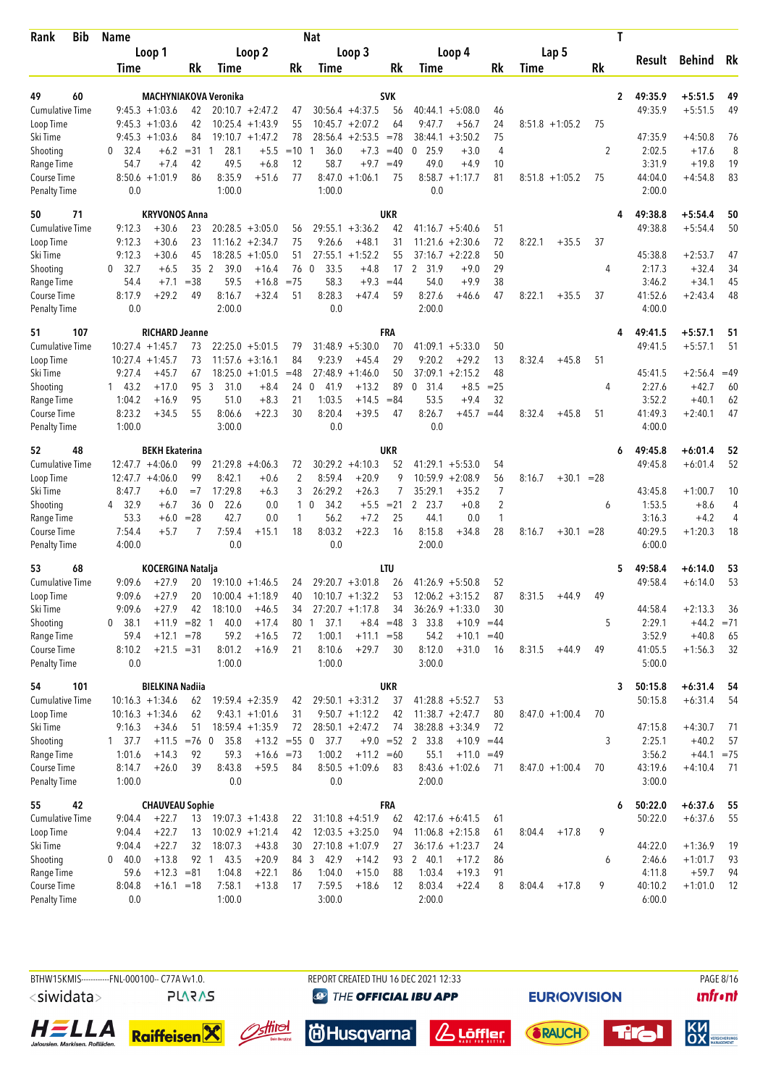| Bib<br>Rank                        | <b>Name</b>          |                                      |          |                              |                    |                | <b>Nat</b>           |                    |             |                              |              |              |                  |              |           | T              |                    |              |       |
|------------------------------------|----------------------|--------------------------------------|----------|------------------------------|--------------------|----------------|----------------------|--------------------|-------------|------------------------------|--------------|--------------|------------------|--------------|-----------|----------------|--------------------|--------------|-------|
|                                    |                      | Loop 1                               |          |                              | Loop 2             |                |                      | Loop 3             |             |                              | Loop 4       |              | Lap 5            |              |           |                | Result             | Behind       | Rk    |
|                                    | <b>Time</b>          |                                      | Rk       | Time                         |                    | Rk             | Time                 |                    | Rk          | Time                         |              | <b>Rk</b>    | Time             |              | <b>Rk</b> |                |                    |              |       |
|                                    |                      |                                      |          |                              |                    |                |                      |                    |             |                              |              |              |                  |              |           |                |                    |              |       |
| 49<br>60                           |                      |                                      |          | <b>MACHYNIAKOVA Veronika</b> | $20:10.7 + 2:47.2$ |                |                      | $30:56.4 +4:37.5$  | <b>SVK</b>  |                              |              |              |                  |              |           | $\overline{2}$ | 49:35.9<br>49:35.9 | $+5:51.5$    | 49    |
| <b>Cumulative Time</b>             |                      | $9:45.3 +1:03.6$                     | 42<br>42 |                              | $10:25.4 +1:43.9$  | 47<br>55       |                      | $10:45.7 + 2:07.2$ | 56<br>64    | $40:44.1 + 5:08.0$<br>9:47.7 | $+56.7$      | 46<br>24     |                  |              |           |                |                    | $+5:51.5$    | 49    |
| Loop Time<br>Ski Time              |                      | $9:45.3 +1:03.6$<br>$9:45.3 +1:03.6$ | 84       |                              | $19:10.7 + 1:47.2$ | 78             | 28:56.4              | $+2:53.5$          | $= 78$      | 38:44.1                      | $+3:50.2$    | 75           | $8:51.8 +1:05.2$ |              | 75        |                | 47:35.9            | $+4:50.8$    | 76    |
| Shooting                           | $\mathbf{0}$<br>32.4 | $+6.2$                               | $= 31$   | 28.1<br>-1                   | $+5.5$             | $=10$          | 36.0<br>1            | $+7.3$             | $=40$       | 0, 25.9                      | $+3.0$       | 4            |                  |              | 2         |                | 2:02.5             | $+17.6$      | 8     |
| Range Time                         | 54.7                 | $+7.4$                               | 42       | 49.5                         | $+6.8$             | 12             | 58.7                 | $+9.7$             | $=49$       | 49.0                         | $+4.9$       | 10           |                  |              |           |                | 3:31.9             | $+19.8$      | 19    |
| Course Time                        |                      | $8:50.6 + 1:01.9$                    | 86       | 8:35.9                       | $+51.6$            | 77             | 8:47.0               | $+1:06.1$          | 75          | $8:58.7 +1:17.7$             |              | 81           | $8:51.8 +1:05.2$ |              | 75        |                | 44:04.0            | $+4:54.8$    | 83    |
| <b>Penalty Time</b>                | 0.0                  |                                      |          | 1:00.0                       |                    |                | 1:00.0               |                    |             | 0.0                          |              |              |                  |              |           |                | 2:00.0             |              |       |
| 71<br>50                           |                      | <b>KRYVONOS Anna</b>                 |          |                              |                    |                |                      |                    | <b>UKR</b>  |                              |              |              |                  |              |           | 4              | 49:38.8            | $+5:54.4$    | 50    |
| <b>Cumulative Time</b>             | 9:12.3               | $+30.6$                              | 23       |                              | $20:28.5 + 3:05.0$ | 56             |                      | $29:55.1 + 3:36.2$ | 42          | $41:16.7 + 5:40.6$           |              | 51           |                  |              |           |                | 49:38.8            | $+5:54.4$    | 50    |
| Loop Time                          | 9:12.3               | $+30.6$                              | 23       |                              | $11:16.2 + 2:34.7$ | 75             | 9:26.6               | $+48.1$            | 31          | 11:21.6                      | $+2:30.6$    | 72           | 8:22.1           | $+35.5$      | 37        |                |                    |              |       |
| Ski Time                           | 9:12.3               | $+30.6$                              | 45       |                              | $18:28.5 + 1:05.0$ | 51             | 27:55.1              | $+1:52.2$          | 55          | $37:16.7 + 2:22.8$           |              | 50           |                  |              |           |                | 45:38.8            | $+2:53.7$    | 47    |
| Shooting                           | 32.7<br>0            | $+6.5$                               | 35       | $\overline{2}$<br>39.0       | $+16.4$            | 76 0           | 33.5                 | $+4.8$             | 17          | $\overline{2}$<br>31.9       | $+9.0$       | 29           |                  |              | 4         |                | 2:17.3             | $+32.4$      | 34    |
| Range Time                         | 54.4                 | $+7.1$                               | $= 38$   | 59.5                         | $+16.8$            | $= 75$         | 58.3                 | $+9.3$             | $=44$       | 54.0                         | $+9.9$       | 38           |                  |              |           |                | 3:46.2             | $+34.1$      | 45    |
| Course Time                        | 8:17.9               | $+29.2$                              | 49       | 8:16.7                       | $+32.4$            | 51             | 8:28.3               | $+47.4$            | 59          | 8:27.6                       | +46.6        | 47           | 8:22.1           | $+35.5$      | 37        |                | 41:52.6            | $+2:43.4$    | 48    |
| <b>Penalty Time</b>                | 0.0                  |                                      |          | 2:00.0                       |                    |                | 0.0                  |                    |             | 2:00.0                       |              |              |                  |              |           |                | 4:00.0             |              |       |
| 107<br>51                          |                      | <b>RICHARD Jeanne</b>                |          |                              |                    |                |                      |                    | FRA         |                              |              |              |                  |              |           | 4              | 49:41.5            | $+5:57.1$    | 51    |
| <b>Cumulative Time</b>             |                      | $10:27.4 + 1:45.7$                   | 73       |                              | $22:25.0 + 5:01.5$ | 79             |                      | $31:48.9 + 5:30.0$ | 70          | $41:09.1 + 5:33.0$           |              | 50           |                  |              |           |                | 49:41.5            | $+5:57.1$    | 51    |
| Loop Time                          |                      | $10:27.4$ +1:45.7                    | 73       |                              | $11:57.6 + 3:16.1$ | 84             | 9:23.9               | $+45.4$            | 29          | 9:20.2                       | $+29.2$      | 13           | 8:32.4           | $+45.8$      | 51        |                |                    |              |       |
| Ski Time                           | 9:27.4               | $+45.7$                              | 67       |                              | $18:25.0 + 1:01.5$ | $=48$          |                      | $27:48.9 +1:46.0$  | 50          | $37:09.1 + 2:15.2$           |              | 48           |                  |              |           |                | 45:41.5            | $+2:56.4$    | $=49$ |
| Shooting                           | 143.2                | $+17.0$                              | 95       | 3<br>31.0                    | $+8.4$             | 24 0           | 41.9                 | $+13.2$            | 89          | $\mathbf 0$<br>31.4          | $+8.5$       | $= 25$       |                  |              | 4         |                | 2:27.6             | $+42.7$      | 60    |
| Range Time                         | 1:04.2               | $+16.9$                              | 95       | 51.0                         | $+8.3$             | 21             | 1:03.5               | $+14.5$            | $= 84$      | 53.5                         | $+9.4$       | 32           |                  |              |           |                | 3:52.2             | $+40.1$      | 62    |
| Course Time                        | 8:23.2               | $+34.5$                              | 55       | 8:06.6                       | $+22.3$            | 30             | 8:20.4               | $+39.5$            | 47          | 8:26.7                       | $+45.7$      | $=44$        | 8:32.4           | $+45.8$      | 51        |                | 41:49.3            | $+2:40.1$    | 47    |
| <b>Penalty Time</b>                | 1:00.0               |                                      |          | 3:00.0                       |                    |                | 0.0                  |                    |             | 0.0                          |              |              |                  |              |           |                | 4:00.0             |              |       |
| 48<br>52                           |                      | <b>BEKH Ekaterina</b>                |          |                              |                    |                |                      |                    | UKR         |                              |              |              |                  |              |           | 6              | 49:45.8            | $+6:01.4$    | 52    |
| Cumulative Time                    |                      | $12:47.7 + 4:06.0$                   | 99       |                              | $21:29.8 + 4:06.3$ | 72             |                      | $30:29.2 +4:10.3$  | 52          | $41:29.1 + 5:53.0$           |              | 54           |                  |              |           |                | 49:45.8            | $+6:01.4$    | 52    |
| Loop Time                          |                      | $12:47.7 + 4:06.0$                   | 99       | 8:42.1                       | $+0.6$             | $\overline{2}$ | 8:59.4               | $+20.9$            | 9           | 10:59.9                      | $+2:08.9$    | 56           | 8:16.7           | $+30.1 = 28$ |           |                |                    |              |       |
| Ski Time                           | 8:47.7               | $+6.0$                               | $=7$     | 17:29.8                      | $+6.3$             | 3              | 26:29.2              | $+26.3$            | 7           | 35:29.1                      | $+35.2$      | 7            |                  |              |           |                | 43:45.8            | $+1:00.7$    | 10    |
| Shooting                           | 4 32.9               | $+6.7$                               | 36       | $\overline{0}$<br>22.6       | 0.0                | $\mathbf{1}$   | 34.2<br>$\mathbf{0}$ | $+5.5$             | $= 21$      | 2 23.7                       | $+0.8$       | 2            |                  |              | 6         |                | 1:53.5             | $+8.6$       | 4     |
| Range Time                         | 53.3                 | $+6.0$                               | $= 28$   | 42.7                         | 0.0                | 1              | 56.2                 | $+7.2$             | 25          | 44.1                         | 0.0          | $\mathbf{1}$ |                  |              |           |                | 3:16.3             | $+4.2$       | 4     |
| Course Time                        | 7:54.4               | $+5.7$                               | 7        | 7:59.4                       | $+15.1$            | 18             | 8:03.2               | $+22.3$            | 16          | 8:15.8                       | $+34.8$      | 28           | 8:16.7           | $+30.1 = 28$ |           |                | 40:29.5            | $+1:20.3$    | 18    |
| <b>Penalty Time</b>                | 4:00.0               |                                      |          | 0.0                          |                    |                | 0.0                  |                    |             | 2:00.0                       |              |              |                  |              |           |                | 6:00.0             |              |       |
| 68<br>53                           |                      | <b>KOCERGINA Natalja</b>             |          |                              |                    |                |                      |                    | LTU         |                              |              |              |                  |              |           | 5              | 49:58.4            | $+6:14.0$    | 53    |
| <b>Cumulative Time</b>             | 9:09.6               | $+27.9$                              | 20       |                              | $19:10.0 + 1:46.5$ | 24             |                      | $29:20.7 + 3:01.8$ | 26          | $41:26.9 + 5:50.8$           |              | 52           |                  |              |           |                | 49:58.4            | $+6:14.0$    | 53    |
| Loop Time                          | 9:09.6               | $+27.9$                              | 20       |                              | $10:00.4 + 1:18.9$ | 40             |                      | $10:10.7 + 1:32.2$ | 53          | $12:06.2 + 3:15.2$           |              | 87           | 8:31.5           | $+44.9$      | 49        |                |                    |              |       |
| Ski Time                           | 9:09.6               | $+27.9$                              | 42       | 18:10.0                      | $+46.5$            | 34             |                      | $27:20.7 +1:17.8$  | 34          | $36:26.9 + 1:33.0$           |              | 30           |                  |              |           |                | 44:58.4            | $+2:13.3$    | 36    |
| Shooting                           | 0 38.1               | $+11.9$                              | $=82$ 1  | 40.0                         | $+17.4$            | 80             | 37.1<br>1            |                    | $+8.4 = 48$ | 3, 33.8                      | $+10.9$      | $=44$        |                  |              | 5         |                | 2:29.1             | $+44.2 = 71$ |       |
| Range Time                         | 59.4                 | $+12.1$                              | $= 78$   | 59.2                         | $+16.5$            | 72             | 1:00.1               | $+11.1 = 58$       |             | 54.2                         | $+10.1$      | $=40$        |                  |              |           |                | 3:52.9             | $+40.8$      | 65    |
| Course Time<br><b>Penalty Time</b> | 8:10.2<br>0.0        | $+21.5 = 31$                         |          | 8:01.2<br>1:00.0             | $+16.9$            | 21             | 8:10.6<br>1:00.0     | $+29.7$            | 30          | 8:12.0<br>3:00.0             | $+31.0$      | 16           | 8:31.5           | $+44.9$      | 49        |                | 41:05.5<br>5:00.0  | $+1:56.3$    | 32    |
| 54<br>101                          |                      | <b>BIELKINA Nadiia</b>               |          |                              |                    |                |                      |                    | UKR         |                              |              |              |                  |              |           | 3              | 50:15.8            | $+6:31.4$    | 54    |
| <b>Cumulative Time</b>             |                      | $10:16.3 + 1:34.6$                   | 62       |                              | $19:59.4 +2:35.9$  | 42             |                      | $29:50.1 + 3:31.2$ | 37          | $41:28.8 + 5:52.7$           |              | 53           |                  |              |           |                | 50:15.8            | $+6:31.4$    | 54    |
| Loop Time                          |                      | $10:16.3 + 1:34.6$                   | 62       |                              | $9:43.1 + 1:01.6$  | 31             |                      | $9:50.7 +1:12.2$   | 42          | $11:38.7 + 2:47.7$           |              | 80           | $8:47.0 +1:00.4$ |              | 70        |                |                    |              |       |
| Ski Time                           | 9:16.3               | $+34.6$                              | 51       |                              | $18:59.4 + 1:35.9$ | 72             |                      | $28:50.1 + 2:47.2$ | 74          | $38:28.8 + 3:34.9$           |              | 72           |                  |              |           |                | 47:15.8            | $+4:30.7$    | 71    |
| Shooting                           | $1 \quad 37.7$       | $+11.5 = 76$ 0                       |          | 35.8                         | $+13.2 = 55$ 0     |                | 37.7                 |                    |             | $+9.0 = 52$ 2 33.8           | $+10.9 = 44$ |              |                  |              | 3         |                | 2:25.1             | $+40.2$      | 57    |
| Range Time                         | 1:01.6               | $+14.3$                              | 92       | 59.3                         | $+16.6 = 73$       |                | 1:00.2               | $+11.2 = 60$       |             | 55.1                         | $+11.0$      | $=49$        |                  |              |           |                | 3:56.2             | $+44.1 = 75$ |       |
| Course Time                        | 8:14.7               | $+26.0$                              | 39       | 8:43.8                       | $+59.5$            | 84             |                      | $8:50.5 +1:09.6$   | 83          | $8:43.6 +1:02.6$             |              | 71           | $8:47.0 +1:00.4$ |              | 70        |                | 43:19.6            | $+4:10.4$    | - 71  |
| <b>Penalty Time</b>                | 1:00.0               |                                      |          | 0.0                          |                    |                | 0.0                  |                    |             | 2:00.0                       |              |              |                  |              |           |                | 3:00.0             |              |       |
| 42<br>55                           |                      | <b>CHAUVEAU Sophie</b>               |          |                              |                    |                |                      |                    | FRA         |                              |              |              |                  |              |           | 6              | 50:22.0            | $+6:37.6$    | 55    |
| <b>Cumulative Time</b>             | 9:04.4               | $+22.7$                              | 13       |                              | $19:07.3 +1:43.8$  | 22             |                      | $31:10.8 + 4:51.9$ | 62          | $42:17.6 + 6:41.5$           |              | 61           |                  |              |           |                | 50:22.0            | $+6:37.6$    | 55    |
| Loop Time                          | 9:04.4               | $+22.7$                              | 13       |                              | $10:02.9 + 1:21.4$ | 42             |                      | $12:03.5 + 3:25.0$ | 94          | $11:06.8 + 2:15.8$           |              | 61           | 8:04.4           | $+17.8$      | 9         |                |                    |              |       |
| Ski Time                           | 9:04.4               | $+22.7$                              | 32       | 18:07.3                      | $+43.8$            | 30             |                      | $27:10.8 +1:07.9$  | 27          | $36:17.6 + 1:23.7$           |              | 24           |                  |              |           |                | 44:22.0            | $+1:36.9$    | 19    |
| Shooting                           | 0 40.0               | $+13.8$                              |          | 92 1 43.5                    | $+20.9$            |                | 84 3<br>42.9         | $+14.2$            | 93          | 2 40.1                       | $+17.2$      | 86           |                  |              | 6         |                | 2:46.6             | $+1:01.7$    | 93    |
| Range Time                         | 59.6                 | $+12.3 = 81$                         |          | 1:04.8                       | $+22.1$            | 86             | 1:04.0               | $+15.0$            | 88          | 1:03.4                       | $+19.3$      | 91           |                  |              |           |                | 4:11.8             | $+59.7$      | 94    |
| Course Time                        | 8:04.8               | $+16.1 = 18$                         |          | 7:58.1                       | $+13.8$            | 17             | 7:59.5               | $+18.6$            | 12          | 8:03.4                       | $+22.4$      | 8            | 8:04.4           | $+17.8$      | 9         |                | 40:10.2            | $+1:01.0$    | 12    |
| <b>Penalty Time</b>                | 0.0                  |                                      |          | 1:00.0                       |                    |                | 3:00.0               |                    |             | 2:00.0                       |              |              |                  |              |           |                | 6:00.0             |              |       |

BTHW15KMIS----------FNL-000100-- C77A Vv1.0. REPORT CREATED THU 16 DEC 2021 12:33 PAGE 8/16 <siwidata> **PLARAS** 

**@ THE OFFICIAL IBU APP** 

**EURIOVISION** 







**尚Husqvarna** 







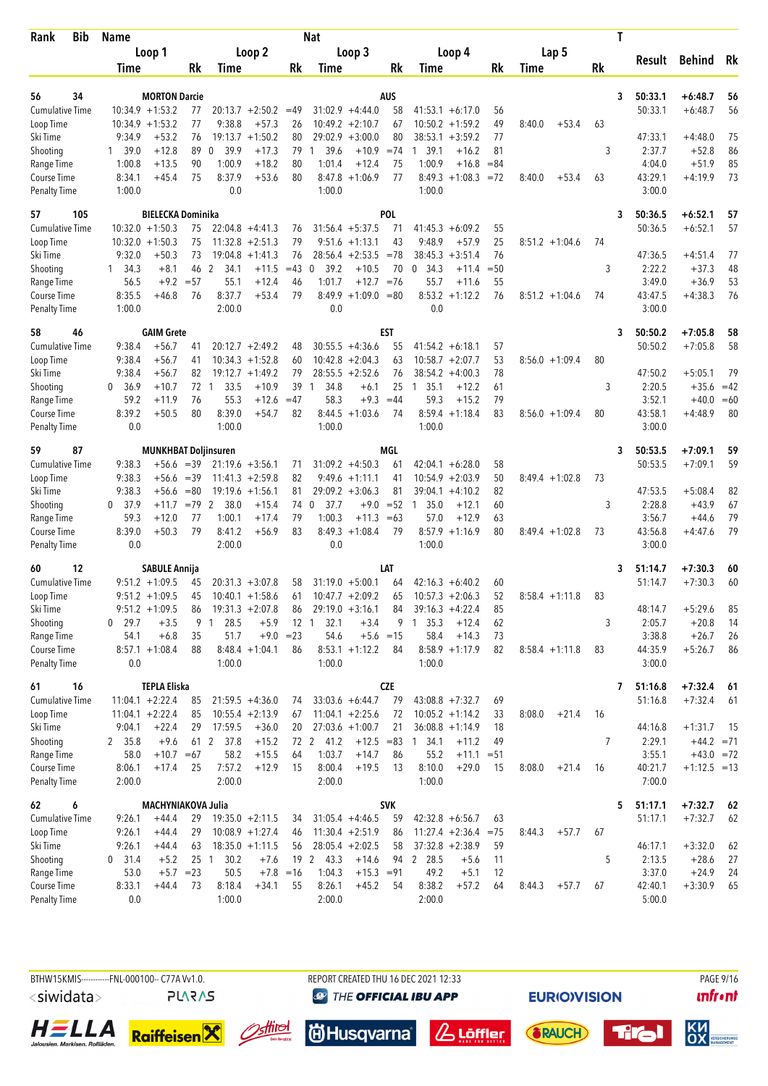| Bib<br>Rank                         | Name             |                                          |                 |                       |                               |                   | Nat                  |                                         |                   |                                           |              |                   |         | T         |                   |                      |          |
|-------------------------------------|------------------|------------------------------------------|-----------------|-----------------------|-------------------------------|-------------------|----------------------|-----------------------------------------|-------------------|-------------------------------------------|--------------|-------------------|---------|-----------|-------------------|----------------------|----------|
|                                     |                  | Loop 1                                   |                 |                       | Loop 2                        |                   |                      | Loop 3                                  |                   | Loop 4                                    |              | Lap <sub>5</sub>  |         |           |                   |                      |          |
|                                     | Time             |                                          | <b>Rk</b>       | Time                  |                               | Rk                | <b>Time</b>          |                                         | Rk                | Time                                      | <b>Rk</b>    | Time              |         | <b>Rk</b> | Result            | Behind               | Rk       |
|                                     |                  |                                          |                 |                       |                               |                   |                      |                                         |                   |                                           |              |                   |         |           |                   |                      |          |
| 56<br>34                            |                  | <b>MORTON Darcie</b>                     |                 |                       |                               |                   |                      |                                         | <b>AUS</b>        |                                           |              |                   |         | 3         | 50:33.1           | $+6:48.7$            | 56       |
| <b>Cumulative Time</b><br>Loop Time |                  | $10:34.9 + 1:53.2$<br>$10:34.9 + 1:53.2$ | 77<br>77        | 9:38.8                | $20:13.7 + 2:50.2$<br>$+57.3$ | $=49$<br>26       |                      | $31:02.9 +4:44.0$<br>$10:49.2 + 2:10.7$ | 58<br>67          | $41:53.1 + 6:17.0$<br>$10:50.2 + 1:59.2$  | 56<br>49     | 8:40.0            | $+53.4$ | 63        | 50:33.1           | $+6:48.7$            | 56       |
| Ski Time                            | 9:34.9           | $+53.2$                                  | 76              |                       | $19:13.7 + 1:50.2$            | 80                |                      | $29:02.9 + 3:00.0$                      | 80                | 38:53.1<br>$+3:59.2$                      | 77           |                   |         |           | 47:33.1           | $+4:48.0$            | 75       |
| Shooting                            | 1 39.0           | $+12.8$                                  | 89              | $\mathbf 0$<br>- 39.9 | $+17.3$                       | 79                | 39.6<br>1            | $+10.9$                                 | $=74$             | 1 39.1<br>$+16.2$                         | 81           |                   |         | 3         | 2:37.7            | $+52.8$              | 86       |
| Range Time                          | 1:00.8           | $+13.5$                                  | 90              | 1:00.9                | $+18.2$                       | 80                | 1:01.4               | $+12.4$                                 | 75                | 1:00.9<br>$+16.8$                         | $= 84$       |                   |         |           | 4:04.0            | $+51.9$              | 85       |
| Course Time                         | 8:34.1           | $+45.4$                                  | 75              | 8:37.9                | $+53.6$                       | 80                | 8:47.8               | $+1:06.9$                               | 77                | $8:49.3 +1:08.3$                          | $= 72$       | 8:40.0            | $+53.4$ | 63        | 43:29.1           | $+4:19.9$            | 73       |
| <b>Penalty Time</b>                 | 1:00.0           |                                          |                 | 0.0                   |                               |                   | 1:00.0               |                                         |                   | 1:00.0                                    |              |                   |         |           | 3:00.0            |                      |          |
| 105<br>57                           |                  | <b>BIELECKA Dominika</b>                 |                 |                       |                               |                   |                      |                                         | <b>POL</b>        |                                           |              |                   |         | 3         | 50:36.5           | $+6:52.1$            | 57       |
| <b>Cumulative Time</b>              |                  | $10:32.0 + 1:50.3$                       | 75              |                       | $22:04.8 +4:41.3$             | 76                |                      | $31:56.4 + 5:37.5$                      | 71                | $41:45.3 + 6:09.2$                        | 55           |                   |         |           | 50:36.5           | $+6:52.1$            | 57       |
| Loop Time                           |                  | $10:32.0 + 1:50.3$                       | 75              |                       | $11:32.8 + 2:51.3$            | 79                |                      | $9:51.6 +1:13.1$                        | 43                | 9:48.9<br>$+57.9$                         | 25           | $8:51.2 +1:04.6$  |         | 74        |                   |                      |          |
| Ski Time                            | 9:32.0           | $+50.3$                                  | 73              | 19:04.8               | $+1:41.3$                     | 76                |                      | $28:56.4 +2:53.5$                       | $= 78$            | 38:45.3<br>$+3:51.4$                      | 76           |                   |         |           | 47:36.5           | $+4:51.4$            | 77       |
| Shooting                            | $1 \quad 34.3$   | $+8.1$                                   | 46              | 2<br>34.1             | $+11.5$                       | $=43$             | 39.2<br>$\Omega$     | $+10.5$                                 | 70                | 0<br>34.3<br>$+11.4$                      | $=50$        |                   |         | 3         | 2:22.2            | $+37.3$              | 48       |
| Range Time                          | 56.5             | $+9.2$                                   | $= 57$          | 55.1                  | $+12.4$                       | 46                | 1:01.7               | $+12.7 = 76$                            |                   | 55.7<br>$+11.6$                           | 55           |                   |         |           | 3:49.0            | $+36.9$              | 53       |
| Course Time                         | 8:35.5           | $+46.8$                                  | 76              | 8:37.7                | $+53.4$                       | 79                | 8:49.9               | $+1:09.0 = 80$                          |                   | $8:53.2 +1:12.2$                          | 76           | $8:51.2 +1:04.6$  |         | 74        | 43:47.5           | $+4:38.3$            | 76       |
| <b>Penalty Time</b>                 | 1:00.0           |                                          |                 | 2:00.0                |                               |                   | 0.0                  |                                         |                   | 0.0                                       |              |                   |         |           | 3:00.0            |                      |          |
| 58<br>46                            |                  | <b>GAIM Grete</b>                        |                 |                       |                               |                   |                      |                                         | <b>EST</b>        |                                           |              |                   |         | 3         | 50:50.2           | $+7:05.8$            | 58       |
| <b>Cumulative Time</b>              | 9:38.4           | $+56.7$                                  | 41              |                       | $20:12.7 + 2:49.2$            | 48                |                      | $30:55.5 + 4:36.6$                      | 55                | $41:54.2 + 6:18.1$                        | 57           |                   |         |           | 50:50.2           | $+7:05.8$            | 58       |
| Loop Time                           | 9:38.4           | $+56.7$                                  | 41              |                       | $10:34.3 + 1:52.8$            | 60                |                      | $10:42.8 + 2:04.3$                      | 63                | $10:58.7 + 2:07.7$                        | 53           | $8:56.0 +1:09.4$  |         | 80        |                   |                      |          |
| Ski Time                            | 9:38.4           | $+56.7$                                  | 82              |                       | $19:12.7 + 1:49.2$            | 79                |                      | $28:55.5 + 2:52.6$                      | 76                | 38:54.2<br>$+4:00.3$                      | 78           |                   |         |           | 47:50.2           | $+5:05.1$            | 79       |
| Shooting                            | 0, 36.9          | $+10.7$                                  | 72 1            | 33.5                  | $+10.9$                       | 39                | 34.8<br>$\mathbf{1}$ | $+6.1$                                  | 25                | 35.1<br>$+12.2$<br>$\overline{1}$         | 61           |                   |         | 3         | 2:20.5            | $+35.6$              | $=42$    |
| Range Time                          | 59.2             | $+11.9$                                  | 76              | 55.3                  | $+12.6$                       | $=47$             | 58.3                 | $+9.3$                                  | $=44$             | 59.3<br>$+15.2$                           | 79           |                   |         |           | 3:52.1            | $+40.0$              | $=60$    |
| Course Time                         | 8:39.2           | $+50.5$                                  | 80              | 8:39.0                | +54.7                         | 82                | 8:44.5               | $+1:03.6$                               | 74                | 8:59.4<br>$+1:18.4$                       | 83           | $8:56.0 + 1:09.4$ |         | 80        | 43:58.1           | $+4:48.9$            | 80       |
| Penalty Time                        | 0.0              |                                          |                 | 1:00.0                |                               |                   | 1:00.0               |                                         |                   | 1:00.0                                    |              |                   |         |           | 3:00.0            |                      |          |
| 87<br>59                            |                  | <b>MUNKHBAT Doljinsuren</b>              |                 |                       |                               |                   |                      |                                         | MGL               |                                           |              |                   |         | 3         | 50:53.5           | $+7:09.1$            | 59       |
| Cumulative Time                     | 9:38.3           | $+56.6 = 39$                             |                 |                       | $21:19.6 + 3:56.1$            | 71                |                      | $31:09.2 + 4:50.3$                      | 61                | $42:04.1 + 6:28.0$                        | 58           |                   |         |           | 50:53.5           | $+7:09.1$            | 59       |
| Loop Time                           | 9:38.3           | $+56.6$                                  | $=39$           |                       | $11:41.3 + 2:59.8$            | 82                |                      | $9:49.6 +1:11.1$                        | 41                | 10:54.9<br>$+2:03.9$                      | 50           | $8:49.4 +1:02.8$  |         | 73        |                   |                      |          |
| Ski Time                            | 9:38.3           | $+56.6$                                  | $= 80$          |                       | $19:19.6 + 1:56.1$            | 81                |                      | $29:09.2 + 3:06.3$                      | 81                | 39:04.1<br>$+4:10.2$                      | 82           |                   |         |           | 47:53.5           | $+5:08.4$            | 82       |
| Shooting                            | 0, 37.9          | $+11.7$                                  | $=79$ 2         | 38.0                  | $+15.4$                       | 74                | $\mathbf 0$<br>37.7  | $+9.0$                                  | $= 52$            | $\mathbf{1}$<br>35.0<br>$+12.1$           | 60           |                   |         | 3         | 2:28.8            | $+43.9$              | 67       |
| Range Time                          | 59.3             | $+12.0$                                  | 77              | 1:00.1                | $+17.4$                       | 79                | 1:00.3               | $+11.3$                                 | $=63$             | 57.0<br>$+12.9$                           | 63           |                   |         |           | 3:56.7            | $+44.6$              | 79       |
| Course Time                         | 8:39.0           | $+50.3$                                  | 79              | 8:41.2                | $+56.9$                       | 83                |                      | $8:49.3 +1:08.4$                        | 79                | 8:57.9<br>$+1:16.9$                       | 80           | $8:49.4 +1:02.8$  |         | 73        | 43:56.8           | $+4:47.6$            | 79       |
| <b>Penalty Time</b>                 | 0.0              |                                          |                 | 2:00.0                |                               |                   | 0.0                  |                                         |                   | 1:00.0                                    |              |                   |         |           | 3:00.0            |                      |          |
| 12<br>60                            |                  | <b>SABULE Annija</b>                     |                 |                       |                               |                   |                      |                                         | LAT               |                                           |              |                   |         | 3         | 51:14.7           | $+7:30.3$            | 60       |
| <b>Cumulative Time</b>              |                  | $9:51.2 +1:09.5$                         | 45              |                       | $20:31.3 + 3:07.8$            | 58                |                      | $31:19.0 + 5:00.1$                      | 64                | $42:16.3 + 6:40.2$                        | 60           |                   |         |           | 51:14.7           | $+7:30.3$            | 60       |
| Loop Time                           |                  | $9:51.2 +1:09.5$                         | 45              |                       | $10:40.1 + 1:58.6$            | 61                |                      | $10:47.7 + 2:09.2$                      | 65                | $10:57.3 + 2:06.3$                        | 52           | $8:58.4 +1:11.8$  |         | 83        |                   |                      |          |
| Ski Time                            |                  | $9:51.2 +1:09.5$                         | 86              |                       | $19:31.3 + 2:07.8$            | 86                |                      | $29:19.0 + 3:16.1$                      | 84                | $39:16.3 + 4:22.4$                        | 85           |                   |         |           | 48:14.7           | $+5:29.6$            | 85       |
| Shooting                            | $0$ 29.7         | $+3.5$                                   | 9               | 28.5<br>$\mathbf{1}$  | $+5.9$                        | 12 <sub>1</sub>   | 32.1                 | $+3.4$                                  | 9                 | 1, 35.3<br>$+12.4$                        | 62           |                   |         | 3         | 2:05.7            | $+20.8$              | 14       |
| Range Time<br>Course Time           | 54.1             | $+6.8$<br>$8:57.1 + 1:08.4$              | 35<br>88        | 51.7                  | $8:48.4 +1:04.1$              | $+9.0 = 23$<br>86 | 54.6                 | $8:53.1 + 1:12.2$                       | $+5.6 = 15$<br>84 | 58.4<br>$+14.3$<br>$8:58.9 +1:17.9$       | 73<br>82     |                   |         |           | 3:38.8<br>44:35.9 | $+26.7$<br>$+5:26.7$ | 26<br>86 |
| <b>Penalty Time</b>                 | 0.0              |                                          |                 | 1:00.0                |                               |                   | 1:00.0               |                                         |                   | 1:00.0                                    |              | $8:58.4 +1:11.8$  |         | 83        | 3:00.0            |                      |          |
|                                     |                  |                                          |                 |                       |                               |                   |                      |                                         |                   |                                           |              |                   |         |           |                   |                      |          |
| 61<br>16                            |                  | <b>TEPLA Eliska</b>                      |                 |                       |                               |                   |                      |                                         | <b>CZE</b>        |                                           |              |                   |         | 7         | 51:16.8           | $+7:32.4$            | 61       |
| <b>Cumulative Time</b>              |                  | $11:04.1 + 2:22.4$                       | 85              |                       | $21:59.5 +4:36.0$             | 74                |                      | $33:03.6 + 6:44.7$                      | 79                | $43:08.8 + 7:32.7$                        | 69           |                   |         |           | 51:16.8           | $+7:32.4$            | 61       |
| Loop Time<br>Ski Time               |                  | $11:04.1 + 2:22.4$<br>$+22.4$            | 85              | 17:59.5               | $10:55.4 +2:13.9$             | 67                |                      | $11:04.1 + 2:25.6$<br>$27:03.6 +1:00.7$ | 72                | $10:05.2 +1:14.2$                         | 33           | 8:08.0            | $+21.4$ | 16        | 44:16.8           | $+1:31.7$            |          |
| Shooting                            | 9:04.1<br>2 35.8 | $+9.6$                                   | 29<br>61 2      | 37.8                  | $+36.0$<br>$+15.2$            | 20                | 72 2 41.2            |                                         | 21                | $36:08.8 + 1:14.9$<br>$+12.5 = 83$ 1 34.1 | 18<br>49     |                   |         | 7         | 2:29.1            | $+44.2 = 71$         | - 15     |
| Range Time                          | 58.0             | $+10.7 = 67$                             |                 | 58.2                  | $+15.5$                       | 64                | 1:03.7               | $+14.7$                                 | 86                | $+11.2$<br>55.2                           | $+11.1 = 51$ |                   |         |           | 3:55.1            | $+43.0 = 72$         |          |
| Course Time                         | 8:06.1           | $+17.4$                                  | 25              | 7:57.2                | $+12.9$                       | 15                | 8:00.4               | $+19.5$                                 | 13                | 8:10.0<br>$+29.0$                         | 15           | 8:08.0            | $+21.4$ | 16        | 40:21.7           | $+1:12.5 = 13$       |          |
| <b>Penalty Time</b>                 | 2:00.0           |                                          |                 | 2:00.0                |                               |                   | 2:00.0               |                                         |                   | 1:00.0                                    |              |                   |         |           | 7:00.0            |                      |          |
| 62<br>6                             |                  | <b>MACHYNIAKOVA Julia</b>                |                 |                       |                               |                   |                      |                                         | <b>SVK</b>        |                                           |              |                   |         | 5         | 51:17.1           | $+7:32.7$            | 62       |
| Cumulative Time                     | 9:26.1           | $+44.4$                                  | 29              |                       | $19:35.0 + 2:11.5$            | 34                |                      | $31:05.4 +4:46.5$                       | 59                | $42:32.8 + 6:56.7$                        | 63           |                   |         |           | 51:17.1           | $+7:32.7$            | 62       |
| Loop Time                           | 9:26.1           | $+44.4$                                  | 29              |                       | $10:08.9 + 1:27.4$            | 46                |                      | $11:30.4 +2:51.9$                       | 86                | $11:27.4 +2:36.4$                         | $= 75$       | 8:44.3            | $+57.7$ | 67        |                   |                      |          |
| Ski Time                            | 9:26.1           | $+44.4$                                  | 63              |                       | $18:35.0 + 1:11.5$            | 56                |                      | $28:05.4 + 2:02.5$                      | 58                | $37:32.8 + 2:38.9$                        | 59           |                   |         |           | 46:17.1           | $+3:32.0$            | 62       |
| Shooting                            | $0$ 31.4         | $+5.2$                                   | 25 <sub>1</sub> | 30.2                  | $+7.6$                        |                   | 19 2 43.3            | $+14.6$                                 | 94                | 2 28.5<br>$+5.6$                          | 11           |                   |         | 5         | 2:13.5            | $+28.6$              | 27       |
| Range Time                          | 53.0             | $+5.7 = 23$                              |                 | 50.5                  |                               | $+7.8 = 16$       | 1:04.3               | $+15.3 = 91$                            |                   | 49.2<br>$+5.1$                            | 12           |                   |         |           | 3:37.0            | $+24.9$              | 24       |
| Course Time                         | 8:33.1           | $+44.4$                                  | 73              | 8:18.4                | $+34.1$                       | 55                | 8:26.1               | $+45.2$                                 | 54                | 8:38.2<br>$+57.2$                         | 64           | 8:44.3            | $+57.7$ | 67        | 42:40.1           | $+3:30.9$            | 65       |
| <b>Penalty Time</b>                 | 0.0              |                                          |                 | 1:00.0                |                               |                   | 2:00.0               |                                         |                   | 2:00.0                                    |              |                   |         |           | 5:00.0            |                      |          |















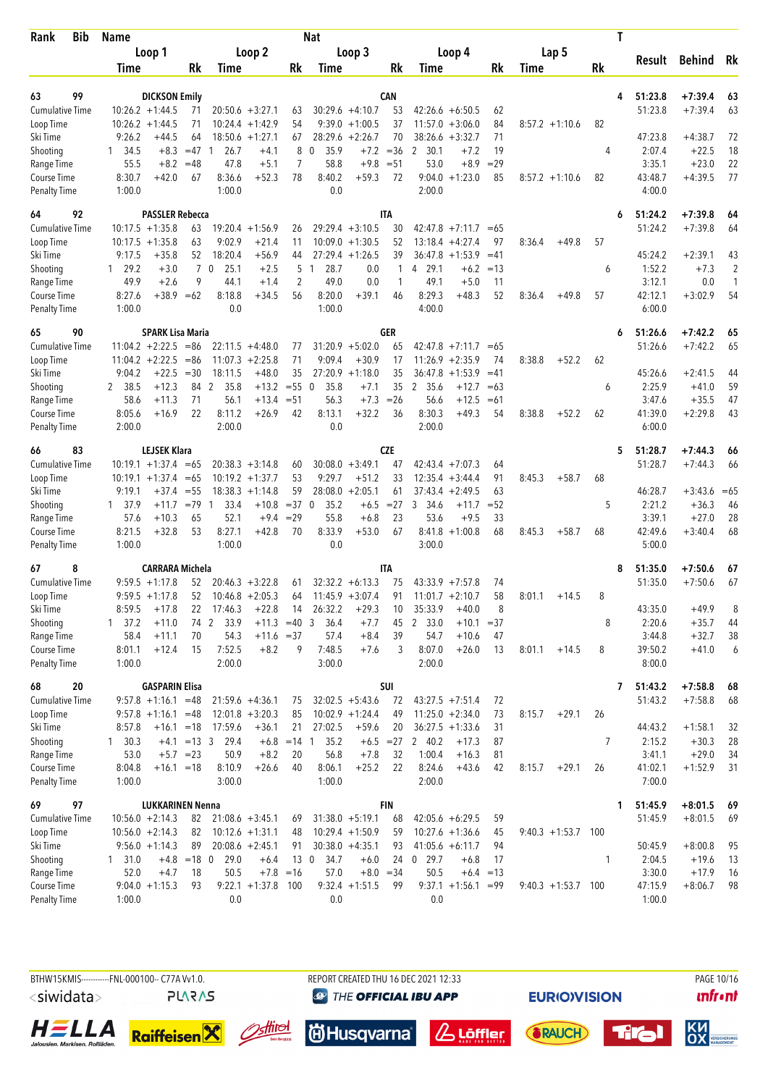| <b>Bib</b><br>Rank                 | <b>Name</b>      |                               |                |                  |                                 |             | <b>Nat</b>              |                                 |             |                    |                        |          |                      |    | T |                   |           |        |
|------------------------------------|------------------|-------------------------------|----------------|------------------|---------------------------------|-------------|-------------------------|---------------------------------|-------------|--------------------|------------------------|----------|----------------------|----|---|-------------------|-----------|--------|
|                                    |                  | Loop 1                        |                |                  | Loop 2                          |             |                         | Loop 3                          |             | Loop 4             |                        |          | Lap 5                |    |   |                   |           |        |
|                                    | Time             |                               | Rk             | Time             |                                 | Rk          | Time                    |                                 | Rk          | Time               |                        | Rk       | Time                 | Rk |   | Result            | Behind    | Rk     |
|                                    |                  |                               |                |                  |                                 |             |                         |                                 |             |                    |                        |          |                      |    |   |                   |           |        |
| 99<br>63                           |                  | <b>DICKSON Emily</b>          |                |                  |                                 |             |                         |                                 | CAN         |                    |                        |          |                      |    | 4 | 51:23.8           | $+7:39.4$ | 63     |
| <b>Cumulative Time</b>             |                  | $10:26.2 + 1:44.5$            | 71             |                  | $20:50.6 + 3:27.1$              | 63          |                         | $30:29.6 +4:10.7$               | 53          | $42:26.6 + 6:50.5$ |                        | 62       |                      |    |   | 51:23.8           | $+7:39.4$ | 63     |
| Loop Time<br>Ski Time              | 9:26.2           | $10:26.2 + 1:44.5$<br>$+44.5$ | 71<br>64       | 10:24.4          | $+1:42.9$<br>$18:50.6 + 1:27.1$ | 54<br>67    | 9:39.0                  | $+1:00.5$<br>$28:29.6 + 2:26.7$ | 37<br>70    | 11:57.0<br>38:26.6 | $+3:06.0$<br>$+3:32.7$ | 84<br>71 | $8:57.2 +1:10.6$     | 82 |   | 47:23.8           | $+4:38.7$ | 72     |
| Shooting                           | 34.5<br>1        | $+8.3$                        | $=47$          | 26.7<br>-1       | $+4.1$                          | 8           | 0<br>35.9               | $+7.2$                          | $=36$       | 2<br>30.1          | $+7.2$                 | 19       |                      | 4  |   | 2:07.4            | $+22.5$   | 18     |
| Range Time                         | 55.5             | $+8.2$                        | $=48$          | 47.8             | $+5.1$                          | 7           | 58.8                    | $+9.8$                          | $= 51$      | 53.0               | $+8.9$                 | $=29$    |                      |    |   | 3:35.1            | $+23.0$   | 22     |
| Course Time                        | 8:30.7           | $+42.0$                       | 67             | 8:36.6           | $+52.3$                         | 78          | 8:40.2                  | $+59.3$                         | 72          | $9:04.0 + 1:23.0$  |                        | 85       | $8:57.2 +1:10.6$     | 82 |   | 43:48.7           | $+4:39.5$ | 77     |
| <b>Penalty Time</b>                | 1:00.0           |                               |                | 1:00.0           |                                 |             | 0.0                     |                                 |             | 2:00.0             |                        |          |                      |    |   | 4:00.0            |           |        |
| 92<br>64                           |                  | <b>PASSLER Rebecca</b>        |                |                  |                                 |             |                         |                                 | <b>ITA</b>  |                    |                        |          |                      |    | 6 | 51:24.2           | $+7:39.8$ | 64     |
| <b>Cumulative Time</b>             |                  | $10:17.5 + 1:35.8$            | 63             | 19:20.4          | $+1:56.9$                       | 26          |                         | $29:29.4 + 3:10.5$              | 30          | $42:47.8$ +7:11.7  |                        | $=65$    |                      |    |   | 51:24.2           | $+7:39.8$ | 64     |
| Loop Time                          |                  | $10:17.5 + 1:35.8$            | 63             | 9:02.9           | $+21.4$                         | 11          |                         | $10:09.0 + 1:30.5$              | 52          | 13:18.4            | $+4:27.4$              | 97       | 8:36.4<br>$+49.8$    | 57 |   |                   |           |        |
| Ski Time                           | 9:17.5           | $+35.8$                       | 52             | 18:20.4          | $+56.9$                         | 44          |                         | $27:29.4 +1:26.5$               | 39          | $36:47.8 + 1:53.9$ |                        | $=41$    |                      |    |   | 45:24.2           | $+2:39.1$ | 43     |
| Shooting                           | 29.2<br>1        | $+3.0$                        | $\overline{7}$ | 0<br>25.1        | $+2.5$                          | 5           | 28.7<br>$\overline{1}$  | 0.0                             | 1           | 29.1<br>4          | $+6.2$                 | $=13$    |                      | 6  |   | 1:52.2            | $+7.3$    | 2      |
| Range Time                         | 49.9             | $+2.6$                        | 9              | 44.1             | $+1.4$                          | 2           | 49.0                    | 0.0                             | 1           | 49.1               | $+5.0$                 | 11       |                      |    |   | 3:12.1            | 0.0       | 1      |
| Course Time                        | 8:27.6           | $+38.9 = 62$                  |                | 8:18.8           | $+34.5$                         | 56          | 8:20.0                  | $+39.1$                         | 46          | 8:29.3             | $+48.3$                | 52       | 8:36.4<br>$+49.8$    | 57 |   | 42:12.1           | $+3:02.9$ | 54     |
| <b>Penalty Time</b>                | 1:00.0           |                               |                | 0.0              |                                 |             | 1:00.0                  |                                 |             | 4:00.0             |                        |          |                      |    |   | 6:00.0            |           |        |
| 90<br>65                           |                  | <b>SPARK Lisa Maria</b>       |                |                  |                                 |             |                         |                                 | <b>GER</b>  |                    |                        |          |                      |    | 6 | 51:26.6           | $+7:42.2$ | 65     |
| <b>Cumulative Time</b>             |                  | $11:04.2 +2:22.5$             | $=86$          |                  | $22:11.5 +4:48.0$               | 77          |                         | $31:20.9 + 5:02.0$              | 65          | $42:47.8$ +7:11.7  |                        | $=65$    |                      |    |   | 51:26.6           | $+7:42.2$ | 65     |
| Loop Time                          |                  | $11:04.2 +2:22.5$             | $= 86$         | 11:07.3          | $+2:25.8$                       | 71          | 9:09.4                  | $+30.9$                         | 17          | 11:26.9            | $+2:35.9$              | 74       | 8:38.8<br>$+52.2$    | 62 |   |                   |           |        |
| Ski Time                           | 9:04.2           | +22.5                         | $=30$          | 18:11.5          | $+48.0$                         | 35          |                         | $27:20.9 +1:18.0$               | 35          | 36:47.8            | $+1:53.9$              | $=41$    |                      |    |   | 45:26.6           | $+2:41.5$ | 44     |
| Shooting                           | 2 38.5           | $+12.3$                       | 84             | 2<br>35.8        | $+13.2$                         | $= 550$     | 35.8                    | $+7.1$                          | 35          | 2<br>35.6          | $+12.7$                | $=63$    |                      | 6  |   | 2:25.9            | $+41.0$   | 59     |
| Range Time                         | 58.6             | $+11.3$                       | 71             | 56.1             | $+13.4$                         | $= 51$      | 56.3                    | $+7.3$                          | $=26$       | 56.6               | $+12.5$                | $=61$    |                      |    |   | 3:47.6            | $+35.5$   | 47     |
| Course Time                        | 8:05.6           | $+16.9$                       | 22             | 8:11.2           | $+26.9$                         | 42          | 8:13.1                  | $+32.2$                         | 36          | 8:30.3             | $+49.3$                | 54       | 8:38.8<br>$+52.2$    | 62 |   | 41:39.0           | $+2:29.8$ | 43     |
| <b>Penalty Time</b>                | 2:00.0           |                               |                | 2:00.0           |                                 |             | 0.0                     |                                 |             | 2:00.0             |                        |          |                      |    |   | 6:00.0            |           |        |
| 83<br>66                           |                  | <b>LEJSEK Klara</b>           |                |                  |                                 |             |                         |                                 | <b>CZE</b>  |                    |                        |          |                      |    | 5 | 51:28.7           | $+7:44.3$ | 66     |
| <b>Cumulative Time</b>             |                  | $10:19.1 + 1:37.4$            | $=65$          |                  | $20:38.3 + 3:14.8$              | 60          |                         | $30:08.0 + 3:49.1$              | 47          | 42:43.4            | $+7:07.3$              | 64       |                      |    |   | 51:28.7           | $+7:44.3$ | 66     |
| Loop Time                          |                  | $10:19.1 + 1:37.4$            | $=65$          |                  | $10:19.2 + 1:37.7$              | 53          | 9:29.7                  | $+51.2$                         | 33          | 12:35.4            | $+3:44.4$              | 91       | $+58.7$<br>8:45.3    | 68 |   |                   |           |        |
| Ski Time                           | 9:19.1           | $+37.4$                       | $=55$          |                  | $18:38.3 + 1:14.8$              | 59          | 28:08.0                 | $+2:05.1$                       | 61          | 37:43.4            | $+2:49.5$              | 63       |                      |    |   | 46:28.7           | $+3:43.6$ | $= 65$ |
| Shooting                           | 1 37.9           | $+11.7$                       | $=79$ 1        | 33.4             | $+10.8$                         | $= 37$      | 35.2<br>$\mathbf 0$     | $+6.5$                          | $=27$       | 3<br>34.6          | $+11.7$                | $= 52$   |                      | 5  |   | 2:21.2            | $+36.3$   | 46     |
| Range Time                         | 57.6             | $+10.3$                       | 65             | 52.1             | $+9.4$                          | $=29$       | 55.8                    | $+6.8$                          | 23          | 53.6               | $+9.5$                 | 33       |                      |    |   | 3:39.1            | $+27.0$   | 28     |
| Course Time                        | 8:21.5           | $+32.8$                       | 53             | 8:27.1           | $+42.8$                         | 70          | 8:33.9                  | $+53.0$                         | 67          | 8:41.8             | $+1:00.8$              | 68       | 8:45.3<br>$+58.7$    | 68 |   | 42:49.6           | $+3:40.4$ | 68     |
| <b>Penalty Time</b>                | 1:00.0           |                               |                | 1:00.0           |                                 |             | 0.0                     |                                 |             | 3:00.0             |                        |          |                      |    |   | 5:00.0            |           |        |
| 8<br>67                            |                  | <b>CARRARA Michela</b>        |                |                  |                                 |             |                         |                                 | <b>ITA</b>  |                    |                        |          |                      |    | 8 | 51:35.0           | $+7:50.6$ | 67     |
| <b>Cumulative Time</b>             |                  | $9:59.5 + 1:17.8$             | 52             |                  | $20:46.3 + 3:22.8$              | 61          |                         | $32:32.2 + 6:13.3$              | 75          | $43:33.9 + 7:57.8$ |                        | 74       |                      |    |   | 51:35.0           | $+7:50.6$ | 67     |
| Loop Time                          |                  | $9:59.5 + 1:17.8$             | 52             |                  | $10:46.8 + 2:05.3$              | 64          |                         | $11:45.9 + 3:07.4$              | 91          | $11:01.7 + 2:10.7$ |                        | 58       | 8:01.1<br>$+14.5$    | 8  |   |                   |           |        |
| Ski Time                           | 8:59.5           | $+17.8$                       | 22             | 17:46.3          | $+22.8$                         | 14          | 26:32.2                 | $+29.3$                         | 10          | 35:33.9            | $+40.0$                | 8        |                      |    |   | 43:35.0           | $+49.9$   | 8      |
| Shooting                           | $1 \quad 37.2$   | $+11.0$                       | 74             | 33.9<br>2        | $+11.3 = 40$                    |             | 3<br>36.4               | $+7.7$                          | 45          | 2 33.0             | $+10.1$                | $= 37$   |                      | 8  |   | 2:20.6            | $+35.7$   | 44     |
| Range Time                         | 58.4             | $+11.1$                       | 70             | 54.3             | $+11.6 = 37$                    |             | 57.4                    | $+8.4$                          | 39          | 54.7               | $+10.6$                | 47       |                      |    |   | 3:44.8            | $+32.7$   | 38     |
| Course Time<br><b>Penalty Time</b> | 8:01.1<br>1:00.0 | $+12.4$                       | 15             | 7:52.5<br>2:00.0 | $+8.2$                          | 9           | 7:48.5<br>3:00.0        | $+7.6$                          | 3           | 8:07.0<br>2:00.0   | $+26.0$                | 13       | 8:01.1<br>$+14.5$    | 8  |   | 39:50.2<br>8:00.0 | $+41.0$   | 6      |
|                                    |                  |                               |                |                  |                                 |             |                         |                                 |             |                    |                        |          |                      |    |   |                   |           |        |
| 20<br>68                           |                  | <b>GASPARIN Elisa</b>         |                |                  |                                 |             |                         |                                 | SUI         |                    |                        |          |                      |    | 7 | 51:43.2           | $+7:58.8$ | 68     |
| <b>Cumulative Time</b>             |                  | $9:57.8 +1:16.1 = 48$         |                |                  | $21:59.6 +4:36.1$               | 75          |                         | $32:02.5 + 5:43.6$              | 72          | $43:27.5 +7:51.4$  |                        | 72       |                      |    |   | 51:43.2           | $+7:58.8$ | 68     |
| Loop Time                          |                  | $9:57.8 +1:16.1 = 48$         |                |                  | $12:01.8 + 3:20.3$              | 85          |                         | $10:02.9 + 1:24.4$              | 49          | $11:25.0 + 2:34.0$ |                        | 73       | $+29.1$<br>8:15.7    | 26 |   |                   |           |        |
| Ski Time                           | 8:57.8           | $+16.1 = 18$                  |                | 17:59.6          | $+36.1$                         | 21          | 27:02.5                 | $+59.6$                         | 20          | $36:27.5 + 1:33.6$ |                        | 31       |                      |    |   | 44:43.2           | $+1:58.1$ | 32     |
| Shooting                           | $1 \quad 30.3$   |                               | $+4.1$ = 13 3  | 29.4             | $+6.8$                          | $= 14$ 1    | 35.2                    |                                 | $+6.5 = 27$ | 2 40.2             | $+17.3$                | 87       |                      | 7  |   | 2:15.2            | $+30.3$   | 28     |
| Range Time                         | 53.0             |                               | $+5.7 = 23$    | 50.9             | $+8.2$                          | 20          | 56.8                    | $+7.8$                          | 32          | 1:00.4             | $+16.3$                | 81       |                      |    |   | 3:41.1            | $+29.0$   | 34     |
| Course Time<br><b>Penalty Time</b> | 8:04.8<br>1:00.0 | $+16.1 = 18$                  |                | 8:10.9<br>3:00.0 | $+26.6$                         | 40          | 8:06.1<br>1:00.0        | $+25.2$                         | 22          | 8:24.6<br>2:00.0   | $+43.6$                | 42       | $+29.1$<br>8:15.7    | 26 |   | 41:02.1<br>7:00.0 | $+1:52.9$ | 31     |
| 69<br>97                           |                  | <b>LUKKARINEN Nenna</b>       |                |                  |                                 |             |                         |                                 | FIN         |                    |                        |          |                      |    | 1 | 51:45.9           | $+8:01.5$ | 69     |
| <b>Cumulative Time</b>             |                  | $10:56.0 + 2:14.3$            | 82             |                  | $21:08.6 + 3:45.1$              | 69          |                         | $31:38.0 + 5:19.1$              | 68          | $42:05.6 + 6:29.5$ |                        | 59       |                      |    |   | 51:45.9           | $+8:01.5$ | 69     |
| Loop Time                          |                  | $10:56.0 +2:14.3$             | 82             |                  | $10:12.6 + 1:31.1$              | 48          |                         | $10:29.4 +1:50.9$               | 59          | $10:27.6 + 1:36.6$ |                        | 45       | $9:40.3 +1:53.7$ 100 |    |   |                   |           |        |
| Ski Time                           |                  | $9:56.0 +1:14.3$              | 89             |                  | $20:08.6 + 2:45.1$              | 91          |                         | $30:38.0 +4:35.1$               | 93          | $41:05.6 + 6:11.7$ |                        | 94       |                      |    |   | 50:45.9           | $+8:00.8$ | 95     |
| Shooting                           | $1 \quad 31.0$   |                               | $+4.8$ = 18 0  | 29.0             | $+6.4$                          |             | 13 <sub>0</sub><br>34.7 | $+6.0$                          | 24          | $0$ 29.7           | $+6.8$                 | 17       |                      | 1  |   | 2:04.5            | $+19.6$   | 13     |
| Range Time                         | 52.0             | $+4.7$                        | 18             | 50.5             |                                 | $+7.8 = 16$ | 57.0                    |                                 | $+8.0 = 34$ | 50.5               | $+6.4 = 13$            |          |                      |    |   | 3:30.0            | $+17.9$   | 16     |
| Course Time                        |                  | $9:04.0 +1:15.3$              | 93             |                  | $9:22.1 + 1:37.8$               | 100         |                         | $9:32.4 +1:51.5$                | 99          | $9:37.1 + 1:56.1$  |                        | $= 99$   | $9:40.3 +1:53.7$ 100 |    |   | 47:15.9           | $+8:06.7$ | 98     |
| <b>Penalty Time</b>                | 1:00.0           |                               |                | 0.0              |                                 |             | 0.0                     |                                 |             | 0.0                |                        |          |                      |    |   | 1:00.0            |           |        |

BTHW15KMIS------------FNL-000100-- C77A Vv1.0. <siwidata> **PLARAS** 

**@ THE OFFICIAL IBU APP** 

REPORT CREATED THU 16 DEC 2021 12:33

**EURIO)VISION** 

PAGE 10/16 **unfront** 













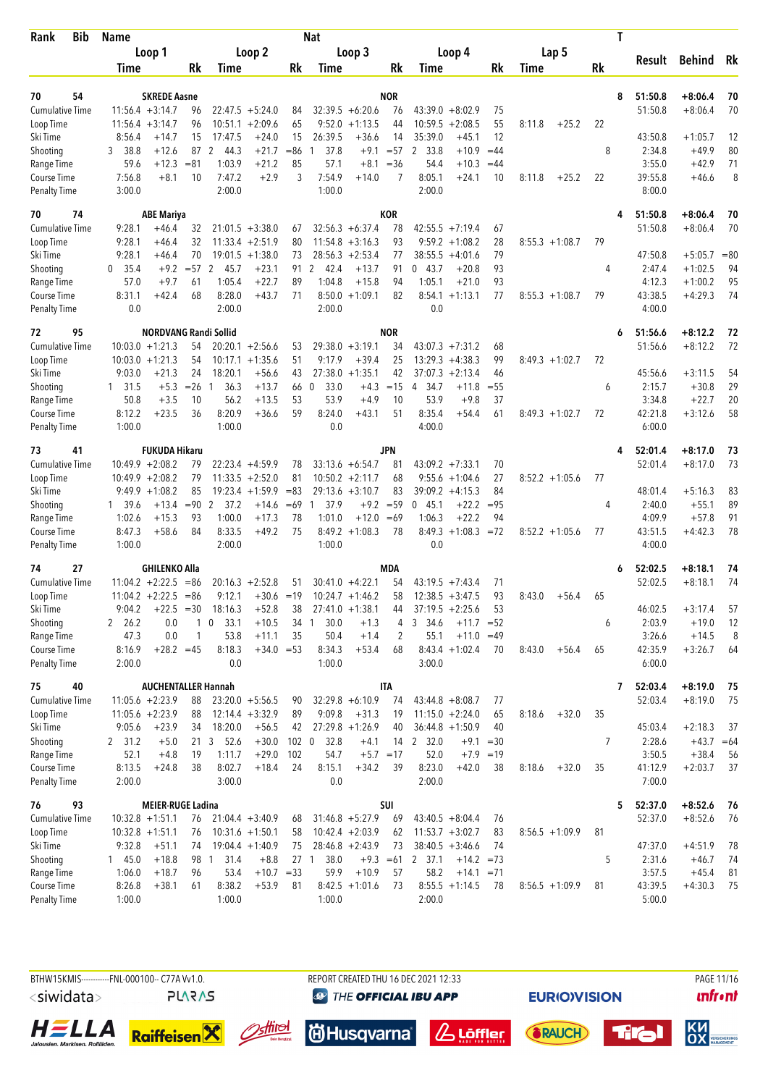| Bib<br>Rank                         | <b>Name</b>      |                                          |              |                        |                                 |                 | <b>Nat</b> |                                         |            |                                            |              |          |                   | T  |                    |                        |          |
|-------------------------------------|------------------|------------------------------------------|--------------|------------------------|---------------------------------|-----------------|------------|-----------------------------------------|------------|--------------------------------------------|--------------|----------|-------------------|----|--------------------|------------------------|----------|
|                                     |                  | Loop 1                                   |              |                        | Loop 2                          |                 |            | Loop 3                                  |            | Loop 4                                     |              |          | Lap 5             |    |                    |                        | Rk       |
|                                     | Time             |                                          | Rk           | Time                   |                                 | Rk              | Time       |                                         | Rk         | Time                                       |              | Rk       | Time              | Rk | Result             | Behind                 |          |
|                                     |                  |                                          |              |                        |                                 |                 |            |                                         |            |                                            |              |          |                   |    |                    |                        |          |
| 70<br>54                            |                  | <b>SKREDE Aasne</b>                      |              |                        |                                 |                 |            |                                         | <b>NOR</b> |                                            |              |          |                   | 8  | 51:50.8            | $+8:06.4$              | 70       |
| <b>Cumulative Time</b><br>Loop Time |                  | $11:56.4 + 3:14.7$<br>$11:56.4 + 3:14.7$ | 96<br>96     | 10:51.1                | $22:47.5 + 5:24.0$<br>$+2:09.6$ | 84<br>65        | 9:52.0     | $32:39.5 + 6:20.6$<br>$+1:13.5$         | 76<br>44   | $43:39.0 + 8:02.9$<br>10:59.5<br>$+2:08.5$ |              | 75<br>55 | 8:11.8<br>$+25.2$ | 22 | 51:50.8            | $+8:06.4$              | 70       |
| Ski Time                            | 8:56.4           | $+14.7$                                  | 15           | 17:47.5                | $+24.0$                         | 15              | 26:39.5    | $+36.6$                                 | 14         | 35:39.0                                    | $+45.1$      | 12       |                   |    | 43:50.8            | $+1:05.7$              | 12       |
| Shooting                            | 38.8<br>3        | $+12.6$                                  | 87           | 2<br>44.3              | $+21.7$                         | $= 86$          | 37.8       | $+9.1$                                  | $= 57$     | 2 33.8                                     | $+10.9$      | $=44$    |                   | 8  | 2:34.8             | $+49.9$                | 80       |
| Range Time                          | 59.6             | $+12.3$                                  | $= 81$       | 1:03.9                 | $+21.2$                         | 85              | 57.1       | $+8.1$                                  | $= 36$     | 54.4                                       | $+10.3$      | $=44$    |                   |    | 3:55.0             | $+42.9$                | 71       |
| Course Time                         | 7:56.8           | $+8.1$                                   | 10           | 7:47.2                 | $+2.9$                          | 3               | 7:54.9     | $+14.0$                                 | 7          | 8:05.1                                     | $+24.1$      | 10       | $+25.2$<br>8:11.8 | 22 | 39:55.8            | $+46.6$                | 8        |
| <b>Penalty Time</b>                 | 3:00.0           |                                          |              | 2:00.0                 |                                 |                 | 1:00.0     |                                         |            | 2:00.0                                     |              |          |                   |    | 8:00.0             |                        |          |
| 70<br>74                            |                  | <b>ABE Mariya</b>                        |              |                        |                                 |                 |            |                                         | <b>KOR</b> |                                            |              |          |                   | 4  | 51:50.8            | $+8:06.4$              | 70       |
| <b>Cumulative Time</b>              | 9:28.1           | $+46.4$                                  | 32           |                        | $21:01.5 + 3:38.0$              | 67              |            | $32:56.3 + 6:37.4$                      | 78         | $42:55.5 +7:19.4$                          |              | 67       |                   |    | 51:50.8            | $+8:06.4$              | 70       |
| Loop Time                           | 9:28.1           | $+46.4$                                  | 32           |                        | $11:33.4 +2:51.9$               | 80              |            | $11:54.8 + 3:16.3$                      | 93         | $9:59.2 + 1:08.2$                          |              | 28       | $8:55.3 +1:08.7$  | 79 |                    |                        |          |
| Ski Time                            | 9:28.1           | $+46.4$                                  | 70           |                        | $19:01.5 +1:38.0$               | 73              |            | $28:56.3 + 2:53.4$                      | 77         | $38:55.5 + 4:01.6$                         |              | 79       |                   |    | 47:50.8            | $+5:05.7$              | $= 80$   |
| Shooting                            | 35.4<br>0        | $+9.2$                                   | $= 57$       | 2<br>45.7              | $+23.1$                         | 91              | 2<br>42.4  | $+13.7$                                 | 91         | 043.7                                      | $+20.8$      | 93       |                   | 4  | 2:47.4             | $+1:02.5$              | 94       |
| Range Time                          | 57.0             | $+9.7$                                   | 61           | 1:05.4                 | $+22.7$                         | 89              | 1:04.8     | $+15.8$                                 | 94         | 1:05.1                                     | $+21.0$      | 93       |                   |    | 4:12.3             | $+1:00.2$              | 95       |
| Course Time                         | 8:31.1           | $+42.4$                                  | 68           | 8:28.0                 | $+43.7$                         | 71              |            | $8:50.0 +1:09.1$                        | 82         | $8:54.1 + 1:13.1$                          |              | 77       | $8:55.3 +1:08.7$  | 79 | 43:38.5            | $+4:29.3$              | 74       |
| <b>Penalty Time</b>                 | 0.0              |                                          |              | 2:00.0                 |                                 |                 | 2:00.0     |                                         |            | 0.0                                        |              |          |                   |    | 4:00.0             |                        |          |
| 95<br>72                            |                  | <b>NORDVANG Randi Sollid</b>             |              |                        |                                 |                 |            |                                         | <b>NOR</b> |                                            |              |          |                   | 6  | 51:56.6            | $+8:12.2$              | 72       |
| <b>Cumulative Time</b>              |                  | $10:03.0 + 1:21.3$                       | 54           |                        | $20:20.1 + 2:56.6$              | 53              |            | $29:38.0 + 3:19.1$                      | 34         | $43:07.3 +7:31.2$                          |              | 68       |                   |    | 51:56.6            | $+8:12.2$              | 72       |
| Loop Time                           |                  | $10:03.0 + 1:21.3$                       | 54           |                        | $10:17.1 + 1:35.6$              | 51              | 9:17.9     | $+39.4$                                 | 25         | $13:29.3 + 4:38.3$                         |              | 99       | $8:49.3 +1:02.7$  | 72 |                    |                        |          |
| Ski Time                            | 9:03.0           | $+21.3$                                  | 24           | 18:20.1                | $+56.6$                         | 43              |            | $27:38.0 + 1:35.1$                      | 42         | $37:07.3 +2:13.4$                          |              | 46       |                   |    | 45:56.6            | $+3:11.5$              | 54       |
| Shooting                            | $1 \quad 31.5$   | $+5.3$                                   | $=26$        | 36.3<br>1              | $+13.7$                         | 66 0            | 33.0       | $+4.3$                                  | $=15$      | 34.7<br>4                                  | $+11.8$      | $= 55$   |                   | 6  | 2:15.7             | $+30.8$                | 29       |
| Range Time                          | 50.8             | $+3.5$                                   | 10           | 56.2                   | $+13.5$                         | 53              | 53.9       | $+4.9$                                  | 10         | 53.9                                       | $+9.8$       | 37       |                   |    | 3:34.8             | $+22.7$                | 20       |
| Course Time                         | 8:12.2           | $+23.5$                                  | 36           | 8:20.9                 | $+36.6$                         | 59              | 8:24.0     | $+43.1$                                 | 51         | 8:35.4                                     | $+54.4$      | 61       | $8:49.3 +1:02.7$  | 72 | 42:21.8            | $+3:12.6$              | 58       |
| <b>Penalty Time</b>                 | 1:00.0           |                                          |              | 1:00.0                 |                                 |                 | 0.0        |                                         |            | 4:00.0                                     |              |          |                   |    | 6:00.0             |                        |          |
| 41<br>73                            |                  | <b>FUKUDA Hikaru</b>                     |              |                        |                                 |                 |            |                                         | JPN        |                                            |              |          |                   | 4  | 52:01.4            | $+8:17.0$              | 73       |
| <b>Cumulative Time</b>              |                  | $10:49.9 + 2:08.2$                       | 79           |                        | $22:23.4$ +4:59.9               | 78              |            | $33:13.6 + 6:54.7$                      | 81         | $43:09.2 +7:33.1$                          |              | 70       |                   |    | 52:01.4            | $+8:17.0$              | 73       |
| Loop Time                           |                  | $10:49.9 + 2:08.2$                       | 79           |                        | $11:33.5 + 2:52.0$              | 81              |            | $10:50.2 +2:11.7$                       | 68         | $9:55.6 + 1:04.6$                          |              | 27       | $8:52.2 +1:05.6$  | 77 |                    |                        |          |
| Ski Time                            |                  | $9:49.9 +1:08.2$                         | 85           |                        | $19:23.4 +1:59.9$               | $= 83$          |            | $29:13.6 + 3:10.7$                      | 83         | $39:09.2 + 4:15.3$                         |              | 84       |                   |    | 48:01.4            | $+5:16.3$              | 83       |
| Shooting                            | 1 39.6           | $+13.4$                                  | $= 90$       | $\overline{2}$<br>37.2 | $+14.6$                         | $=69$           | 37.9<br>1  | $+9.2$                                  | $= 59$     | 045.1                                      | $+22.2$      | $= 95$   |                   | 4  | 2:40.0             | $+55.1$                | 89       |
| Range Time                          | 1:02.6           | $+15.3$                                  | 93<br>84     | 1:00.0                 | $+17.3$<br>$+49.2$              | 78<br>75        | 1:01.0     | $+12.0$                                 | $=69$      | 1:06.3<br>$8:49.3 +1:08.3 = 72$            | $+22.2$      | 94       |                   |    | 4:09.9             | $+57.8$<br>$+4:42.3$   | 91<br>78 |
| Course Time<br><b>Penalty Time</b>  | 8:47.3<br>1:00.0 | $+58.6$                                  |              | 8:33.5<br>2:00.0       |                                 |                 | 1:00.0     | $8:49.2 +1:08.3$                        | 78         | 0.0                                        |              |          | $8:52.2 +1:05.6$  | 77 | 43:51.5<br>4:00.0  |                        |          |
|                                     |                  |                                          |              |                        |                                 |                 |            |                                         |            |                                            |              |          |                   |    |                    |                        |          |
| 74<br>27<br><b>Cumulative Time</b>  |                  | <b>GHILENKO Alla</b>                     |              |                        | $20:16.3 + 2:52.8$              |                 |            |                                         | MDA<br>54  |                                            |              |          |                   | 6  | 52:02.5<br>52:02.5 | $+8:18.1$<br>$+8:18.1$ | 74<br>74 |
| Loop Time                           |                  | $11:04.2 +2:22.5$<br>$11:04.2 +2:22.5$   | $=86$<br>-86 | 9:12.1                 | $+30.6 = 19$                    | 51              |            | $30:41.0 +4:22.1$<br>$10:24.7 + 1:46.2$ | 58         | $43:19.5 +7:43.4$<br>$12:38.5 + 3:47.5$    |              | 71<br>93 | 8:43.0<br>$+56.4$ | 65 |                    |                        |          |
| Ski Time                            | 9:04.2           | $+22.5 = 30$                             |              | 18:16.3                | $+52.8$                         | 38              |            | $27:41.0 +1:38.1$                       | 44         | $37:19.5 + 2:25.6$                         |              | 53       |                   |    | 46:02.5            | $+3:17.4$              | 57       |
| Shooting                            | 2 26.2           | 0.0                                      | 1            | 33.1<br>0              | $+10.5$                         | 34              | 30.0<br>1  | $+1.3$                                  | 4          | 3<br>34.6                                  | $+11.7$      | $= 52$   |                   | 6  | 2:03.9             | $+19.0$                | 12       |
| Range Time                          | 47.3             | 0.0                                      | 1            | 53.8                   | $+11.1$                         | 35              | 50.4       | $+1.4$                                  | 2          | 55.1                                       | $+11.0 = 49$ |          |                   |    | 3:26.6             | $+14.5$                | 8        |
| Course Time                         | 8:16.9           | $+28.2 = 45$                             |              | 8:18.3                 | $+34.0 = 53$                    |                 | 8:34.3     | $+53.4$                                 | 68         | $8:43.4 +1:02.4$                           |              | 70       | 8:43.0<br>$+56.4$ | 65 | 42:35.9            | $+3:26.7$              | 64       |
| <b>Penalty Time</b>                 | 2:00.0           |                                          |              | 0.0                    |                                 |                 | 1:00.0     |                                         |            | 3:00.0                                     |              |          |                   |    | 6:00.0             |                        |          |
| 75<br>40                            |                  | <b>AUCHENTALLER Hannah</b>               |              |                        |                                 |                 |            |                                         | <b>ITA</b> |                                            |              |          |                   | 7  | 52:03.4            | $+8:19.0$              | 75       |
| <b>Cumulative Time</b>              |                  | $11:05.6 + 2:23.9$                       | 88           |                        | $23:20.0 + 5:56.5$              | 90              |            | $32:29.8 + 6:10.9$                      | 74         | $43:44.8 + 8:08.7$                         |              | 77       |                   |    | 52:03.4            | $+8:19.0$              | 75       |
| Loop Time                           |                  | $11:05.6 +2:23.9$                        | 88           |                        | $12:14.4 + 3:32.9$              | 89              | 9:09.8     | $+31.3$                                 | 19         | $11:15.0 + 2:24.0$                         |              | 65       | $+32.0$<br>8:18.6 | 35 |                    |                        |          |
| Ski Time                            | 9:05.6           | $+23.9$                                  | 34           | 18:20.0                | $+56.5$                         | 42              |            | $27:29.8 +1:26.9$                       | 40         | $36:44.8 + 1:50.9$                         |              | 40       |                   |    | 45:03.4            | $+2:18.3$              | 37       |
| Shooting                            | 2 31.2           | $+5.0$                                   |              | 21 3 52.6              | $+30.0$                         | $102 \ 0$       | 32.8       | $+4.1$                                  | 14         | 2 32.0                                     | $+9.1 = 30$  |          |                   | 7  | 2:28.6             | $+43.7 = 64$           |          |
| Range Time                          | 52.1             | $+4.8$                                   | 19           | 1:11.7                 | $+29.0$                         | 102             | 54.7       | $+5.7 = 17$                             |            | 52.0                                       | $+7.9 = 19$  |          |                   |    | 3:50.5             | $+38.4$                | 56       |
| Course Time                         | 8:13.5           | $+24.8$                                  | 38           | 8:02.7                 | $+18.4$                         | 24              | 8:15.1     | $+34.2$                                 | 39         | 8:23.0                                     | $+42.0$      | 38       | 8:18.6<br>$+32.0$ | 35 | 41:12.9            | $+2:03.7$              | 37       |
| <b>Penalty Time</b>                 | 2:00.0           |                                          |              | 3:00.0                 |                                 |                 | 0.0        |                                         |            | 2:00.0                                     |              |          |                   |    | 7:00.0             |                        |          |
| 93<br>76                            |                  | <b>MEIER-RUGE Ladina</b>                 |              |                        |                                 |                 |            |                                         | SUI        |                                            |              |          |                   | 5  | 52:37.0            | $+8:52.6$              | 76       |
| <b>Cumulative Time</b>              |                  | $10:32.8 + 1:51.1$                       | 76           |                        | $21:04.4 + 3:40.9$              | 68              |            | $31:46.8 + 5:27.9$                      | 69         | $43:40.5 + 8:04.4$                         |              | 76       |                   |    | 52:37.0            | $+8:52.6$              | 76       |
| Loop Time                           |                  | $10:32.8 + 1:51.1$                       | 76           |                        | $10:31.6 + 1:50.1$              | 58              |            | $10:42.4 + 2:03.9$                      | 62         | $11:53.7 + 3:02.7$                         |              | 83       | $8:56.5 +1:09.9$  | 81 |                    |                        |          |
| Ski Time                            | 9:32.8           | $+51.1$                                  | 74           |                        | $19:04.4 +1:40.9$               | 75              |            | $28:46.8 + 2:43.9$                      | 73         | $38:40.5 + 3:46.6$                         |              | 74       |                   |    | 47:37.0            | $+4:51.9$              | 78       |
| Shooting                            | 145.0            | $+18.8$                                  | 98           | 31.4<br>1              | $+8.8$                          | 27 <sub>1</sub> | 38.0       | $+9.3 = 61$                             |            | 2, 37.1                                    | $+14.2 = 73$ |          |                   | 5  | 2:31.6             | $+46.7$                | 74       |
| Range Time                          | 1:06.0           | $+18.7$                                  | 96           | 53.4                   | $+10.7 = 33$                    |                 | 59.9       | $+10.9$                                 | 57         | 58.2                                       | $+14.1 = 71$ |          |                   |    | 3:57.5             | $+45.4$                | 81       |
| Course Time                         | 8:26.8           | $+38.1$                                  | 61           | 8:38.2                 | $+53.9$                         | 81              |            | $8:42.5 +1:01.6$                        | 73         | $8:55.5 +1:14.5$                           |              | 78       | $8:56.5 +1:09.9$  | 81 | 43:39.5            | $+4:30.3$              | 75       |
| <b>Penalty Time</b>                 | 1:00.0           |                                          |              | 1:00.0                 |                                 |                 | 1:00.0     |                                         |            | 2:00.0                                     |              |          |                   |    | 5:00.0             |                        |          |



**EURIO)VISION** 















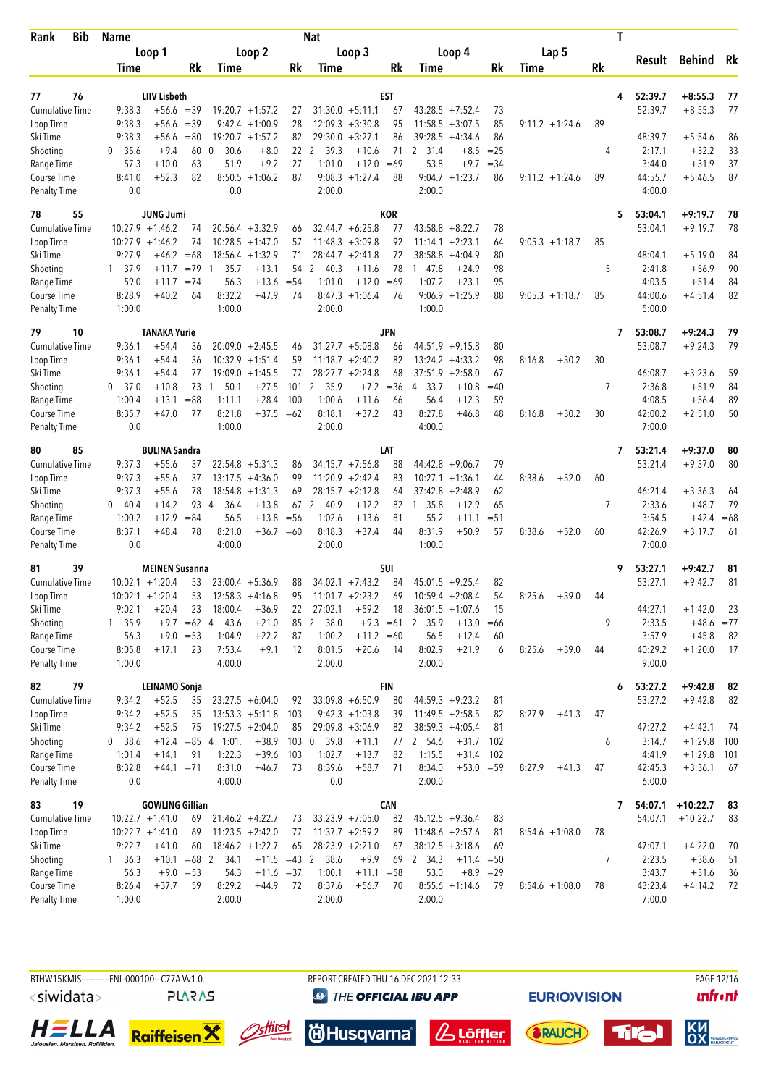| Bib<br>Rank                        | <b>Name</b>      |                        |                |                        |                                        |                  | <b>Nat</b>             |                                          |             |                                           |             |                   | T         |                    |              |          |
|------------------------------------|------------------|------------------------|----------------|------------------------|----------------------------------------|------------------|------------------------|------------------------------------------|-------------|-------------------------------------------|-------------|-------------------|-----------|--------------------|--------------|----------|
|                                    |                  | Loop 1                 |                |                        | Loop 2                                 |                  |                        | Loop 3                                   |             | Loop 4                                    |             | Lap 5             |           | Result             | Behind       | Rk       |
|                                    | Time             |                        | Rk             | Time                   |                                        | Rk               | Time                   |                                          | Rk          | Time                                      | Rk          | Time              | <b>Rk</b> |                    |              |          |
|                                    |                  |                        |                |                        |                                        |                  |                        |                                          |             |                                           |             |                   |           |                    |              |          |
| 77<br>76                           |                  | <b>LIIV Lisbeth</b>    |                |                        |                                        |                  |                        |                                          | EST         |                                           |             |                   | 4         | 52:39.7<br>52:39.7 | $+8:55.3$    | 77<br>77 |
| <b>Cumulative Time</b>             | 9:38.3<br>9:38.3 | $+56.6$<br>$+56.6$     | $=39$<br>$=39$ |                        | $19:20.7 + 1:57.2$<br>$9:42.4 +1:00.9$ | 27<br>28         |                        | $31:30.0 + 5:11.1$<br>$12:09.3 + 3:30.8$ | 67<br>95    | $43:28.5 +7:52.4$<br>11:58.5<br>$+3:07.5$ | 73<br>85    |                   | 89        |                    | $+8:55.3$    |          |
| Loop Time<br>Ski Time              | 9:38.3           | $+56.6$                | $= 80$         |                        | $19:20.7 + 1:57.2$                     | 82               |                        | $29:30.0 + 3:27.1$                       | 86          | 39:28.5<br>$+4:34.6$                      | 86          | $9:11.2 + 1:24.6$ |           | 48:39.7            | $+5:54.6$    | 86       |
| Shooting                           | 35.6<br>0        | $+9.4$                 | 60             | $\mathbf{0}$<br>30.6   | $+8.0$                                 | 22               | $\overline{2}$<br>39.3 | $+10.6$                                  | 71          | 2 31.4<br>$+8.5$                          | $= 25$      |                   | 4         | 2:17.1             | $+32.2$      | 33       |
| Range Time                         | 57.3             | $+10.0$                | 63             | 51.9                   | $+9.2$                                 | 27               | 1:01.0                 | $+12.0$                                  | $=69$       | 53.8<br>$+9.7$                            | $= 34$      |                   |           | 3:44.0             | $+31.9$      | 37       |
| Course Time                        | 8:41.0           | $+52.3$                | 82             | 8:50.5                 | $+1:06.2$                              | 87               |                        | $9:08.3 +1:27.4$                         | 88          | $9:04.7 +1:23.7$                          | 86          | $9:11.2 + 1:24.6$ | 89        | 44:55.7            | $+5:46.5$    | 87       |
| <b>Penalty Time</b>                | 0.0              |                        |                | 0.0                    |                                        |                  | 2:00.0                 |                                          |             | 2:00.0                                    |             |                   |           | 4:00.0             |              |          |
| 55<br>78                           |                  | <b>JUNG Jumi</b>       |                |                        |                                        |                  |                        |                                          | <b>KOR</b>  |                                           |             |                   | 5         | 53:04.1            | $+9:19.7$    | 78       |
| <b>Cumulative Time</b>             |                  | $10:27.9 + 1:46.2$     | 74             |                        | $20:56.4 + 3:32.9$                     | 66               |                        | $32:44.7 + 6:25.8$                       | 77          | $43:58.8 + 8:22.7$                        | 78          |                   |           | 53:04.1            | $+9:19.7$    | 78       |
| Loop Time                          |                  | $10:27.9 + 1:46.2$     | 74             |                        | $10:28.5 + 1:47.0$                     | 57               |                        | $11:48.3 + 3:09.8$                       | 92          | $11:14.1 + 2:23.1$                        | 64          | $9:05.3 +1:18.7$  | 85        |                    |              |          |
| Ski Time                           | 9:27.9           | $+46.2$                | $=68$          |                        | $18:56.4 + 1:32.9$                     | 71               |                        | $28:44.7 + 2:41.8$                       | 72          | 38:58.8<br>$+4:04.9$                      | 80          |                   |           | 48:04.1            | $+5:19.0$    | 84       |
| Shooting                           | 1 37.9           | $+11.7$                | $=79$          | 35.7<br>$\overline{1}$ | $+13.1$                                | 54               | 2<br>40.3              | $+11.6$                                  | 78          | 147.8<br>$+24.9$                          | 98          |                   | 5         | 2:41.8             | $+56.9$      | 90       |
| Range Time                         | 59.0             | $+11.7$                | $= 74$         | 56.3                   | $+13.6$                                | $= 54$           | 1:01.0                 | $+12.0$                                  | $=69$       | 1:07.2<br>$+23.1$                         | 95          |                   |           | 4:03.5             | $+51.4$      | 84       |
| Course Time                        | 8:28.9           | $+40.2$                | 64             | 8:32.2                 | +47.9                                  | 74               |                        | $8:47.3 +1:06.4$                         | 76          | $9:06.9 +1:25.9$                          | 88          | $9:05.3 +1:18.7$  | 85        | 44:00.6            | $+4:51.4$    | 82       |
| <b>Penalty Time</b>                | 1:00.0           |                        |                | 1:00.0                 |                                        |                  | 2:00.0                 |                                          |             | 1:00.0                                    |             |                   |           | 5:00.0             |              |          |
| 79<br>10                           |                  | <b>TANAKA Yurie</b>    |                |                        |                                        |                  |                        |                                          | JPN         |                                           |             |                   | 7         | 53:08.7            | $+9:24.3$    | 79       |
| <b>Cumulative Time</b>             | 9:36.1           | $+54.4$                | 36             |                        | $20:09.0 + 2:45.5$                     | 46               |                        | $31:27.7 + 5:08.8$                       | 66          | $44:51.9 +9:15.8$                         | 80          |                   |           | 53:08.7            | $+9:24.3$    | 79       |
| Loop Time                          | 9:36.1           | $+54.4$                | 36             |                        | $10:32.9 + 1:51.4$                     | 59               |                        | $11:18.7 + 2:40.2$                       | 82          | $13:24.2 +4:33.2$                         | 98          | 8:16.8<br>$+30.2$ | 30        |                    |              |          |
| Ski Time                           | 9:36.1           | $+54.4$                | 77             |                        | $19:09.0 + 1:45.5$                     | 77               |                        | $28:27.7 + 2:24.8$                       | 68          | $37:51.9 + 2:58.0$                        | 67          |                   |           | 46:08.7            | $+3:23.6$    | 59       |
| Shooting                           | 0, 37.0          | $+10.8$                | 73             | 50.1<br>$\mathbf{1}$   | $+27.5$                                | 101              | $\overline{2}$<br>35.9 | $+7.2$                                   | $= 36$      | 33.7<br>$+10.8$<br>4                      | $=40$       |                   | 7         | 2:36.8             | $+51.9$      | 84       |
| Range Time                         | 1:00.4           | $+13.1$                | $= 88$         | 1:11.1                 | $+28.4$                                | 100              | 1:00.6                 | $+11.6$                                  | 66          | 56.4<br>$+12.3$                           | 59          |                   |           | 4:08.5             | $+56.4$      | 89       |
| Course Time                        | 8:35.7           | $+47.0$                | 77             | 8:21.8                 | $+37.5 = 62$                           |                  | 8:18.1                 | $+37.2$                                  | 43          | 8:27.8<br>$+46.8$                         | 48          | 8:16.8<br>$+30.2$ | 30        | 42:00.2            | $+2:51.0$    | 50       |
| <b>Penalty Time</b>                | 0.0              |                        |                | 1:00.0                 |                                        |                  | 2:00.0                 |                                          |             | 4:00.0                                    |             |                   |           | 7:00.0             |              |          |
| 85<br>80                           |                  | <b>BULINA Sandra</b>   |                |                        |                                        |                  |                        |                                          | LAT         |                                           |             |                   | 7         | 53:21.4            | $+9:37.0$    | 80       |
| Cumulative Time                    | 9:37.3           | $+55.6$                | 37             |                        | $22:54.8 + 5:31.3$                     | 86               |                        | $34:15.7 + 7:56.8$                       | 88          | 44:42.8<br>$+9:06.7$                      | 79          |                   |           | 53:21.4            | $+9:37.0$    | 80       |
| Loop Time                          | 9:37.3           | $+55.6$                | 37             |                        | $13:17.5 +4:36.0$                      | 99               |                        | $11:20.9 + 2:42.4$                       | 83          | 10:27.1<br>$+1:36.1$                      | 44          | 8:38.6<br>$+52.0$ | 60        |                    |              |          |
| Ski Time                           | 9:37.3           | $+55.6$                | 78             | 18:54.8                | $+1:31.3$                              | 69               |                        | $28:15.7 + 2:12.8$                       | 64          | 37:42.8<br>$+2:48.9$                      | 62          |                   |           | 46:21.4            | $+3:36.3$    | 64       |
| Shooting                           | 0<br>-40.4       | $+14.2$                | 93             | 36.4<br>$\overline{4}$ | $+13.8$                                | 67               | $\overline{2}$<br>40.9 | $+12.2$                                  | 82          | 1 35.8<br>$+12.9$                         | 65          |                   | 7         | 2:33.6             | $+48.7$      | 79       |
| Range Time                         | 1:00.2           | $+12.9$                | $= 84$         | 56.5                   | $+13.8$                                | $=$ 56           | 1:02.6                 | $+13.6$                                  | 81          | 55.2<br>$+11.1$                           | $= 51$      |                   |           | 3:54.5             | $+42.4$      | $=68$    |
| Course Time<br><b>Penalty Time</b> | 8:37.1<br>0.0    | $+48.4$                | 78             | 8:21.0<br>4:00.0       | $+36.7 = 60$                           |                  | 8:18.3<br>2:00.0       | $+37.4$                                  | 44          | 8:31.9<br>$+50.9$<br>1:00.0               | 57          | 8:38.6<br>$+52.0$ | 60        | 42:26.9<br>7:00.0  | $+3:17.7$    | 61       |
| 39<br>81                           |                  | <b>MEINEN Susanna</b>  |                |                        |                                        |                  |                        |                                          | SUI         |                                           |             |                   | 9         | 53:27.1            | $+9:42.7$    | 81       |
| <b>Cumulative Time</b>             |                  | $10:02.1 + 1:20.4$     | 53             |                        | $23:00.4 + 5:36.9$                     | 88               |                        | $34:02.1 + 7:43.2$                       | 84          | $45:01.5 +9:25.4$                         | 82          |                   |           | 53:27.1            | $+9:42.7$    | 81       |
| Loop Time                          |                  | $10:02.1 + 1:20.4$     | 53             |                        | $12:58.3 +4:16.8$                      | 95               |                        | $11:01.7 +2:23.2$                        | 69          | $10:59.4 + 2:08.4$                        | 54          | $+39.0$<br>8:25.6 | 44        |                    |              |          |
| Ski Time                           | 9:02.1           | $+20.4$                | 23             | 18:00.4                | $+36.9$                                | 22               | 27:02.1                | $+59.2$                                  | 18          | $36:01.5 +1:07.6$                         | 15          |                   |           | 44:27.1            | $+1:42.0$    | 23       |
| Shooting                           | 1, 35.9          |                        | $+9.7 = 62$ 4  | 43.6                   | $+21.0$                                | 85               | $\overline{2}$<br>38.0 |                                          | $+9.3 = 61$ | 2 35.9<br>$+13.0$                         | $=66$       |                   | 9         | 2:33.5             | $+48.6 = 77$ |          |
| Range Time                         | 56.3             |                        | $+9.0 = 53$    | 1:04.9                 | $+22.2$                                | 87               | 1:00.2                 | $+11.2 = 60$                             |             | 56.5<br>$+12.4$                           | 60          |                   |           | 3:57.9             | $+45.8$      | 82       |
| Course Time                        | 8:05.8           | $+17.1$                | 23             | 7:53.4                 | $+9.1$                                 | 12               | 8:01.5                 | $+20.6$                                  | 14          | 8:02.9<br>$+21.9$                         | 6           | 8:25.6<br>$+39.0$ | 44        | 40:29.2            | $+1:20.0$    | 17       |
| <b>Penalty Time</b>                | 1:00.0           |                        |                | 4:00.0                 |                                        |                  | 2:00.0                 |                                          |             | 2:00.0                                    |             |                   |           | 9:00.0             |              |          |
| 82<br>79                           |                  | LEINAMO Sonja          |                |                        |                                        |                  |                        |                                          | <b>FIN</b>  |                                           |             |                   | 6         | 53:27.2            | $+9:42.8$    | 82       |
| Cumulative Time                    | 9:34.2           | $+52.5$                | 35             |                        | $23:27.5 + 6:04.0$                     | 92               |                        | $33:09.8 + 6:50.9$                       | 80          | $44:59.3 +9:23.2$                         | 81          |                   |           | 53:27.2            | $+9:42.8$    | 82       |
| Loop Time                          | 9:34.2           | $+52.5$                | 35             |                        | $13:53.3 + 5:11.8$                     | 103              |                        | $9:42.3 +1:03.8$                         | 39          | $11:49.5 + 2:58.5$                        | 82          | 8:27.9<br>$+41.3$ | 47        |                    |              |          |
| Ski Time                           | 9:34.2           | $+52.5$                | 75             |                        | $19:27.5 + 2:04.0$                     | 85               |                        | $29:09.8 + 3:06.9$                       | 82          | $38:59.3 + 4:05.4$                        | 81          |                   |           | 47:27.2            | $+4:42.1$    | -74      |
| Shooting                           | 38.6<br>0        |                        |                | $+12.4 = 85$ 4 1:01.   | $+38.9$                                | 103 <sub>0</sub> | 39.8                   | $+11.1$                                  | 77          | 2 54.6<br>$+31.7$                         | 102         |                   | 6         | 3:14.7             | $+1:29.8$    | 100      |
| Range Time                         | 1:01.4           | $+14.1$                | 91             | 1:22.3                 | $+39.6$                                | 103              | 1:02.7                 | $+13.7$                                  | 82          | 1:15.5<br>$+31.4$                         | 102         |                   |           | 4:41.9             | $+1:29.8$    | 101      |
| Course Time                        | 8:32.8           | $+44.1 = 71$           |                | 8:31.0                 | $+46.7$                                | 73               | 8:39.6                 | $+58.7$                                  | 71          | 8:34.0<br>$+53.0 = 59$                    |             | 8:27.9<br>$+41.3$ | 47        | 42:45.3            | $+3:36.1$    | 67       |
| <b>Penalty Time</b>                | 0.0              |                        |                | 4:00.0                 |                                        |                  | 0.0                    |                                          |             | 2:00.0                                    |             |                   |           | 6:00.0             |              |          |
| 19<br>83                           |                  | <b>GOWLING Gillian</b> |                |                        |                                        |                  |                        |                                          | <b>CAN</b>  |                                           |             |                   | 7         | 54:07.1            | $+10:22.7$   | 83       |
| <b>Cumulative Time</b>             |                  | $10:22.7 + 1:41.0$     | 69             |                        | $21:46.2 +4:22.7$                      | 73               |                        | $33:23.9 +7:05.0$                        | 82          | $45:12.5 + 9:36.4$                        | 83          |                   |           | 54:07.1            | $+10:22.7$   | 83       |
| Loop Time                          |                  | $10:22.7 + 1:41.0$     | 69             |                        | $11:23.5 +2:42.0$                      | 77               |                        | $11:37.7 + 2:59.2$                       | 89          | $11:48.6 + 2:57.6$                        | 81          | $8:54.6 + 1:08.0$ | 78        |                    |              |          |
| Ski Time                           | 9:22.7           | $+41.0$                | 60             |                        | $18:46.2 + 1:22.7$                     | 65               |                        | $28:23.9 +2:21.0$                        | 67          | $38:12.5 + 3:18.6$                        | 69          |                   |           | 47:07.1            | $+4:22.0$    | 70       |
| Shooting                           | 1, 36.3          | $+10.1$                | $=68$ 2        | 34.1                   | $+11.5 = 43$ 2                         |                  | 38.6                   | $+9.9$                                   | 69          | 2 34.3<br>$+11.4 = 50$                    |             |                   | 7         | 2:23.5             | $+38.6$      | 51       |
| Range Time                         | 56.3             |                        | $+9.0 = 53$    | 54.3                   | $+11.6 = 37$                           |                  | 1:00.1                 | $+11.1 = 58$                             |             | 53.0                                      | $+8.9 = 29$ |                   |           | 3:43.7             | $+31.6$      | 36       |
| Course Time                        | 8:26.4           | $+37.7$                | 59             | 8:29.2                 | $+44.9$                                | 72               | 8:37.6                 | $+56.7$                                  | 70          | $8:55.6 +1:14.6$                          | 79          | $8:54.6 +1:08.0$  | 78        | 43:23.4            | $+4:14.2$    | 72       |
| <b>Penalty Time</b>                | 1:00.0           |                        |                | 2:00.0                 |                                        |                  | 2:00.0                 |                                          |             | 2:00.0                                    |             |                   |           | 7:00.0             |              |          |



**@ THE OFFICIAL IBU APP** 

**EURIO)VISION** 

**unfront** 













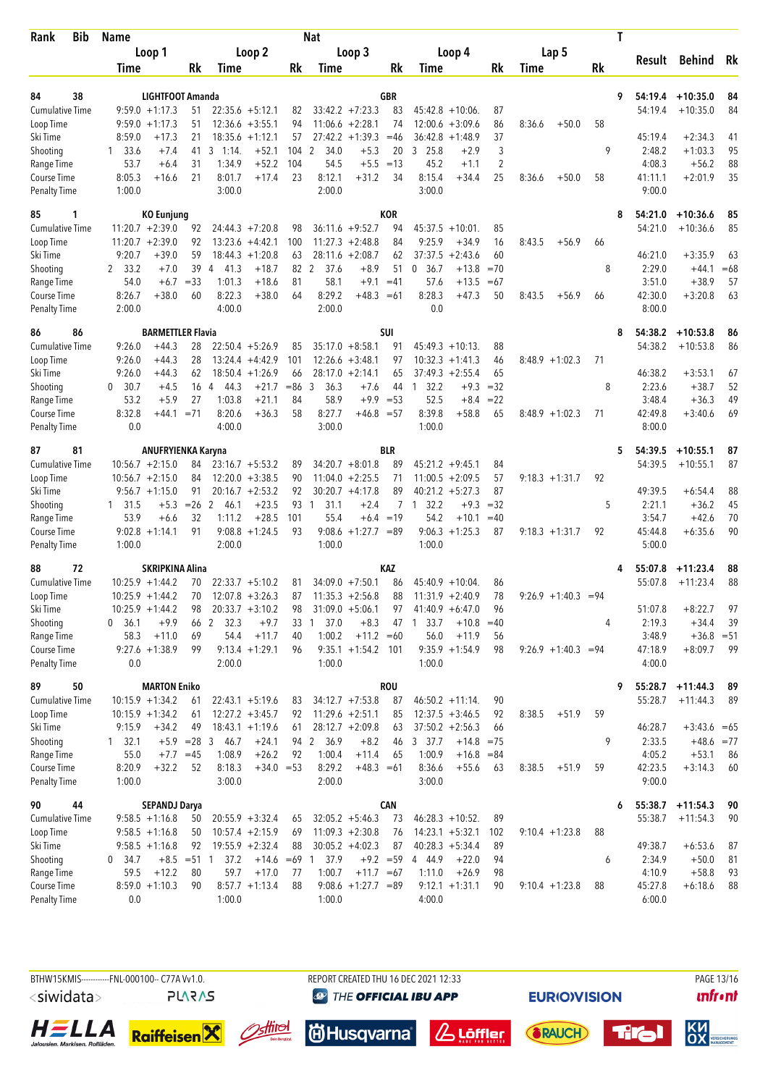| Bib<br>Rank                        | <b>Name</b>          |                                          |               |                        |                                          |          | Nat                  |                                         |                |                                          |              |                |        |                       |           | T |                   |                           |       |
|------------------------------------|----------------------|------------------------------------------|---------------|------------------------|------------------------------------------|----------|----------------------|-----------------------------------------|----------------|------------------------------------------|--------------|----------------|--------|-----------------------|-----------|---|-------------------|---------------------------|-------|
|                                    |                      | Loop 1                                   |               |                        | Loop 2                                   |          |                      | Loop 3                                  |                | Loop 4                                   |              |                |        | Lap 5                 |           |   |                   | Behind                    | Rk    |
|                                    | Time                 |                                          | Rk            | Time                   |                                          | Rk       | Time                 |                                         | Rk             | Time                                     |              | Rk             | Time   |                       | <b>Rk</b> |   | Result            |                           |       |
|                                    |                      |                                          |               |                        |                                          |          |                      |                                         |                |                                          |              |                |        |                       |           |   |                   |                           |       |
| 38<br>84                           |                      | LIGHTFOOT Amanda                         |               |                        | $22:35.6 + 5:12.1$                       |          |                      | $33:42.2 +7:23.3$                       | <b>GBR</b>     | $45:42.8 + 10:06$                        |              |                |        |                       |           | 9 | 54:19.4           | $+10:35.0$                | 84    |
| Cumulative Time<br>Loop Time       |                      | $9:59.0 +1:17.3$<br>$9:59.0 +1:17.3$     | 51<br>51      |                        | $12:36.6 + 3:55.1$                       | 82<br>94 |                      | $11:06.6 + 2:28.1$                      | 83<br>74       | 12:00.6                                  | $+3:09.6$    | 87<br>86       | 8:36.6 | $+50.0$               | 58        |   | 54:19.4           | $+10:35.0$                | 84    |
| Ski Time                           | 8:59.0               | $+17.3$                                  | 21            |                        | $18:35.6 + 1:12.1$                       | 57       | 27:42.2              | $+1:39.3$                               | $=46$          | 36:42.8                                  | $+1:48.9$    | 37             |        |                       |           |   | 45:19.4           | $+2:34.3$                 | 41    |
| Shooting                           | $1 \quad 33.6$       | $+7.4$                                   | 41            | 3<br>1:14.             | $+52.1$                                  | 104      | 2<br>34.0            | $+5.3$                                  | 20             | 3 25.8                                   | $+2.9$       | 3              |        |                       | 9         |   | 2:48.2            | $+1:03.3$                 | 95    |
| Range Time                         | 53.7                 | $+6.4$                                   | 31            | 1:34.9                 | $+52.2$                                  | 104      | 54.5                 | $+5.5$                                  | $=13$          | 45.2                                     | $+1.1$       | $\overline{2}$ |        |                       |           |   | 4:08.3            | $+56.2$                   | 88    |
| Course Time                        | 8:05.3               | $+16.6$                                  | 21            | 8:01.7                 | $+17.4$                                  | 23       | 8:12.1               | $+31.2$                                 | 34             | 8:15.4                                   | $+34.4$      | 25             | 8:36.6 | $+50.0$               | 58        |   | 41:11.1           | $+2:01.9$                 | 35    |
| <b>Penalty Time</b>                | 1:00.0               |                                          |               | 3:00.0                 |                                          |          | 2:00.0               |                                         |                | 3:00.0                                   |              |                |        |                       |           |   | 9:00.0            |                           |       |
| 85<br>1                            |                      | <b>KO Eunjung</b>                        |               |                        |                                          |          |                      |                                         | <b>KOR</b>     |                                          |              |                |        |                       |           | 8 | 54:21.0           | $+10:36.6$                | 85    |
| <b>Cumulative Time</b>             |                      | $11:20.7 + 2:39.0$                       | 92            |                        | $24:44.3 + 7:20.8$                       | 98       |                      | $36:11.6 + 9:52.7$                      | 94             | $45:37.5 + 10:01$ .                      |              | 85             |        |                       |           |   | 54:21.0           | $+10:36.6$                | 85    |
| Loop Time                          |                      | $11:20.7 + 2:39.0$                       | 92            | 13:23.6                | $+4:42.1$                                | 100      |                      | $11:27.3 +2:48.8$                       | 84             | 9:25.9                                   | $+34.9$      | 16             | 8:43.5 | $+56.9$               | 66        |   |                   |                           |       |
| Ski Time                           | 9:20.7               | $+39.0$                                  | 59            |                        | $18:44.3 + 1:20.8$                       | 63       |                      | $28:11.6 + 2:08.7$                      | 62             | 37:37.5                                  | $+2:43.6$    | 60             |        |                       |           |   | 46:21.0           | $+3:35.9$                 | 63    |
| Shooting                           | 2 33.2               | $+7.0$                                   | 39            | 41.3<br>$\overline{4}$ | $+18.7$                                  | 82 2     | 37.6                 | $+8.9$                                  | 51             | $\boldsymbol{0}$<br>36.7                 | $+13.8$      | $=70$          |        |                       | 8         |   | 2:29.0            | $+44.1$                   | $=68$ |
| Range Time                         | 54.0                 | $+6.7$                                   | $=33$         | 1:01.3                 | $+18.6$                                  | 81       | 58.1                 | $+9.1$                                  | $=41$          | 57.6                                     | $+13.5$      | $=67$          |        |                       |           |   | 3:51.0            | $+38.9$                   | 57    |
| Course Time                        | 8:26.7               | $+38.0$                                  | 60            | 8:22.3                 | $+38.0$                                  | 64       | 8:29.2               | $+48.3 = 61$                            |                | 8:28.3                                   | $+47.3$      | 50             | 8:43.5 | $+56.9$               | 66        |   | 42:30.0           | $+3:20.8$                 | 63    |
| <b>Penalty Time</b>                | 2:00.0               |                                          |               | 4:00.0                 |                                          |          | 2:00.0               |                                         |                | 0.0                                      |              |                |        |                       |           |   | 8:00.0            |                           |       |
| 86<br>86                           |                      | <b>BARMETTLER Flavia</b>                 |               |                        |                                          |          |                      |                                         | <b>SUI</b>     |                                          |              |                |        |                       |           | 8 | 54:38.2           | $+10:53.8$                | 86    |
| <b>Cumulative Time</b>             | 9:26.0               | $+44.3$                                  | 28            |                        | $22:50.4 + 5:26.9$                       | 85       |                      | $35:17.0 + 8:58.1$                      | 91             | $45:49.3 + 10:13$                        |              | 88             |        |                       |           |   | 54:38.2           | $+10:53.8$                | 86    |
| Loop Time                          | 9:26.0               | $+44.3$                                  | 28            |                        | $13:24.4 +4:42.9$                        | 101      |                      | $12:26.6 + 3:48.1$                      | 97             | $10:32.3 + 1:41.3$                       |              | 46             |        | $8:48.9 +1:02.3$      | 71        |   |                   |                           |       |
| Ski Time                           | 9:26.0               | $+44.3$                                  | 62            |                        | $18:50.4 + 1:26.9$                       | 66       |                      | $28:17.0 + 2:14.1$                      | 65             | $37:49.3 + 2:55.4$                       |              | 65             |        |                       |           |   | 46:38.2           | $+3:53.1$                 | 67    |
| Shooting                           | 30.7<br>$\mathbf{0}$ | $+4.5$                                   | 16            | 44.3<br>$\overline{4}$ | $+21.7$                                  | $=86$    | 3<br>36.3            | $+7.6$                                  | 44             | 32.2<br>$\overline{1}$                   | $+9.3$       | $=32$          |        |                       | 8         |   | 2:23.6            | $+38.7$                   | 52    |
| Range Time                         | 53.2                 | $+5.9$                                   | 27            | 1:03.8                 | $+21.1$                                  | 84       | 58.9                 | $+9.9$                                  | $= 53$         | 52.5                                     | $+8.4$       | $= 22$         |        |                       |           |   | 3:48.4            | $+36.3$                   | 49    |
| Course Time                        | 8:32.8               | $+44.1$                                  | $= 71$        | 8:20.6                 | $+36.3$                                  | 58       | 8:27.7               | $+46.8 = 57$                            |                | 8:39.8                                   | $+58.8$      | 65             |        | $8:48.9 +1:02.3$      | 71        |   | 42:49.8           | $+3:40.6$                 | 69    |
| <b>Penalty Time</b>                | 0.0                  |                                          |               | 4:00.0                 |                                          |          | 3:00.0               |                                         |                | 1:00.0                                   |              |                |        |                       |           |   | 8:00.0            |                           |       |
| 81<br>87                           |                      | ANUFRYIENKA Karyna                       |               |                        |                                          |          |                      |                                         | <b>BLR</b>     |                                          |              |                |        |                       |           | 5 | 54:39.5           | $+10:55.1$                | 87    |
| <b>Cumulative Time</b>             |                      | $10:56.7 + 2:15.0$                       | 84            |                        | $23:16.7 + 5:53.2$                       | 89       |                      | $34:20.7 + 8:01.8$                      | 89             | $45:21.2 +9:45.1$                        |              | 84             |        |                       |           |   | 54:39.5           | $+10:55.1$                | 87    |
| Loop Time                          |                      | $10:56.7 + 2:15.0$                       | 84            |                        | $12:20.0 + 3:38.5$                       | 90       |                      | $11:04.0 + 2:25.5$                      | 71             | $11:00.5 + 2:09.5$                       |              | 57             |        | $9:18.3 + 1:31.7$     | 92        |   |                   |                           |       |
| Ski Time                           |                      | $9:56.7 +1:15.0$                         | 91            |                        | $20:16.7 + 2:53.2$                       | 92       |                      | $30:20.7 +4:17.8$                       | 89             | $40:21.2 + 5:27.3$                       |              | 87             |        |                       |           |   | 49:39.5           | $+6:54.4$                 | 88    |
| Shooting                           | 1 31.5               | $+5.3$                                   | $=26$         | $\overline{2}$<br>46.1 | $+23.5$                                  | 93       | 31.1<br>$\mathbf{1}$ | $+2.4$                                  | $\overline{7}$ | 32.2<br>$\overline{1}$                   | $+9.3$       | $=32$          |        |                       | 5         |   | 2:21.1            | $+36.2$                   | 45    |
| Range Time                         | 53.9                 | $+6.6$                                   | 32            | 1:11.2                 | $+28.5$                                  | 101      | 55.4                 | $+6.4$                                  | $=19$          | 54.2                                     | $+10.1$      | $=40$          |        |                       |           |   | 3:54.7            | $+42.6$                   | 70    |
| Course Time                        |                      | $9:02.8 +1:14.1$                         | 91            |                        | $9:08.8 + 1:24.5$                        | 93       | 9:08.6               | $+1:27.7 = 89$                          |                | $9:06.3 +1:25.3$                         |              | 87             |        | $9:18.3 + 1:31.7$     | 92        |   | 45:44.8           | $+6:35.6$                 | 90    |
| Penalty Time                       | 1:00.0               |                                          |               | 2:00.0                 |                                          |          | 1:00.0               |                                         |                | 1:00.0                                   |              |                |        |                       |           |   | 5:00.0            |                           |       |
| 72<br>88                           |                      | <b>SKRIPKINA Alina</b>                   |               |                        |                                          |          |                      |                                         | KAZ            |                                          |              |                |        |                       |           | 4 | 55:07.8           | $+11:23.4$                | 88    |
| <b>Cumulative Time</b>             |                      | $10:25.9 + 1:44.2$                       | 70            |                        | $22:33.7 + 5:10.2$                       | 81       |                      | $34:09.0 +7:50.1$                       | 86             | $45:40.9 + 10:04$                        |              | 86             |        |                       |           |   | 55:07.8           | $+11:23.4$                | 88    |
| Loop Time                          |                      | $10:25.9 + 1:44.2$                       | 70            |                        | $12:07.8 + 3:26.3$                       | 87       |                      | $11:35.3 +2:56.8$                       | 88             | $11:31.9 + 2:40.9$                       |              | 78             |        | $9:26.9 +1:40.3 = 94$ |           |   |                   |                           |       |
| Ski Time                           |                      | $10:25.9 + 1:44.2$                       | 98            |                        | $20:33.7 + 3:10.2$                       | 98       |                      | $31:09.0 + 5:06.1$                      | 97             | $41:40.9 + 6:47.0$                       |              | 96             |        |                       |           |   | 51:07.8           | $+8:22.7$                 | 97    |
| Shooting                           | 0, 36.1              | $+9.9$                                   | 66            | $\overline{2}$<br>32.3 | $+9.7$                                   | 33       | 37.0                 | $+8.3$                                  | 47             | 33.7<br>-1                               | $+10.8$      | $=40$          |        |                       | 4         |   | 2:19.3            | $+34.4$                   | 39    |
| Range Time<br>Course Time          | 58.3                 | $+11.0$<br>$9:27.6 +1:38.9$              | 69<br>99      | 54.4                   | $+11.7$<br>$9:13.4 +1:29.1$              | 40<br>96 | 1:00.2               | $+11.2 = 60$<br>$9:35.1 + 1:54.2$ 101   |                | 56.0<br>$9:35.9 +1:54.9$                 | $+11.9$      | 56<br>98       |        | $9:26.9 +1:40.3 = 94$ |           |   | 3:48.9<br>47:18.9 | $+36.8 = 51$<br>$+8:09.7$ | 99    |
| Penalty Time                       | 0.0                  |                                          |               | 2:00.0                 |                                          |          | 1:00.0               |                                         |                | 1:00.0                                   |              |                |        |                       |           |   | 4:00.0            |                           |       |
|                                    |                      |                                          |               |                        |                                          |          |                      |                                         |                |                                          |              |                |        |                       |           |   |                   |                           |       |
| 50<br>89<br><b>Cumulative Time</b> |                      | <b>MARTON Eniko</b>                      |               |                        |                                          |          |                      |                                         | <b>ROU</b>     |                                          |              |                |        |                       |           | 9 | 55:28.7           | $+11:44.3$                | 89    |
| Loop Time                          |                      | $10:15.9 + 1:34.2$<br>$10:15.9 + 1:34.2$ | 61<br>61      |                        | $22:43.1 + 5:19.6$<br>$12:27.2 + 3:45.7$ | 83<br>92 |                      | $34:12.7 +7:53.8$<br>$11:29.6 + 2:51.1$ | 87<br>85       | $46:50.2 +11:14$ .<br>$12:37.5 + 3:46.5$ |              | 90<br>92       | 8:38.5 | $+51.9$               | 59        |   | 55:28.7           | $+11:44.3$                | 89    |
| Ski Time                           | 9:15.9               | $+34.2$                                  | 49            |                        | $18:43.1 + 1:19.6$                       | 61       |                      | $28:12.7 + 2:09.8$                      | 63             | $37:50.2 +2:56.3$                        |              | 66             |        |                       |           |   | 46:28.7           | $+3:43.6 = 65$            |       |
| Shooting                           | $1 \quad 32.1$       |                                          |               | $+5.9$ = 28 3 46.7     | $+24.1$                                  |          | 94 2 36.9            | $+8.2$                                  | 46             | 3 37.7                                   | $+14.8$ =75  |                |        |                       | 9         |   | 2:33.5            | $+48.6 = 77$              |       |
| Range Time                         | 55.0                 |                                          | $+7.7 = 45$   | 1:08.9                 | $+26.2$                                  | 92       | 1:00.4               | $+11.4$                                 | 65             | 1:00.9                                   | $+16.8 = 84$ |                |        |                       |           |   | 4:05.2            | $+53.1$                   | 86    |
| Course Time                        | 8:20.9               | $+32.2$                                  | 52            | 8:18.3                 | $+34.0 = 53$                             |          | 8:29.2               | $+48.3 = 61$                            |                | 8:36.6                                   | $+55.6$      | 63             | 8:38.5 | $+51.9$               | 59        |   | 42:23.5           | $+3:14.3$                 | 60    |
| Penalty Time                       | 1:00.0               |                                          |               | 3:00.0                 |                                          |          | 2:00.0               |                                         |                | 3:00.0                                   |              |                |        |                       |           |   | 9:00.0            |                           |       |
| 44<br>90                           |                      | <b>SEPANDJ Darya</b>                     |               |                        |                                          |          |                      |                                         | <b>CAN</b>     |                                          |              |                |        |                       |           | 6 | 55:38.7           | $+11:54.3$                | 90    |
| <b>Cumulative Time</b>             |                      | $9:58.5 +1:16.8$                         | 50            |                        | $20:55.9 + 3:32.4$                       | 65       |                      | $32:05.2 +5:46.3$                       | 73             | $46:28.3 +10:52$ .                       |              | 89             |        |                       |           |   | 55:38.7           | $+11:54.3$                | 90    |
| Loop Time                          |                      | $9:58.5 +1:16.8$                         | 50            |                        | $10:57.4 +2:15.9$                        | 69       |                      | $11:09.3 +2:30.8$                       | 76             | $14:23.1 + 5:32.1$                       |              | 102            |        | $9:10.4 + 1:23.8$     | 88        |   |                   |                           |       |
| Ski Time                           |                      | $9:58.5 +1:16.8$                         | 92            |                        | $19:55.9 + 2:32.4$                       | 88       |                      | $30:05.2 +4:02.3$                       | 87             | $40:28.3 + 5:34.4$                       |              | 89             |        |                       |           |   | 49:38.7           | $+6:53.6$                 | 87    |
| Shooting                           | 0 34.7               |                                          | $+8.5 = 51$ 1 | 37.2                   | $+14.6$                                  | $=69$    | 1, 37.9              |                                         | $+9.2 = 59$    | 4 44.9                                   | $+22.0$      | 94             |        |                       | 6         |   | 2:34.9            | $+50.0$                   | 81    |
| Range Time                         | 59.5                 | $+12.2$                                  | 80            | 59.7                   | $+17.0$                                  | 77       | 1:00.7               | $+11.7 = 67$                            |                | 1:11.0                                   | $+26.9$      | 98             |        |                       |           |   | 4:10.9            | $+58.8$                   | 93    |
| Course Time                        |                      | $8:59.0 +1:10.3$                         | 90            |                        | $8:57.7 +1:13.4$                         | 88       |                      | $9:08.6 +1:27.7 = 89$                   |                | $9:12.1 + 1:31.1$                        |              | 90             |        | $9:10.4 + 1:23.8$     | 88        |   | 45:27.8           | $+6:18.6$                 | 88    |
| Penalty Time                       | 0.0                  |                                          |               | 1:00.0                 |                                          |          | 1:00.0               |                                         |                | 4:00.0                                   |              |                |        |                       |           |   | 6:00.0            |                           |       |



**unfront** 

HELLA











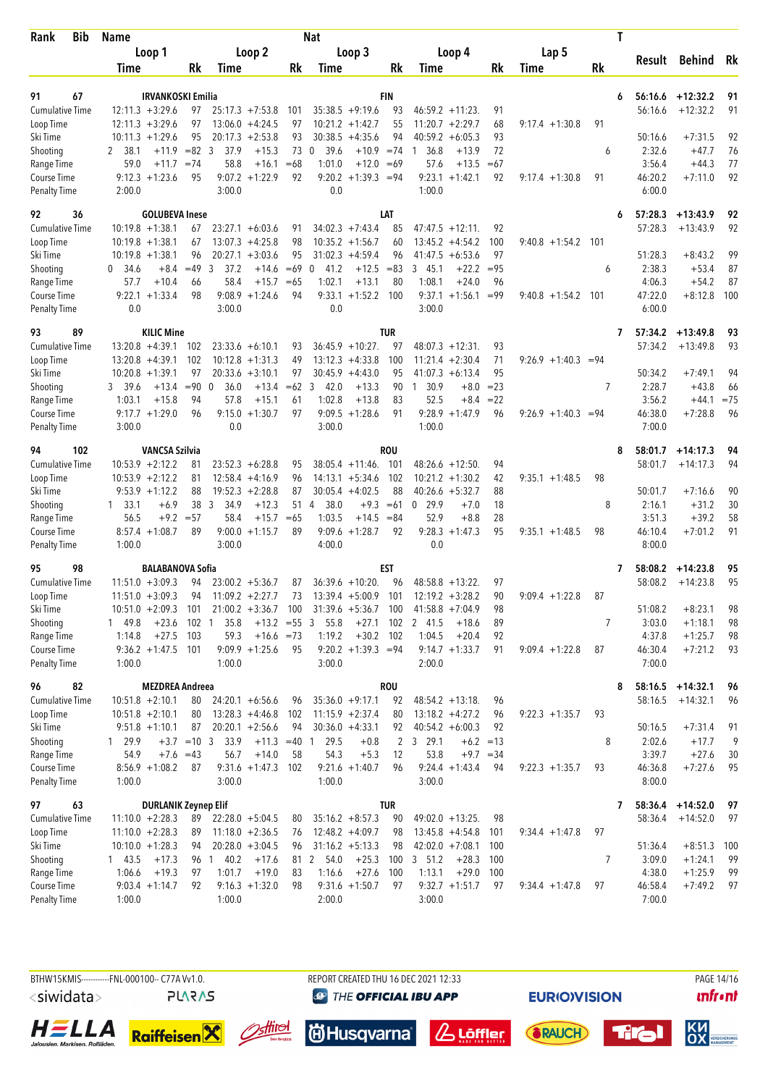| Bib<br>Rank                         | Name                      |                             |                        |                                         |             | <b>Nat</b>                              |                                        |                  |                                         |              |                       | Τ         |                   |                      |           |
|-------------------------------------|---------------------------|-----------------------------|------------------------|-----------------------------------------|-------------|-----------------------------------------|----------------------------------------|------------------|-----------------------------------------|--------------|-----------------------|-----------|-------------------|----------------------|-----------|
|                                     | Loop 1                    |                             |                        | Loop 2                                  |             |                                         | Loop 3                                 |                  | Loop 4                                  |              | Lap 5                 |           |                   |                      | Rk        |
|                                     | Time                      | Rk                          | Time                   |                                         | Rk          | Time                                    |                                        | Rk               | Time                                    | Rk           | Time                  | <b>Rk</b> |                   | Result Behind        |           |
|                                     |                           |                             |                        |                                         |             |                                         |                                        |                  |                                         |              |                       |           |                   |                      |           |
| 91<br>67                            | $12:11.3 + 3:29.6$        | <b>IRVANKOSKI Emilia</b>    |                        |                                         |             |                                         |                                        | <b>FIN</b><br>93 |                                         |              |                       | 6         | 56:16.6           | $+12:32.2$           | 91        |
| <b>Cumulative Time</b><br>Loop Time | $12:11.3 + 3:29.6$        |                             | 97<br>97               | $25:17.3 +7:53.8$<br>$13:06.0 + 4:24.5$ | 101<br>97   |                                         | $35:38.5 +9:19.6$<br>$10:21.2 +1:42.7$ | 55               | $46:59.2 +11:23$<br>$11:20.7 + 2:29.7$  | 91<br>68     | $9:17.4 +1:30.8$      | 91        | 56:16.6           | $+12:32.2$           | 91        |
| Ski Time                            | $10:11.3 + 1:29.6$        |                             | 95                     | $20:17.3 + 2:53.8$                      | 93          |                                         | $30:38.5 +4:35.6$                      | 94               | 40:59.2<br>$+6:05.3$                    | 93           |                       |           | 50:16.6           | $+7:31.5$            | 92        |
| Shooting                            | 2 38.1                    | $+11.9$                     | $= 82 \quad 3$<br>37.9 | $+15.3$                                 | 73          | 39.6<br>$\mathbf{0}$                    | $+10.9 = 74$                           |                  | 36.8<br>$+13.9$<br>-1                   | 72           |                       | 6         | 2:32.6            | $+47.7$              | 76        |
| Range Time                          | 59.0                      | $+11.7$<br>$=74$            | 58.8                   | $+16.1$                                 | $=68$       | 1:01.0                                  | $+12.0$                                | $=69$            | 57.6<br>$+13.5$                         | $=67$        |                       |           | 3:56.4            | $+44.3$              | 77        |
| Course Time                         | $9:12.3 +1:23.6$          |                             | 95                     | $9:07.2 + 1:22.9$                       | 92          |                                         | $9:20.2 +1:39.3 =94$                   |                  | $9:23.1 + 1:42.1$                       | 92           | $9:17.4 +1:30.8$      | 91        | 46:20.2           | $+7:11.0$            | 92        |
| <b>Penalty Time</b>                 | 2:00.0                    |                             | 3:00.0                 |                                         |             | 0.0                                     |                                        |                  | 1:00.0                                  |              |                       |           | 6:00.0            |                      |           |
| 36<br>92                            |                           | <b>GOLUBEVA Inese</b>       |                        |                                         |             |                                         |                                        | LAT              |                                         |              |                       | 6         | 57:28.3           | $+13:43.9$           | 92        |
| <b>Cumulative Time</b>              | $10:19.8 + 1:38.1$        |                             | 67                     | $23:27.1 + 6:03.6$                      | 91          |                                         | $34:02.3 +7:43.4$                      | 85               | $47:47.5 + 12:11$                       | 92           |                       |           | 57:28.3           | $+13:43.9$           | 92        |
| Loop Time                           | $10:19.8 + 1:38.1$        |                             | 67                     | $13:07.3 +4:25.8$                       | 98          |                                         | $10:35.2 +1:56.7$                      | 60               | $13:45.2 +4:54.2$                       | 100          | $9:40.8 + 1:54.2$     | 101       |                   |                      |           |
| Ski Time                            | $10:19.8 + 1:38.1$        |                             | 96                     | $20:27.1 + 3:03.6$                      | 95          |                                         | $31:02.3 +4:59.4$                      | 96               | $41:47.5 + 6:53.6$                      | 97           |                       |           | 51:28.3           | $+8:43.2$            | 99        |
| Shooting                            | 0, 34.6                   | $=49$<br>$+8.4$             | 3<br>37.2              | $+14.6$                                 | $=69$       | 41.2<br>$\mathbf{0}$                    | $+12.5$                                | $= 83$           | 345.1<br>$+22.2$                        | $= 95$       |                       | 6         | 2:38.3            | $+53.4$              | 87        |
| Range Time<br>Course Time           | 57.7<br>$9:22.1 + 1:33.4$ | $+10.4$                     | 58.4<br>66<br>98       | $+15.7$<br>$9:08.9 +1:24.6$             | $=65$<br>94 | 1:02.1                                  | $+13.1$<br>$9:33.1 + 1:52.2$           | 80<br>100        | 1:08.1<br>$+24.0$<br>$9:37.1 + 1:56.1$  | 96<br>$= 99$ | $9:40.8 +1:54.2$      | 101       | 4:06.3<br>47:22.0 | $+54.2$<br>$+8:12.8$ | 87<br>100 |
| <b>Penalty Time</b>                 | 0.0                       |                             | 3:00.0                 |                                         |             | 0.0                                     |                                        |                  | 3:00.0                                  |              |                       |           | 6:00.0            |                      |           |
| 93<br>89                            |                           | <b>KILIC Mine</b>           |                        |                                         |             |                                         |                                        | <b>TUR</b>       |                                         |              |                       | 7         | 57:34.2           | $+13:49.8$           | 93        |
| <b>Cumulative Time</b>              | $13:20.8 + 4:39.1$        | 102                         |                        | $23:33.6 + 6:10.1$                      | 93          |                                         | $36:45.9 + 10:27$ .                    | 97               | $48:07.3 +12:31$                        | 93           |                       |           | 57:34.2           | $+13:49.8$           | 93        |
| Loop Time                           | $13:20.8 + 4:39.1$        | 102                         |                        | $10:12.8 + 1:31.3$                      | 49          |                                         | $13:12.3 + 4:33.8$                     | 100              | $11:21.4 +2:30.4$                       | 71           | $9:26.9 +1:40.3 = 94$ |           |                   |                      |           |
| Ski Time                            | $10:20.8 + 1:39.1$        |                             | 97                     | $20:33.6 + 3:10.1$                      | 97          |                                         | $30:45.9 +4:43.0$                      | 95               | $41:07.3 + 6:13.4$                      | 95           |                       |           | 50:34.2           | $+7:49.1$            | 94        |
| Shooting                            | 3 39.6                    | $= 90$<br>$+13.4$           | $\mathbf{0}$<br>36.0   | $+13.4$                                 | $=62$ 3     | 42.0                                    | $+13.3$                                | 90               | 30.9<br>$+8.0$<br>$\overline{1}$        | $= 23$       |                       | 7         | 2:28.7            | $+43.8$              | 66        |
| Range Time                          | 1:03.1                    | $+15.8$                     | 94<br>57.8             | $+15.1$                                 | 61          | 1:02.8                                  | $+13.8$                                | 83               | 52.5<br>$+8.4$                          | $= 22$       |                       |           | 3:56.2            | $+44.1$              | $= 75$    |
| Course Time                         | $9:17.7 + 1:29.0$         |                             | 96<br>9:15.0           | $+1:30.7$                               | 97          |                                         | $9:09.5 +1:28.6$                       | 91               | $9:28.9 +1:47.9$                        | 96           | $9:26.9 +1:40.3$      | =94       | 46:38.0           | $+7:28.8$            | 96        |
| <b>Penalty Time</b>                 | 3:00.0                    |                             | 0.0                    |                                         |             | 3:00.0                                  |                                        |                  | 1:00.0                                  |              |                       |           | 7:00.0            |                      |           |
| 102<br>94                           |                           | <b>VANCSA Szilvia</b>       |                        |                                         |             |                                         |                                        | <b>ROU</b>       |                                         |              |                       | 8         | 58:01.7           | $+14:17.3$           | 94        |
| <b>Cumulative Time</b>              | $10:53.9 + 2:12.2$        |                             | 81                     | $23:52.3 + 6:28.8$                      | 95          |                                         | $38:05.4 +11:46$ .                     | 101              | $48:26.6 + 12:50$ .                     | 94           |                       |           | 58:01.7           | $+14:17.3$           | 94        |
| Loop Time                           | $10:53.9 + 2:12.2$        |                             | 81                     | $12:58.4 +4:16.9$                       | 96          |                                         | $14:13.1 + 5:34.6$                     | 102              | $10:21.2 + 1:30.2$                      | 42           | $9:35.1 + 1:48.5$     | 98        |                   |                      |           |
| Ski Time                            | $9:53.9 +1:12.2$          |                             | 88                     | $19:52.3 + 2:28.8$                      | 87          |                                         | $30:05.4 +4:02.5$                      | 88               | $40:26.6 + 5:32.7$                      | 88           |                       |           | 50:01.7           | $+7:16.6$            | 90        |
| Shooting                            | $1 \quad 33.1$            | $+6.9$                      | 38<br>3<br>34.9        | $+12.3$                                 | 51          | 38.0<br>4                               | $+9.3$                                 | $=61$            | 0, 29.9<br>$+7.0$                       | 18           |                       | 8         | 2:16.1            | $+31.2$              | 30        |
| Range Time<br>Course Time           | 56.5<br>$8:57.4 +1:08.7$  | $+9.2$<br>$= 57$            | 58.4<br>89             | $+15.7$<br>$9:00.0 + 1:15.7$            | $=65$<br>89 | 1:03.5                                  | $+14.5$<br>$9:09.6 + 1:28.7$           | $= 84$<br>92     | 52.9<br>$+8.8$<br>$9:28.3 +1:47.3$      | 28<br>95     | $9:35.1 + 1:48.5$     | 98        | 3:51.3<br>46:10.4 | $+39.2$<br>$+7:01.2$ | 58<br>91  |
| <b>Penalty Time</b>                 | 1:00.0                    |                             | 3:00.0                 |                                         |             | 4:00.0                                  |                                        |                  | 0.0                                     |              |                       |           | 8:00.0            |                      |           |
| 98<br>95                            |                           | <b>BALABANOVA Sofia</b>     |                        |                                         |             |                                         |                                        | <b>EST</b>       |                                         |              |                       | 7         | 58:08.2           | $+14:23.8$           | 95        |
| <b>Cumulative Time</b>              | $11:51.0 + 3:09.3$        |                             | 94                     | $23:00.2 + 5:36.7$                      | 87          |                                         | $36:39.6 + 10:20$ .                    | 96               | $48:58.8 + 13:22$                       | 97           |                       |           | 58:08.2           | $+14:23.8$           | 95        |
| Loop Time                           | $11:51.0 + 3:09.3$        |                             | 94                     | $11:09.2 +2:27.7$                       | 73          |                                         | $13:39.4 + 5:00.9$                     | 101              | $12:19.2 + 3:28.2$                      | 90           | $9:09.4 +1:22.8$      | 87        |                   |                      |           |
| Ski Time                            | $10:51.0 + 2:09.3$        | 101                         |                        |                                         |             | 21:00.2 +3:36.7 100 31:39.6 +5:36.7 100 |                                        |                  | $41:58.8 + 7:04.9$                      | 98           |                       |           | 51:08.2           | $+8:23.1$            | 98        |
| Shooting                            | 1 49.8                    | $+23.6$<br>102              | 35.8<br>$\overline{1}$ | $+13.2 = 55$ 3                          |             | 55.8                                    | $+27.1$                                | 102              | 2 41.5<br>$+18.6$                       | 89           |                       | 7         | 3:03.0            | $+1:18.1$            | 98        |
| Range Time                          | 1:14.8                    | $+27.5$<br>103              | 59.3                   | $+16.6 = 73$                            |             | 1:19.2                                  | $+30.2$ 102                            |                  | 1:04.5<br>$+20.4$                       | 92           |                       |           | 4:37.8            | $+1:25.7$            | 98        |
| Course Time                         |                           | $9:36.2 +1:47.5$ 101        |                        | $9:09.9 +1:25.6$                        | 95          |                                         | $9:20.2 +1:39.3 =94$                   |                  | $9:14.7 + 1:33.7$                       | 91           | $9:09.4 +1:22.8$      | 87        | 46:30.4           | $+7:21.2$            | 93        |
| <b>Penalty Time</b>                 | 1:00.0                    |                             | 1:00.0                 |                                         |             | 3:00.0                                  |                                        |                  | 2:00.0                                  |              |                       |           | 7:00.0            |                      |           |
| 96<br>82                            |                           | <b>MEZDREA Andreea</b>      |                        |                                         |             |                                         |                                        | <b>ROU</b>       |                                         |              |                       | 8         | 58:16.5           | $+14:32.1$           | 96        |
| <b>Cumulative Time</b>              | $10:51.8 + 2:10.1$        |                             | 80                     | $24:20.1 + 6:56.6$                      | 96          |                                         | $35:36.0 +9:17.1$                      | 92               | $48:54.2 +13:18$ .                      | 96           |                       |           | 58:16.5           | $+14:32.1$           | 96        |
| Loop Time                           | $10:51.8 + 2:10.1$        |                             | 80                     | $13:28.3 +4:46.8$                       | 102         |                                         | $11:15.9 + 2:37.4$                     | 80               | $13:18.2 + 4:27.2$                      | 96           | $9:22.3 +1:35.7$      | 93        |                   |                      |           |
| Ski Time                            | $9:51.8 +1:10.1$          |                             | 87                     | $20:20.1 + 2:56.6$                      | 94          |                                         | $30:36.0 +4:33.1$                      | 92               | $40:54.2 + 6:00.3$                      | 92           |                       |           | 50:16.5           | $+7:31.4$            | 91        |
| Shooting                            | 1 29.9                    | $+3.7 = 10$ 3               | 33.9                   | $+11.3 = 40$ 1                          |             | 29.5                                    | $+0.8$                                 | $\mathbf{2}$     | 3, 29.1<br>$+6.2 = 13$                  |              |                       | 8         | 2:02.6            | $+17.7$              | 9         |
| Range Time<br>Course Time           | 54.9<br>$8:56.9 +1:08.2$  | $+7.6 = 43$                 | 56.7<br>87             | $+14.0$<br>$9:31.6 +1:47.3$             | 58<br>102   | 54.3                                    | $+5.3$<br>$9:21.6 +1:40.7$             | 12<br>96         | 53.8<br>$+9.7 = 34$<br>$9:24.4 +1:43.4$ | 94           | $9:22.3 +1:35.7$      | 93        | 3:39.7<br>46:36.8 | $+27.6$<br>$+7:27.6$ | 30<br>95  |
| <b>Penalty Time</b>                 | 1:00.0                    |                             | 3:00.0                 |                                         |             | 1:00.0                                  |                                        |                  | 3:00.0                                  |              |                       |           | 8:00.0            |                      |           |
| 63<br>97                            |                           | <b>DURLANIK Zeynep Elif</b> |                        |                                         |             |                                         |                                        | tur              |                                         |              |                       | 7         | 58:36.4           | $+14:52.0$           | 97        |
| <b>Cumulative Time</b>              | $11:10.0 + 2:28.3$        |                             | 89                     | $22:28.0 + 5:04.5$                      | 80          |                                         | $35:16.2 + 8:57.3$                     | 90               | $49:02.0 + 13:25$ .                     | 98           |                       |           | 58:36.4           | $+14:52.0$           | 97        |
| Loop Time                           | $11:10.0 + 2:28.3$        |                             | 89                     | $11:18.0 + 2:36.5$                      | 76          |                                         | $12:48.2 + 4:09.7$                     | 98               | $13:45.8 + 4:54.8$                      | 101          | $9:34.4 +1:47.8$      | 97        |                   |                      |           |
| Ski Time                            | $10:10.0 + 1:28.3$        |                             | 94                     | $20:28.0 +3:04.5$                       | 96          |                                         | $31:16.2 + 5:13.3$                     | 98               | $42:02.0 +7:08.1$                       | 100          |                       |           | 51:36.4           | $+8:51.3$            | 100       |
| Shooting                            | $1 \quad 43.5$            | $+17.3$                     | 96 1 40.2              | $+17.6$                                 |             | 81 2 54.0                               | $+25.3$                                | 100              | 3, 51.2<br>$+28.3$                      | 100          |                       | 7         | 3:09.0            | $+1:24.1$            | 99        |
| Range Time                          | 1:06.6                    | $+19.3$                     | 1:01.7<br>97           | $+19.0$                                 | 83          | 1:16.6                                  | $+27.6$                                | 100              | 1:13.1<br>$+29.0$                       | 100          |                       |           | 4:38.0            | $+1:25.9$            | 99        |
| Course Time                         | $9:03.4 +1:14.7$          |                             | 92                     | $9:16.3 +1:32.0$                        | 98          |                                         | $9:31.6 + 1:50.7$                      | 97               | $9:32.7 +1:51.7$                        | 97           | $9:34.4 +1:47.8$      | 97        | 46:58.4           | $+7:49.2$            | 97        |
| <b>Penalty Time</b>                 | 1:00.0                    |                             | 1:00.0                 |                                         |             | 2:00.0                                  |                                        |                  | 3:00.0                                  |              |                       |           | 7:00.0            |                      |           |



*<u>& Löffler</u>* 

**尚Husqvarna** 

PAGE 14/16

**EURIO)VISION** 

**SRAUCH** 





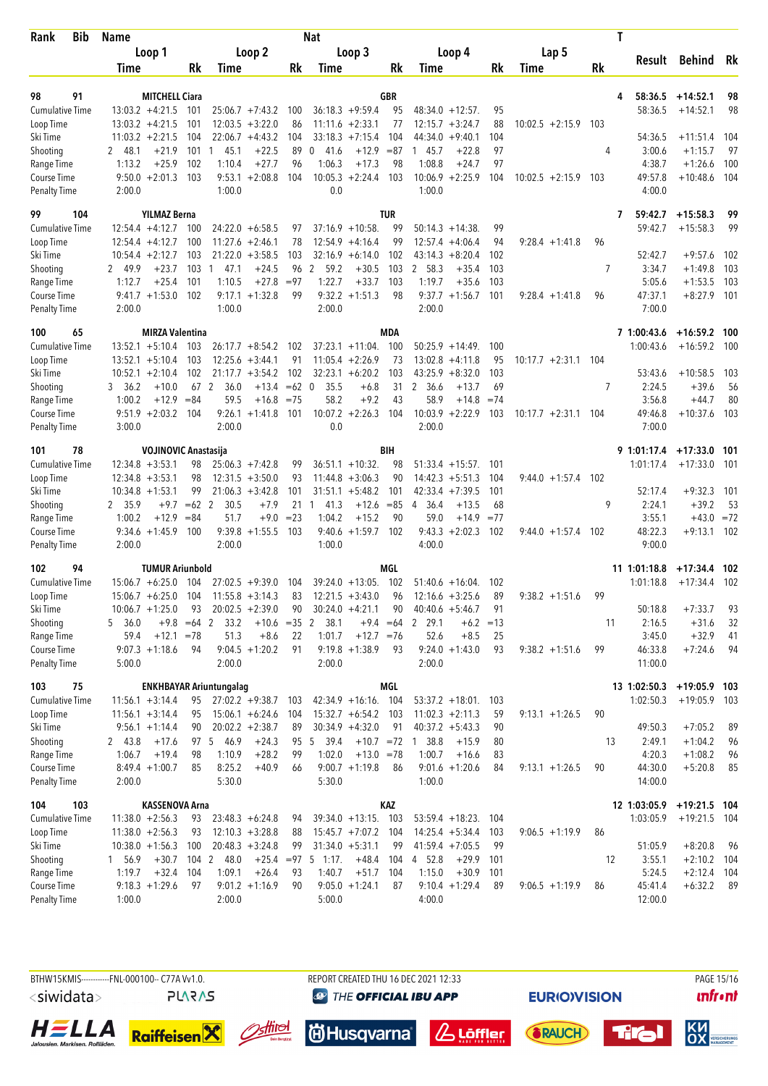| Bib<br>Rank                         | <b>Name</b>                                |               | Nat                                     |          |                                           |             |                                         |            | T                     |     |                         |                          |          |  |  |
|-------------------------------------|--------------------------------------------|---------------|-----------------------------------------|----------|-------------------------------------------|-------------|-----------------------------------------|------------|-----------------------|-----|-------------------------|--------------------------|----------|--|--|
|                                     | Loop 1                                     |               | Loop 2                                  |          | Loop 3                                    |             | Loop 4                                  |            | Lap 5                 |     |                         |                          |          |  |  |
|                                     | Time                                       | Rk            | Time                                    | Rk       | Time                                      | Rk          | Time                                    | Rk         | <b>Time</b>           | Rk  | Result                  | Behind                   | Rk       |  |  |
|                                     |                                            |               |                                         |          |                                           |             |                                         |            |                       |     |                         |                          |          |  |  |
| 98<br>91<br><b>Cumulative Time</b>  | <b>MITCHELL Ciara</b><br>$13:03.2 +4:21.5$ | 101           | $25:06.7 +7:43.2$                       | 100      | $36:18.3 + 9:59.4$                        | GBR<br>95   | $48:34.0 + 12:57$ .                     | 95         |                       |     | 58:36.5<br>4<br>58:36.5 | $+14:52.1$<br>$+14:52.1$ | 98<br>98 |  |  |
| Loop Time                           | $13:03.2 +4:21.5$                          | 101           | $12:03.5 + 3:22.0$                      | 86       | $11:11.6 + 2:33.1$                        | 77          | $12:15.7 + 3:24.7$                      | 88         | $10:02.5 + 2:15.9$    | 103 |                         |                          |          |  |  |
| Ski Time                            | $11:03.2 +2:21.5$                          | 104           | $22:06.7 + 4:43.2$                      | 104      | 33:18.3<br>$+7:15.4$                      | 104         | 44:34.0<br>$+9:40.1$                    | 104        |                       |     | 54:36.5                 | $+11:51.4$               | 104      |  |  |
| Shooting                            | $+21.9$<br>2 48.1                          | 101           | 45.1<br>$+22.5$<br>-1                   | 89       | 41.6<br>$+12.9$<br>0                      | $= 87$      | 145.7<br>$+22.8$                        | 97         |                       | 4   | 3:00.6                  | $+1:15.7$                | 97       |  |  |
| Range Time                          | 1:13.2<br>$+25.9$                          | 102           | 1:10.4<br>$+27.7$                       | 96       | 1:06.3<br>$+17.3$                         | 98          | 1:08.8<br>$+24.7$                       | 97         |                       |     | 4:38.7                  | $+1:26.6$                | 100      |  |  |
| Course Time                         | $9:50.0 + 2:01.3$                          | 103           | $9:53.1 + 2:08.8$                       | 104      | 10:05.3<br>$+2:24.4$                      | 103         | $10:06.9 + 2:25.9$                      | 104        | $10:02.5 + 2:15.9$    | 103 | 49:57.8                 | $+10:48.6$               | 104      |  |  |
| <b>Penalty Time</b>                 | 2:00.0                                     |               | 1:00.0                                  |          | 0.0                                       |             | 1:00.0                                  |            |                       |     | 4:00.0                  |                          |          |  |  |
| 99<br>104                           | <b>YILMAZ Berna</b>                        |               |                                         |          |                                           | <b>TUR</b>  |                                         |            |                       |     | 7<br>59:42.7            | $+15:58.3$               | 99       |  |  |
| <b>Cumulative Time</b>              | $12:54.4 +4:12.7$                          | 100           | $24:22.0 + 6:58.5$                      | 97       | $37:16.9 + 10:58$                         | 99          | $50:14.3 + 14:38$                       | 99         |                       |     | 59:42.7                 | $+15:58.3$               | 99       |  |  |
| Loop Time                           | $12:54.4 +4:12.7$                          | 100           | $11:27.6 + 2:46.1$                      | 78       | $12:54.9 +4:16.4$                         | 99          | $12:57.4 +4:06.4$                       | 94         | $9:28.4 +1:41.8$      | 96  |                         |                          |          |  |  |
| Ski Time                            | $10:54.4 + 2:12.7$                         | 103           | $21:22.0 + 3:58.5$                      | 103      | $32:16.9 + 6:14.0$                        | 102         | $+8:20.4$<br>43:14.3                    | 102        |                       |     | 52:42.7                 | $+9:57.6$                | 102      |  |  |
| Shooting                            | 49.9<br>$+23.7$<br>2                       | 103           | $+24.5$<br>47.1<br>-1                   | 96       | 2<br>59.2<br>$+30.5$                      | 103         | 2 58.3<br>$+35.4$                       | 103        |                       | 7   | 3:34.7                  | $+1:49.8$                | 103      |  |  |
| Range Time                          | 1:12.7<br>$+25.4$                          | 101           | 1:10.5<br>$+27.8$                       | $= 97$   | 1:22.7<br>$+33.7$                         | 103         | 1:19.7<br>$+35.6$                       | 103        |                       |     | 5:05.6                  | $+1:53.5$                | 103      |  |  |
| Course Time                         | $9:41.7 +1:53.0$                           | 102           | $9:17.1 + 1:32.8$                       | 99       | $9:32.2 +1:51.3$                          | 98          | $9:37.7 +1:56.7$                        | 101        | $9:28.4 +1:41.8$      | 96  | 47:37.1                 | $+8:27.9$                | -101     |  |  |
| <b>Penalty Time</b>                 | 2:00.0                                     |               | 1:00.0                                  |          | 2:00.0                                    |             | 2:00.0                                  |            |                       |     | 7:00.0                  |                          |          |  |  |
| 65<br>100                           | <b>MIRZA Valentina</b>                     |               |                                         |          |                                           | <b>MDA</b>  |                                         |            |                       |     | 7 1:00:43.6             | $+16:59.2$ 100           |          |  |  |
| <b>Cumulative Time</b>              | $13:52.1 + 5:10.4$                         | 103           | $26:17.7 + 8:54.2$                      | 102      | $37:23.1 + 11:04$ .                       | 100         | $50:25.9 + 14:49$ .                     | 100        |                       |     | 1:00:43.6               | $+16:59.2$               | 100      |  |  |
| Loop Time                           | $13:52.1 + 5:10.4$                         | 103           | $12:25.6 + 3:44.1$                      | 91       | $11:05.4 +2:26.9$                         | 73          | 13:02.8<br>$+4:11.8$                    | 95         | $10:17.7 + 2:31.1$    | 104 |                         |                          |          |  |  |
| Ski Time                            | $10:52.1 + 2:10.4$                         | 102           | $21:17.7 + 3:54.2$                      | 102      | $32:23.1 + 6:20.2$                        | 103         | $43:25.9 + 8:32.0$                      | 103        |                       |     | 53:43.6                 | $+10:58.5$               | 103      |  |  |
| Shooting                            | $+10.0$<br>3, 36.2                         |               | 67 2<br>36.0<br>$+13.4$                 | $=62$ 0  | 35.5<br>$+6.8$                            | 31          | 2 36.6<br>$+13.7$                       | 69         |                       | 7   | 2:24.5                  | $+39.6$                  | 56       |  |  |
| Range Time                          | 1:00.2<br>$+12.9$                          | $= 84$        | 59.5<br>$+16.8$                         | $= 75$   | 58.2<br>$+9.2$                            | 43          | 58.9<br>$+14.8$                         | $=74$      |                       |     | 3:56.8                  | $+44.7$                  | 80       |  |  |
| Course Time<br><b>Penalty Time</b>  | $9:51.9 +2:03.2$<br>3:00.0                 | 104           | 9:26.1<br>$+1:41.8$<br>2:00.0           | 101      | $10:07.2 +2:26.3$<br>0.0                  | 104         | 10:03.9<br>$+2:22.9$<br>2:00.0          | 103        | $10:17.7 + 2:31.1$    | 104 | 49:46.8<br>7:00.0       | $+10:37.6$               | 103      |  |  |
|                                     |                                            |               |                                         |          |                                           |             |                                         |            |                       |     |                         |                          |          |  |  |
| 78<br>101                           | <b>VOJINOVIC Anastasija</b>                |               |                                         |          |                                           | BIH         |                                         |            |                       |     | 9 1:01:17.4             | $+17:33.0$ 101           |          |  |  |
| <b>Cumulative Time</b><br>Loop Time | $12:34.8 + 3:53.1$<br>$12:34.8 + 3:53.1$   | 98<br>98      | $25:06.3 +7:42.8$<br>$12:31.5 + 3:50.0$ | 99<br>93 | $36:51.1 + 10:32$ .<br>$11:44.8 + 3:06.3$ | 98<br>90    | $51:33.4$ +15:57.<br>$14:42.3 + 5:51.3$ | 101<br>104 |                       |     | 1:01:17.4               | $+17:33.0$               | 101      |  |  |
| Ski Time                            | $10:34.8 + 1:53.1$                         | 99            | $21:06.3 + 3:42.8$                      | 101      | $31:51.1 + 5:48.2$                        | 101         | $+7:39.5$<br>42:33.4                    | 101        | $9:44.0 + 1:57.4$ 102 |     | 52:17.4                 | $+9:32.3$                | 101      |  |  |
| Shooting                            | 2 35.9<br>$+9.7$                           | $=62$ 2       | 30.5<br>$+7.9$                          | 21       | 41.3<br>$+12.6$<br>1                      | $= 85$      | 36.4<br>$+13.5$<br>4                    | 68         |                       | 9   | 2:24.1                  | $+39.2$                  | 53       |  |  |
| Range Time                          | $+12.9$<br>1:00.2                          | $= 84$        | $+9.0$<br>51.7                          | $= 23$   | 1:04.2<br>$+15.2$                         | 90          | 59.0<br>$+14.9$                         | $= 77$     |                       |     | 3:55.1                  | $+43.0$                  | $= 72$   |  |  |
| Course Time                         | $9:34.6 +1:45.9$                           | 100           | 9:39.8<br>$+1:55.5$                     | 103      | $+1:59.7$<br>9:40.6                       | 102         | $9:43.3 + 2:02.3$                       | 102        | $9:44.0 + 1:57.4$     | 102 | 48:22.3                 | $+9:13.1$                | 102      |  |  |
| <b>Penalty Time</b>                 | 2:00.0                                     |               | 2:00.0                                  |          | 1:00.0                                    |             | 4:00.0                                  |            |                       |     | 9:00.0                  |                          |          |  |  |
| 94<br>102                           | <b>TUMUR Ariunbold</b>                     |               |                                         |          |                                           | MGL         |                                         |            |                       |     | 11 1:01:18.8            | $+17:34.4$               | 102      |  |  |
| Cumulative Time                     | $15:06.7 + 6:25.0$                         | - 104         | $27:02.5 +9:39.0$                       | 104      | $39:24.0 + 13:05$ .                       | 102         | $51:40.6 + 16:04$ .                     | 102        |                       |     | 1:01:18.8               | $+17:34.4$ 102           |          |  |  |
| Loop Time                           | $15:06.7 + 6:25.0$                         | 104           | $11:55.8 + 3:14.3$                      | 83       | $12:21.5 + 3:43.0$                        | 96          | $12:16.6 + 3:25.6$                      | 89         | $9:38.2 +1:51.6$      | 99  |                         |                          |          |  |  |
| Ski Time                            | $10:06.7 + 1:25.0$                         | 93            | $20:02.5 +2:39.0$                       | 90       | $30:24.0 +4:21.1$                         | 90          | $40:40.6 + 5:46.7$                      | 91         |                       |     | 50:18.8                 | $+7:33.7$                | 93       |  |  |
| Shooting                            | 5 36.0                                     | $+9.8 = 64$ 2 | 33.2<br>$+10.6 = 35$ 2                  |          | 38.1                                      | $+9.4 = 64$ | 2 29.1<br>$+6.2$                        | $=13$      |                       | 11  | 2:16.5                  | $+31.6$                  | 32       |  |  |
| Range Time                          | 59.4                                       | $+12.1 = 78$  | 51.3<br>$+8.6$                          | 22       | 1:01.7<br>$+12.7 = 76$                    |             | 52.6<br>$+8.5$                          | 25         |                       |     | 3:45.0                  | $+32.9$                  | 41       |  |  |
| Course Time                         | $9:07.3 +1:18.6$                           | 94            | $9:04.5 +1:20.2$                        | 91       | $9:19.8 + 1:38.9$                         | 93          | $9:24.0 +1:43.0$                        | 93         | $9:38.2 +1:51.6$      | 99  | 46:33.8                 | $+7:24.6$                | 94       |  |  |
| <b>Penalty Time</b>                 | 5:00.0                                     |               | 2:00.0                                  |          | 2:00.0                                    |             | 2:00.0                                  |            |                       |     | 11:00.0                 |                          |          |  |  |
| 75<br>103                           |                                            |               | <b>ENKHBAYAR Ariuntungalag</b>          |          |                                           | MGL         |                                         |            |                       |     | 13 1:02:50.3            | $+19:05.9$ 103           |          |  |  |
| <b>Cumulative Time</b>              | $11:56.1 + 3:14.4$                         | 95            | $27:02.2 +9:38.7$                       | 103      | 42:34.9 +16:16. 104                       |             | $53:37.2 + 18:01$ .                     | 103        |                       |     | 1:02:50.3               | $+19:05.9$ 103           |          |  |  |
| Loop Time                           | $11:56.1 + 3:14.4$                         | 95            | $15:06.1 + 6:24.6$                      | 104      | $15:32.7 + 6:54.2$ 103                    |             | $11:02.3 +2:11.3$                       | 59         | $9:13.1 + 1:26.5$     | 90  |                         |                          |          |  |  |
| Ski Time                            | $9:56.1 + 1:14.4$                          | 90            | $20:02.2 + 2:38.7$                      | 89       | $30:34.9 +4:32.0$                         | 91          | $40:37.2 +5:43.3$                       | 90         |                       |     | 49:50.3                 | $+7:05.2$                | 89       |  |  |
| Shooting                            | 2 43.8<br>$+17.6$                          |               | 97 5 46.9<br>$+24.3$                    |          | 95 5<br>39.4<br>$+10.7 = 72$              |             | 1 38.8<br>$+15.9$                       | 80         |                       | 13  | 2:49.1                  | $+1:04.2$                | 96       |  |  |
| Range Time                          | 1:06.7<br>$+19.4$                          | 98            | 1:10.9<br>$+28.2$                       | 99       | 1:02.0<br>$+13.0 = 78$                    |             | 1:00.7<br>$+16.6$                       | 83         |                       |     | 4:20.3                  | $+1:08.2$                | 96       |  |  |
| Course Time                         | $8:49.4 +1:00.7$                           | 85            | 8:25.2<br>$+40.9$                       | 66       | $9:00.7 +1:19.8$                          | 86          | $9:01.6 +1:20.6$                        | 84         | $9:13.1 + 1:26.5$     | 90  | 44:30.0                 | $+5:20.8$                | 85       |  |  |
| <b>Penalty Time</b>                 | 2:00.0                                     |               | 5:30.0                                  |          | 5:30.0                                    |             | 1:00.0                                  |            |                       |     | 14:00.0                 |                          |          |  |  |
| 104<br>103                          | KASSENOVA Arna                             |               |                                         |          |                                           | KAZ         |                                         |            |                       |     | 12 1:03:05.9            | +19:21.5 104             |          |  |  |
| <b>Cumulative Time</b>              | $11:38.0 + 2:56.3$                         | 93            | $23:48.3 + 6:24.8$                      | 94       | $39:34.0 +13:15.$ 103                     |             | $53:59.4 + 18:23$ .                     | 104        |                       |     | 1:03:05.9               | $+19:21.5$ 104           |          |  |  |
| Loop Time                           | $11:38.0 + 2:56.3$                         | 93            | $12:10.3 + 3:28.8$                      | 88       | $15:45.7 + 7:07.2$                        | 104         | $14:25.4 + 5:34.4$                      | 103        | $9:06.5 +1:19.9$      | 86  |                         |                          |          |  |  |
| Ski Time                            | $10:38.0 + 1:56.3$                         | 100           | $20:48.3 + 3:24.8$                      | 99       | $31:34.0 + 5:31.1$                        | 99          | $41:59.4 +7:05.5$                       | 99         |                       |     | 51:05.9                 | $+8:20.8$                | 96       |  |  |
| Shooting                            | $+30.7$<br>1 56.9                          |               | 104 2 48.0                              |          | $+25.4 = 97$ 5 1:17.<br>$+48.4$           | 104         | 4 52.8<br>$+29.9$                       | 101        |                       | 12  | 3:55.1                  | $+2:10.2$                | 104      |  |  |
| Range Time                          | 1:19.7<br>$+32.4$                          | 104           | 1:09.1<br>$+26.4$                       | 93       | 1:40.7<br>$+51.7$                         | 104         | 1:15.0<br>$+30.9$                       | 101        |                       |     | 5:24.5                  | $+2:12.4$ 104            |          |  |  |
| Course Time                         | $9:18.3 +1:29.6$                           | 97            | $9:01.2 +1:16.9$                        | 90       | $9:05.0 +1:24.1$                          | 87          | $9:10.4 + 1:29.4$                       | 89         | $9:06.5 +1:19.9$      | 86  | 45:41.4                 | $+6:32.2$                | - 89     |  |  |
| <b>Penalty Time</b>                 | 1:00.0                                     |               | 2:00.0                                  |          | 5:00.0                                    |             | 4:00.0                                  |            |                       |     | 12:00.0                 |                          |          |  |  |

BTHW15KMIS----------FNL-000100-- C77A Vv1.0. REPORT CREATED THU 16 DEC 2021 12:33 PAGE 15/16 <siwidata> **PLARAS** 

**@ THE OFFICIAL IBU APP** 

**unfront** 











**EURIO)VISION**